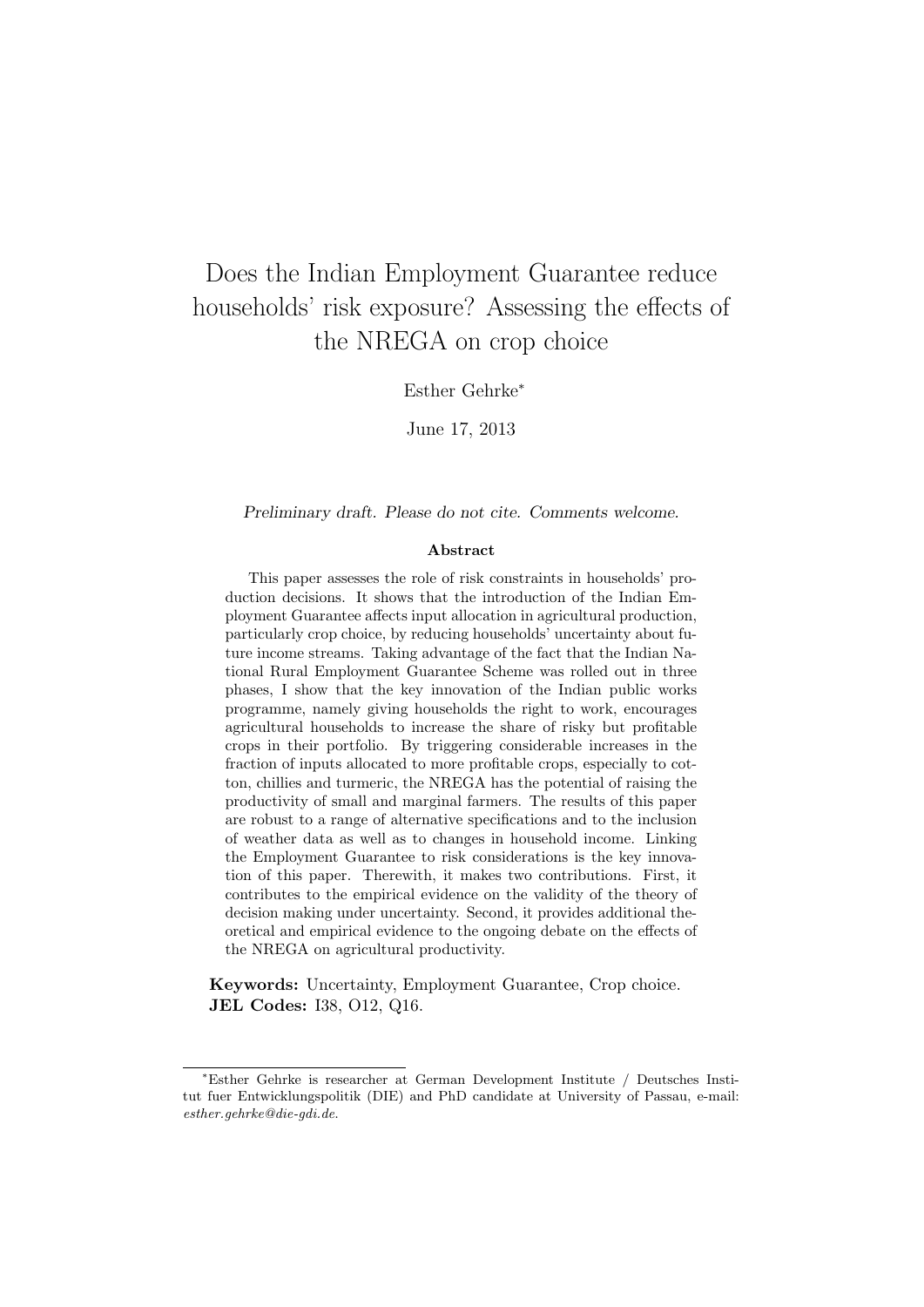# Does the Indian Employment Guarantee reduce households' risk exposure? Assessing the effects of the NREGA on crop choice

Esther Gehrke<sup>∗</sup>

June 17, 2013

Preliminary draft. Please do not cite. Comments welcome.

#### Abstract

This paper assesses the role of risk constraints in households' production decisions. It shows that the introduction of the Indian Employment Guarantee affects input allocation in agricultural production, particularly crop choice, by reducing households' uncertainty about future income streams. Taking advantage of the fact that the Indian National Rural Employment Guarantee Scheme was rolled out in three phases, I show that the key innovation of the Indian public works programme, namely giving households the right to work, encourages agricultural households to increase the share of risky but profitable crops in their portfolio. By triggering considerable increases in the fraction of inputs allocated to more profitable crops, especially to cotton, chillies and turmeric, the NREGA has the potential of raising the productivity of small and marginal farmers. The results of this paper are robust to a range of alternative specifications and to the inclusion of weather data as well as to changes in household income. Linking the Employment Guarantee to risk considerations is the key innovation of this paper. Therewith, it makes two contributions. First, it contributes to the empirical evidence on the validity of the theory of decision making under uncertainty. Second, it provides additional theoretical and empirical evidence to the ongoing debate on the effects of the NREGA on agricultural productivity.

Keywords: Uncertainty, Employment Guarantee, Crop choice. JEL Codes: I38, O12, Q16.

<sup>∗</sup>Esther Gehrke is researcher at German Development Institute / Deutsches Institut fuer Entwicklungspolitik (DIE) and PhD candidate at University of Passau, e-mail: esther.gehrke@die-gdi.de.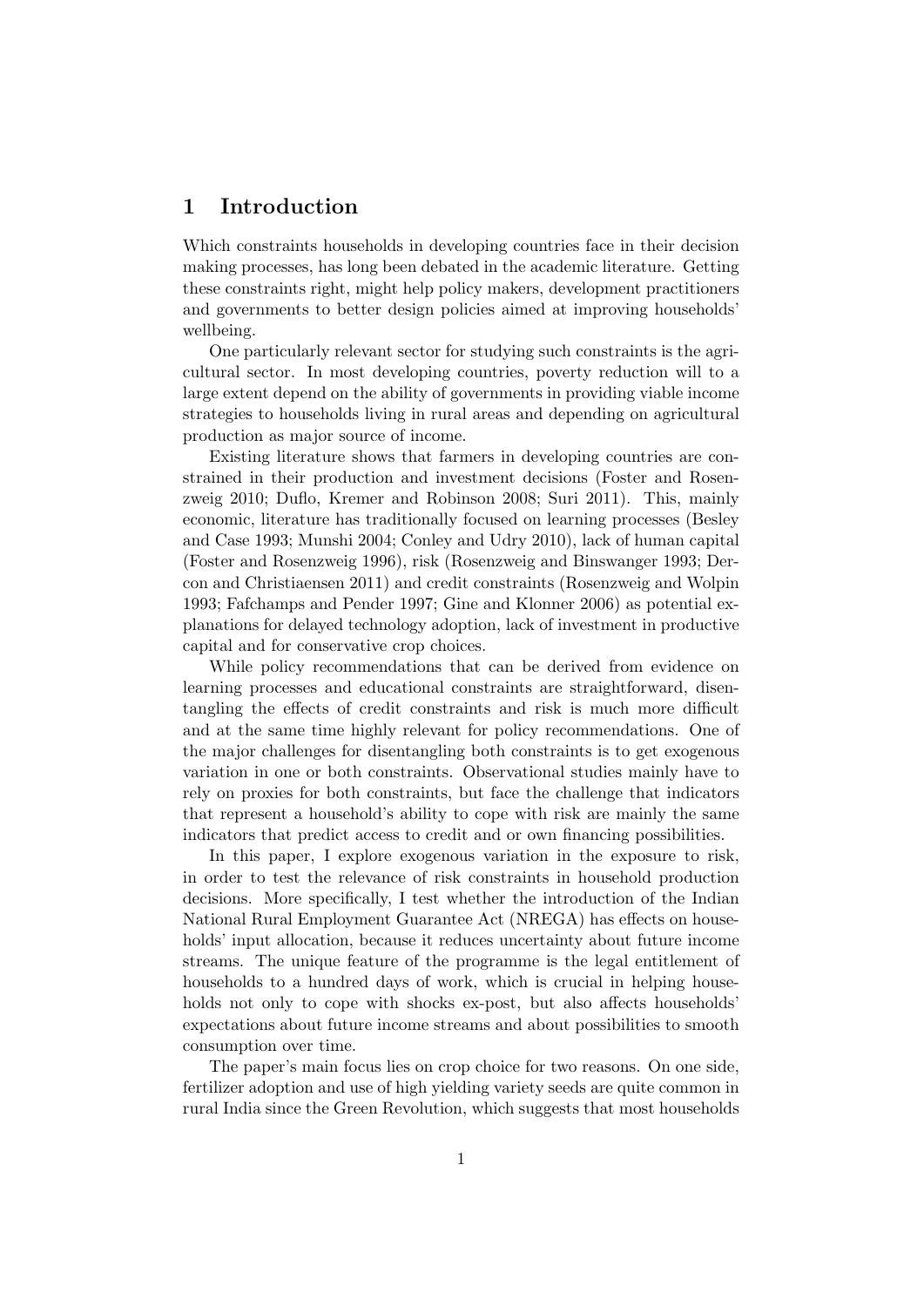## 1 Introduction

Which constraints households in developing countries face in their decision making processes, has long been debated in the academic literature. Getting these constraints right, might help policy makers, development practitioners and governments to better design policies aimed at improving households' wellbeing.

One particularly relevant sector for studying such constraints is the agricultural sector. In most developing countries, poverty reduction will to a large extent depend on the ability of governments in providing viable income strategies to households living in rural areas and depending on agricultural production as major source of income.

Existing literature shows that farmers in developing countries are constrained in their production and investment decisions (Foster and Rosenzweig 2010; Duflo, Kremer and Robinson 2008; Suri 2011). This, mainly economic, literature has traditionally focused on learning processes (Besley and Case 1993; Munshi 2004; Conley and Udry 2010), lack of human capital (Foster and Rosenzweig 1996), risk (Rosenzweig and Binswanger 1993; Dercon and Christiaensen 2011) and credit constraints (Rosenzweig and Wolpin 1993; Fafchamps and Pender 1997; Gine and Klonner 2006) as potential explanations for delayed technology adoption, lack of investment in productive capital and for conservative crop choices.

While policy recommendations that can be derived from evidence on learning processes and educational constraints are straightforward, disentangling the effects of credit constraints and risk is much more difficult and at the same time highly relevant for policy recommendations. One of the major challenges for disentangling both constraints is to get exogenous variation in one or both constraints. Observational studies mainly have to rely on proxies for both constraints, but face the challenge that indicators that represent a household's ability to cope with risk are mainly the same indicators that predict access to credit and or own financing possibilities.

In this paper, I explore exogenous variation in the exposure to risk, in order to test the relevance of risk constraints in household production decisions. More specifically, I test whether the introduction of the Indian National Rural Employment Guarantee Act (NREGA) has effects on households' input allocation, because it reduces uncertainty about future income streams. The unique feature of the programme is the legal entitlement of households to a hundred days of work, which is crucial in helping households not only to cope with shocks ex-post, but also affects households' expectations about future income streams and about possibilities to smooth consumption over time.

The paper's main focus lies on crop choice for two reasons. On one side, fertilizer adoption and use of high yielding variety seeds are quite common in rural India since the Green Revolution, which suggests that most households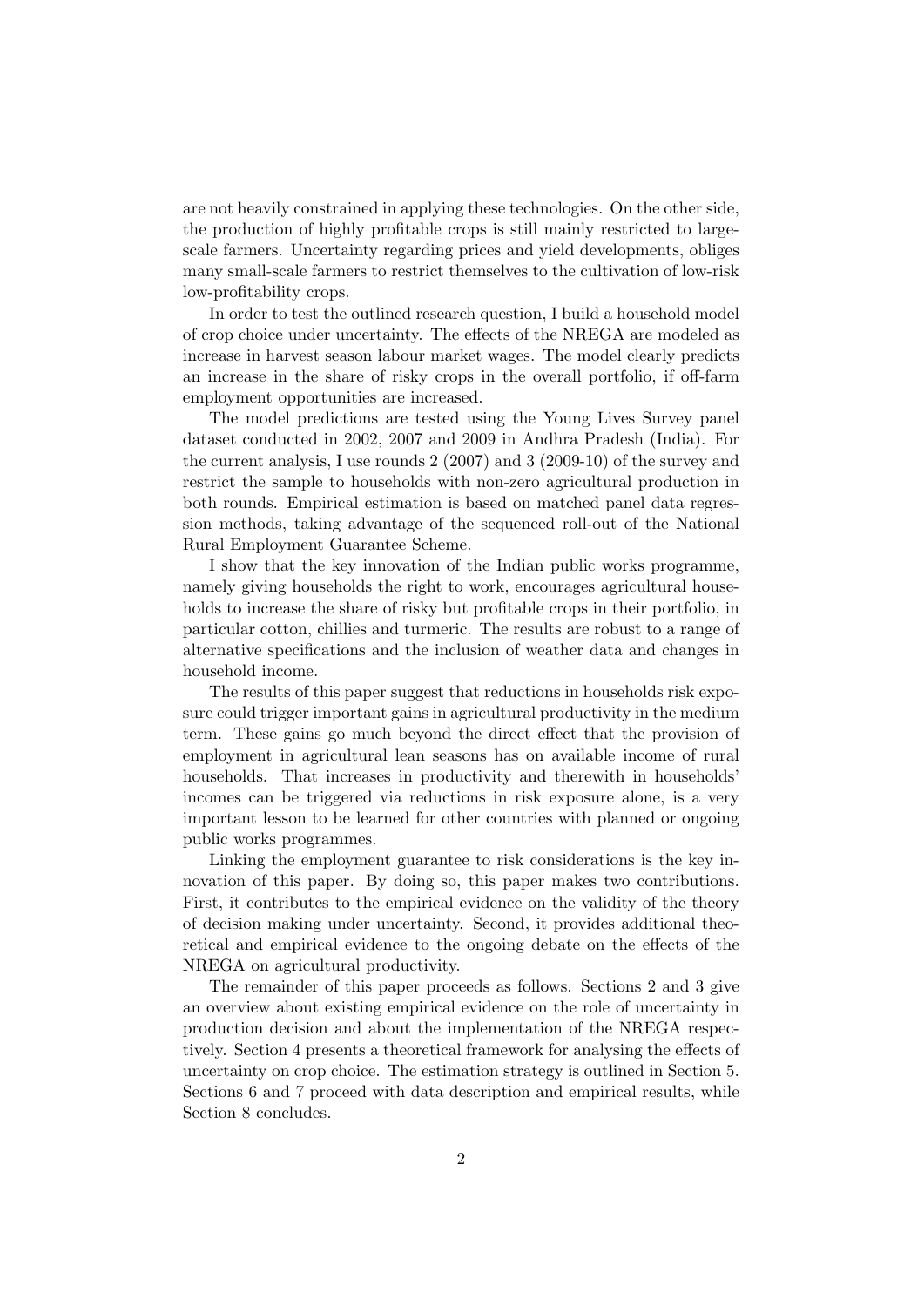are not heavily constrained in applying these technologies. On the other side, the production of highly profitable crops is still mainly restricted to largescale farmers. Uncertainty regarding prices and yield developments, obliges many small-scale farmers to restrict themselves to the cultivation of low-risk low-profitability crops.

In order to test the outlined research question, I build a household model of crop choice under uncertainty. The effects of the NREGA are modeled as increase in harvest season labour market wages. The model clearly predicts an increase in the share of risky crops in the overall portfolio, if off-farm employment opportunities are increased.

The model predictions are tested using the Young Lives Survey panel dataset conducted in 2002, 2007 and 2009 in Andhra Pradesh (India). For the current analysis, I use rounds 2 (2007) and 3 (2009-10) of the survey and restrict the sample to households with non-zero agricultural production in both rounds. Empirical estimation is based on matched panel data regression methods, taking advantage of the sequenced roll-out of the National Rural Employment Guarantee Scheme.

I show that the key innovation of the Indian public works programme, namely giving households the right to work, encourages agricultural households to increase the share of risky but profitable crops in their portfolio, in particular cotton, chillies and turmeric. The results are robust to a range of alternative specifications and the inclusion of weather data and changes in household income.

The results of this paper suggest that reductions in households risk exposure could trigger important gains in agricultural productivity in the medium term. These gains go much beyond the direct effect that the provision of employment in agricultural lean seasons has on available income of rural households. That increases in productivity and therewith in households' incomes can be triggered via reductions in risk exposure alone, is a very important lesson to be learned for other countries with planned or ongoing public works programmes.

Linking the employment guarantee to risk considerations is the key innovation of this paper. By doing so, this paper makes two contributions. First, it contributes to the empirical evidence on the validity of the theory of decision making under uncertainty. Second, it provides additional theoretical and empirical evidence to the ongoing debate on the effects of the NREGA on agricultural productivity.

The remainder of this paper proceeds as follows. Sections 2 and 3 give an overview about existing empirical evidence on the role of uncertainty in production decision and about the implementation of the NREGA respectively. Section 4 presents a theoretical framework for analysing the effects of uncertainty on crop choice. The estimation strategy is outlined in Section 5. Sections 6 and 7 proceed with data description and empirical results, while Section 8 concludes.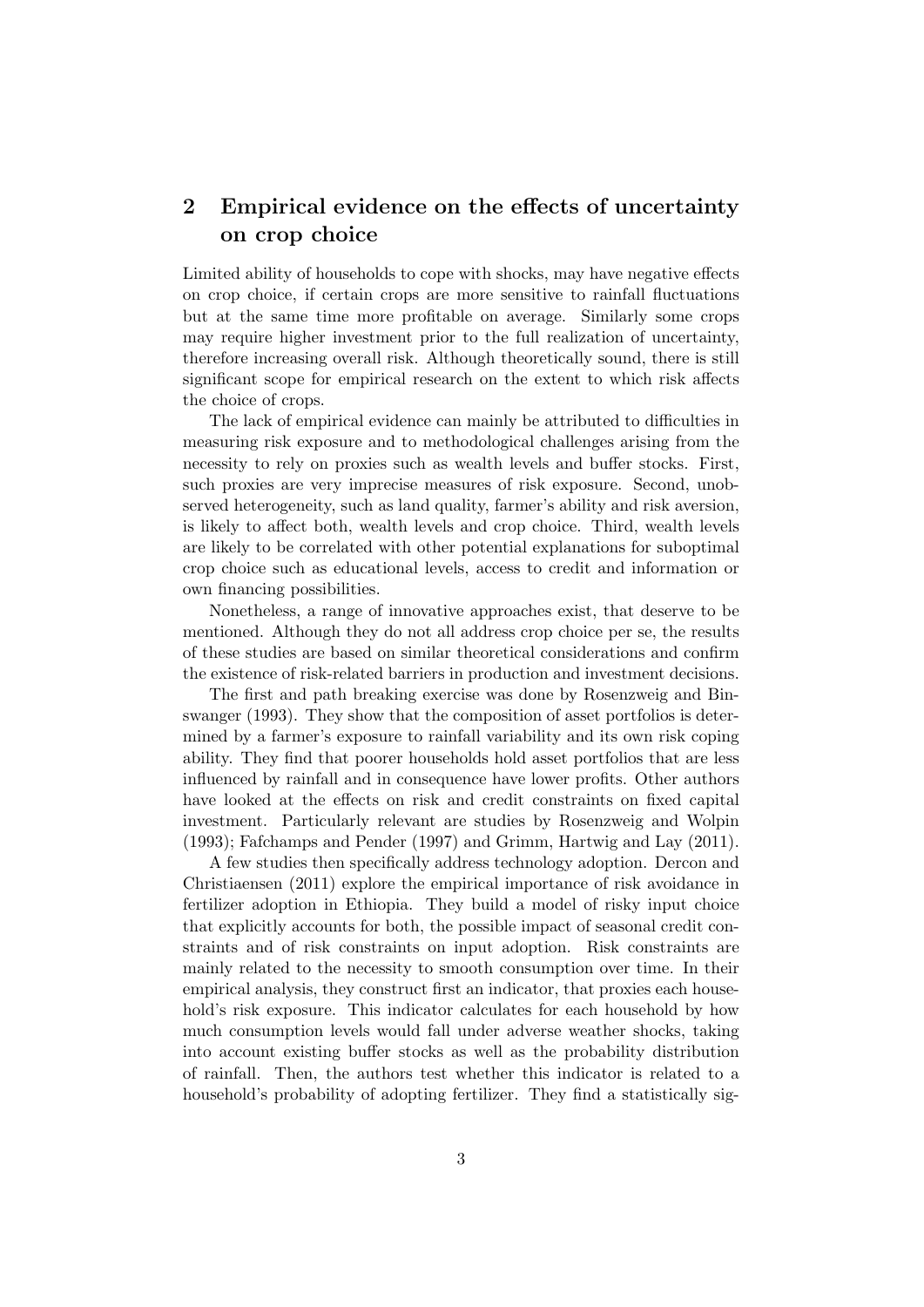## 2 Empirical evidence on the effects of uncertainty on crop choice

Limited ability of households to cope with shocks, may have negative effects on crop choice, if certain crops are more sensitive to rainfall fluctuations but at the same time more profitable on average. Similarly some crops may require higher investment prior to the full realization of uncertainty, therefore increasing overall risk. Although theoretically sound, there is still significant scope for empirical research on the extent to which risk affects the choice of crops.

The lack of empirical evidence can mainly be attributed to difficulties in measuring risk exposure and to methodological challenges arising from the necessity to rely on proxies such as wealth levels and buffer stocks. First, such proxies are very imprecise measures of risk exposure. Second, unobserved heterogeneity, such as land quality, farmer's ability and risk aversion, is likely to affect both, wealth levels and crop choice. Third, wealth levels are likely to be correlated with other potential explanations for suboptimal crop choice such as educational levels, access to credit and information or own financing possibilities.

Nonetheless, a range of innovative approaches exist, that deserve to be mentioned. Although they do not all address crop choice per se, the results of these studies are based on similar theoretical considerations and confirm the existence of risk-related barriers in production and investment decisions.

The first and path breaking exercise was done by Rosenzweig and Binswanger (1993). They show that the composition of asset portfolios is determined by a farmer's exposure to rainfall variability and its own risk coping ability. They find that poorer households hold asset portfolios that are less influenced by rainfall and in consequence have lower profits. Other authors have looked at the effects on risk and credit constraints on fixed capital investment. Particularly relevant are studies by Rosenzweig and Wolpin (1993); Fafchamps and Pender (1997) and Grimm, Hartwig and Lay (2011).

A few studies then specifically address technology adoption. Dercon and Christiaensen (2011) explore the empirical importance of risk avoidance in fertilizer adoption in Ethiopia. They build a model of risky input choice that explicitly accounts for both, the possible impact of seasonal credit constraints and of risk constraints on input adoption. Risk constraints are mainly related to the necessity to smooth consumption over time. In their empirical analysis, they construct first an indicator, that proxies each household's risk exposure. This indicator calculates for each household by how much consumption levels would fall under adverse weather shocks, taking into account existing buffer stocks as well as the probability distribution of rainfall. Then, the authors test whether this indicator is related to a household's probability of adopting fertilizer. They find a statistically sig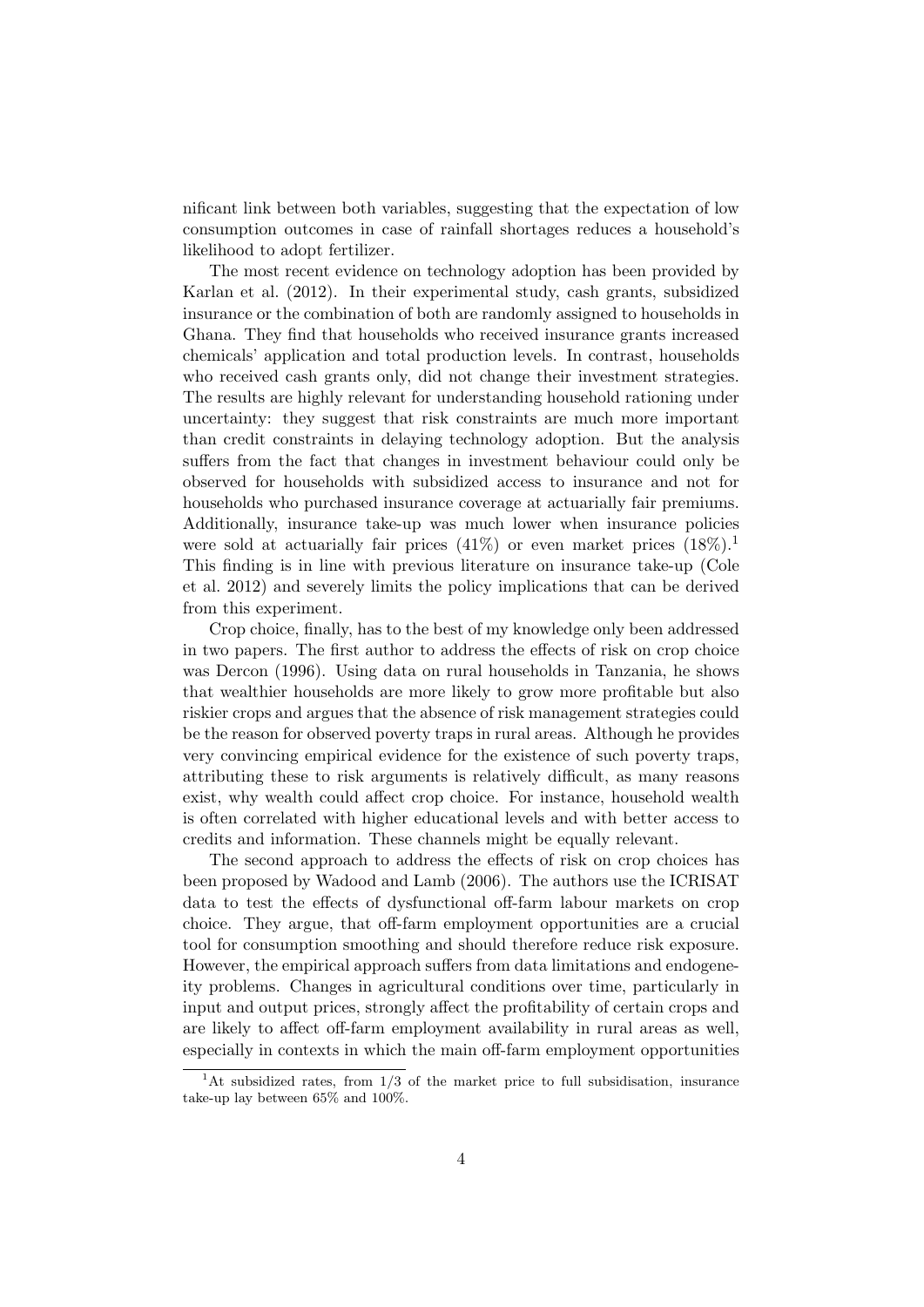nificant link between both variables, suggesting that the expectation of low consumption outcomes in case of rainfall shortages reduces a household's likelihood to adopt fertilizer.

The most recent evidence on technology adoption has been provided by Karlan et al. (2012). In their experimental study, cash grants, subsidized insurance or the combination of both are randomly assigned to households in Ghana. They find that households who received insurance grants increased chemicals' application and total production levels. In contrast, households who received cash grants only, did not change their investment strategies. The results are highly relevant for understanding household rationing under uncertainty: they suggest that risk constraints are much more important than credit constraints in delaying technology adoption. But the analysis suffers from the fact that changes in investment behaviour could only be observed for households with subsidized access to insurance and not for households who purchased insurance coverage at actuarially fair premiums. Additionally, insurance take-up was much lower when insurance policies were sold at actuarially fair prices  $(41\%)$  or even market prices  $(18\%)$ . This finding is in line with previous literature on insurance take-up (Cole et al. 2012) and severely limits the policy implications that can be derived from this experiment.

Crop choice, finally, has to the best of my knowledge only been addressed in two papers. The first author to address the effects of risk on crop choice was Dercon (1996). Using data on rural households in Tanzania, he shows that wealthier households are more likely to grow more profitable but also riskier crops and argues that the absence of risk management strategies could be the reason for observed poverty traps in rural areas. Although he provides very convincing empirical evidence for the existence of such poverty traps, attributing these to risk arguments is relatively difficult, as many reasons exist, why wealth could affect crop choice. For instance, household wealth is often correlated with higher educational levels and with better access to credits and information. These channels might be equally relevant.

The second approach to address the effects of risk on crop choices has been proposed by Wadood and Lamb (2006). The authors use the ICRISAT data to test the effects of dysfunctional off-farm labour markets on crop choice. They argue, that off-farm employment opportunities are a crucial tool for consumption smoothing and should therefore reduce risk exposure. However, the empirical approach suffers from data limitations and endogeneity problems. Changes in agricultural conditions over time, particularly in input and output prices, strongly affect the profitability of certain crops and are likely to affect off-farm employment availability in rural areas as well, especially in contexts in which the main off-farm employment opportunities

<sup>&</sup>lt;sup>1</sup>At subsidized rates, from  $1/3$  of the market price to full subsidisation, insurance take-up lay between 65% and 100%.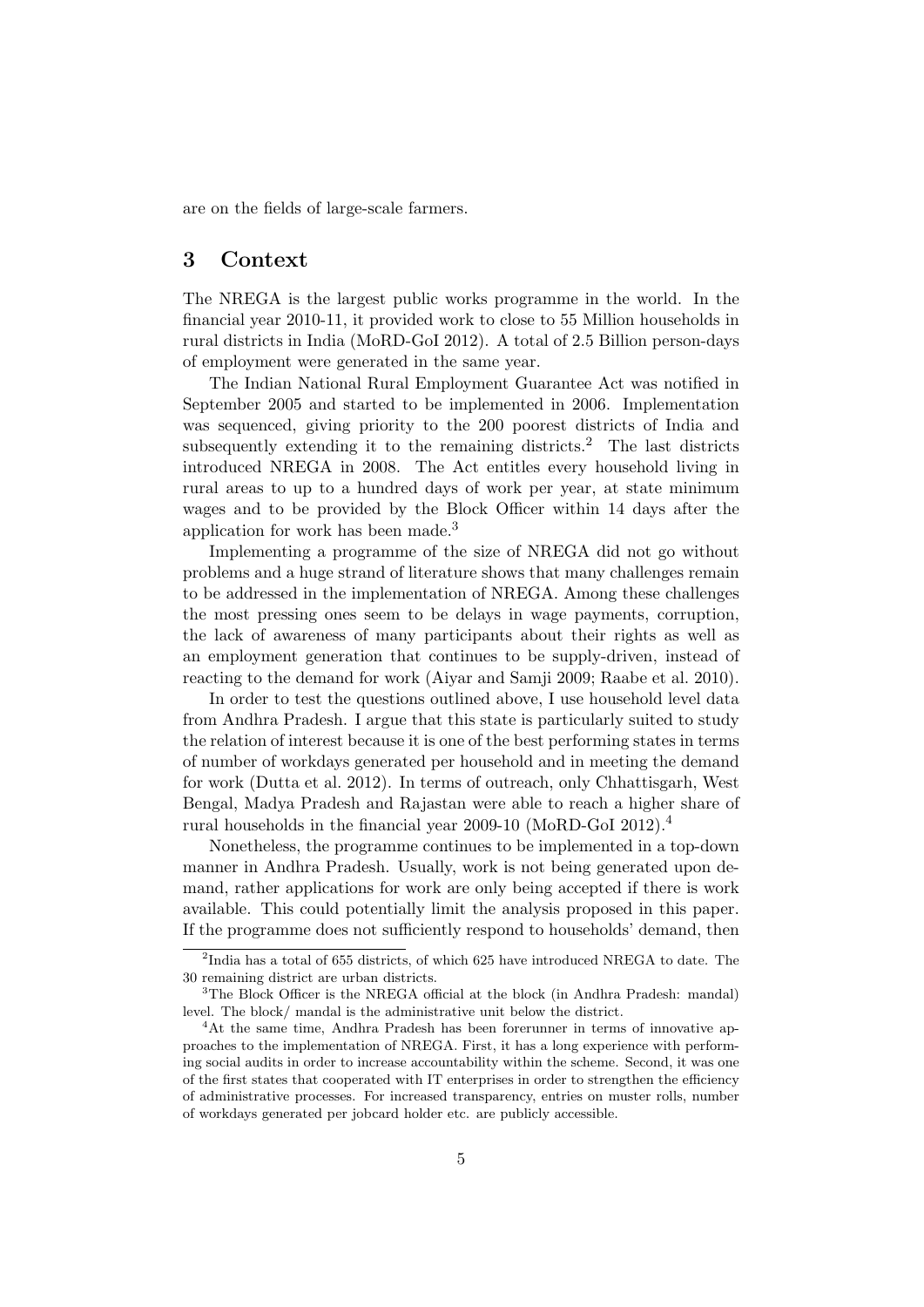are on the fields of large-scale farmers.

## 3 Context

The NREGA is the largest public works programme in the world. In the financial year 2010-11, it provided work to close to 55 Million households in rural districts in India (MoRD-GoI 2012). A total of 2.5 Billion person-days of employment were generated in the same year.

The Indian National Rural Employment Guarantee Act was notified in September 2005 and started to be implemented in 2006. Implementation was sequenced, giving priority to the 200 poorest districts of India and subsequently extending it to the remaining districts.<sup>2</sup> The last districts introduced NREGA in 2008. The Act entitles every household living in rural areas to up to a hundred days of work per year, at state minimum wages and to be provided by the Block Officer within 14 days after the application for work has been made.<sup>3</sup>

Implementing a programme of the size of NREGA did not go without problems and a huge strand of literature shows that many challenges remain to be addressed in the implementation of NREGA. Among these challenges the most pressing ones seem to be delays in wage payments, corruption, the lack of awareness of many participants about their rights as well as an employment generation that continues to be supply-driven, instead of reacting to the demand for work (Aiyar and Samji 2009; Raabe et al. 2010).

In order to test the questions outlined above, I use household level data from Andhra Pradesh. I argue that this state is particularly suited to study the relation of interest because it is one of the best performing states in terms of number of workdays generated per household and in meeting the demand for work (Dutta et al. 2012). In terms of outreach, only Chhattisgarh, West Bengal, Madya Pradesh and Rajastan were able to reach a higher share of rural households in the financial year 2009-10 (MoRD-GoI 2012).<sup>4</sup>

Nonetheless, the programme continues to be implemented in a top-down manner in Andhra Pradesh. Usually, work is not being generated upon demand, rather applications for work are only being accepted if there is work available. This could potentially limit the analysis proposed in this paper. If the programme does not sufficiently respond to households' demand, then

<sup>&</sup>lt;sup>2</sup>India has a total of 655 districts, of which 625 have introduced NREGA to date. The 30 remaining district are urban districts.

<sup>&</sup>lt;sup>3</sup>The Block Officer is the NREGA official at the block (in Andhra Pradesh: mandal) level. The block/ mandal is the administrative unit below the district.

<sup>&</sup>lt;sup>4</sup>At the same time, Andhra Pradesh has been forerunner in terms of innovative approaches to the implementation of NREGA. First, it has a long experience with performing social audits in order to increase accountability within the scheme. Second, it was one of the first states that cooperated with IT enterprises in order to strengthen the efficiency of administrative processes. For increased transparency, entries on muster rolls, number of workdays generated per jobcard holder etc. are publicly accessible.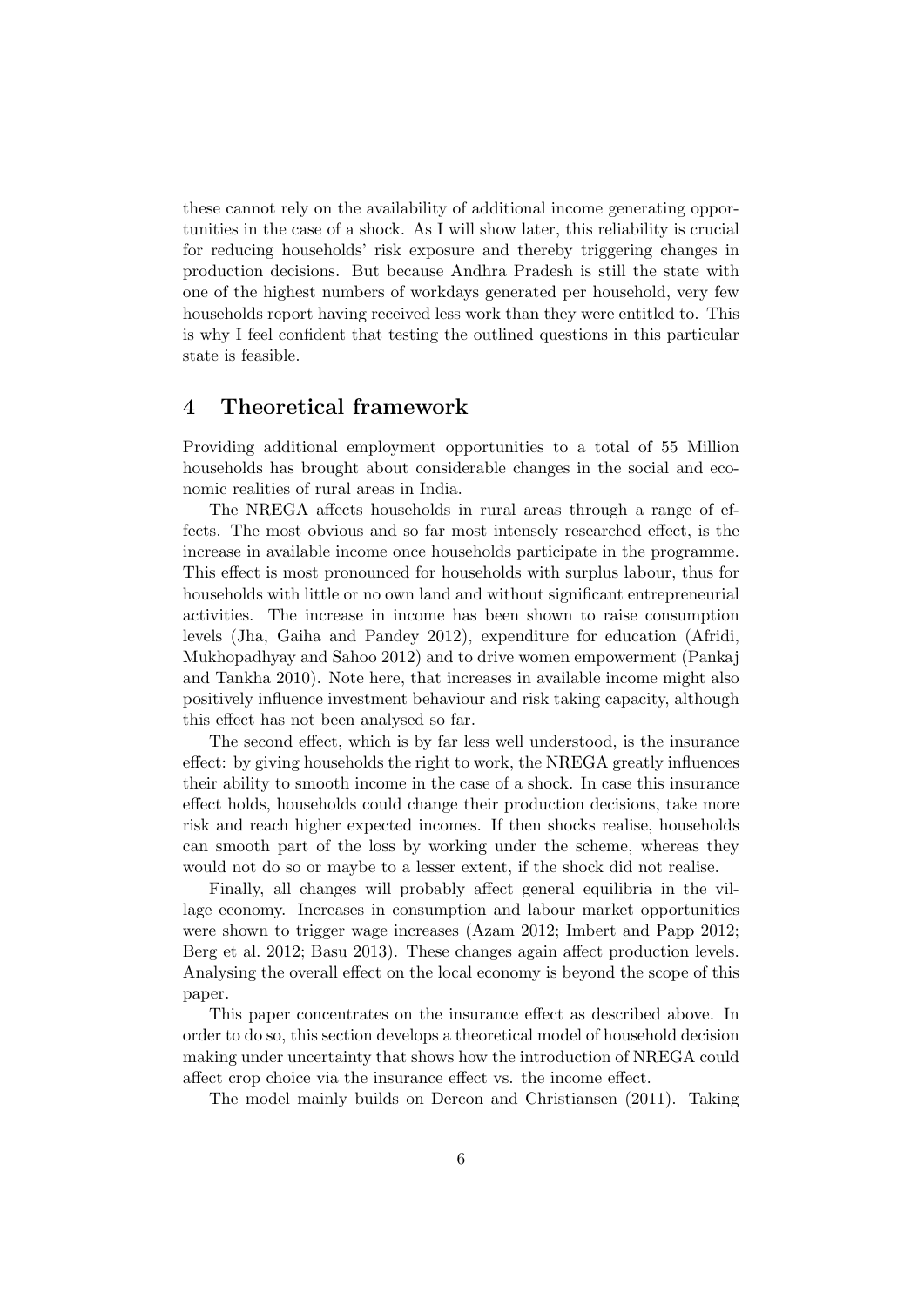these cannot rely on the availability of additional income generating opportunities in the case of a shock. As I will show later, this reliability is crucial for reducing households' risk exposure and thereby triggering changes in production decisions. But because Andhra Pradesh is still the state with one of the highest numbers of workdays generated per household, very few households report having received less work than they were entitled to. This is why I feel confident that testing the outlined questions in this particular state is feasible.

## 4 Theoretical framework

Providing additional employment opportunities to a total of 55 Million households has brought about considerable changes in the social and economic realities of rural areas in India.

The NREGA affects households in rural areas through a range of effects. The most obvious and so far most intensely researched effect, is the increase in available income once households participate in the programme. This effect is most pronounced for households with surplus labour, thus for households with little or no own land and without significant entrepreneurial activities. The increase in income has been shown to raise consumption levels (Jha, Gaiha and Pandey 2012), expenditure for education (Afridi, Mukhopadhyay and Sahoo 2012) and to drive women empowerment (Pankaj and Tankha 2010). Note here, that increases in available income might also positively influence investment behaviour and risk taking capacity, although this effect has not been analysed so far.

The second effect, which is by far less well understood, is the insurance effect: by giving households the right to work, the NREGA greatly influences their ability to smooth income in the case of a shock. In case this insurance effect holds, households could change their production decisions, take more risk and reach higher expected incomes. If then shocks realise, households can smooth part of the loss by working under the scheme, whereas they would not do so or maybe to a lesser extent, if the shock did not realise.

Finally, all changes will probably affect general equilibria in the village economy. Increases in consumption and labour market opportunities were shown to trigger wage increases (Azam 2012; Imbert and Papp 2012; Berg et al. 2012; Basu 2013). These changes again affect production levels. Analysing the overall effect on the local economy is beyond the scope of this paper.

This paper concentrates on the insurance effect as described above. In order to do so, this section develops a theoretical model of household decision making under uncertainty that shows how the introduction of NREGA could affect crop choice via the insurance effect vs. the income effect.

The model mainly builds on Dercon and Christiansen (2011). Taking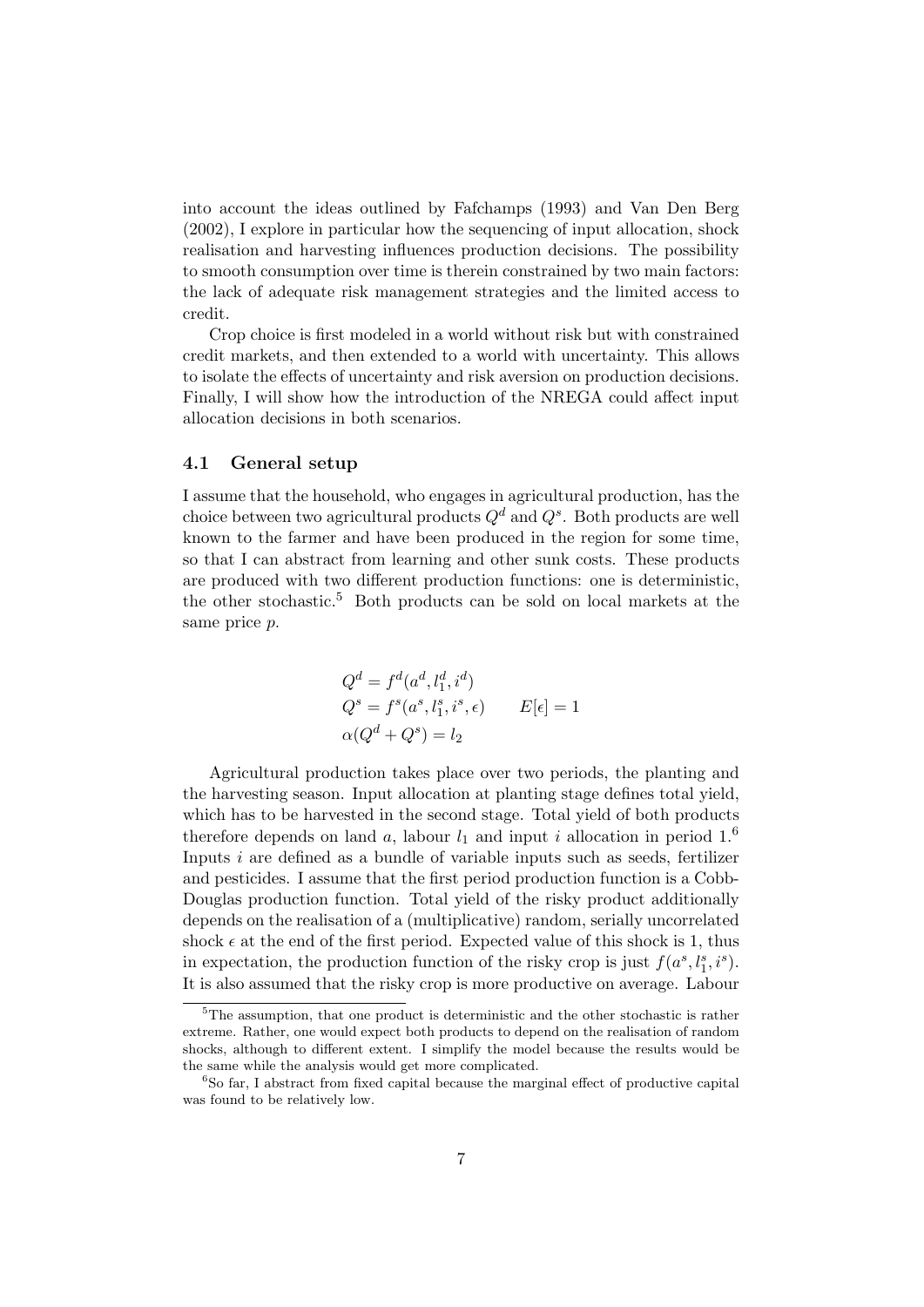into account the ideas outlined by Fafchamps (1993) and Van Den Berg (2002), I explore in particular how the sequencing of input allocation, shock realisation and harvesting influences production decisions. The possibility to smooth consumption over time is therein constrained by two main factors: the lack of adequate risk management strategies and the limited access to credit.

Crop choice is first modeled in a world without risk but with constrained credit markets, and then extended to a world with uncertainty. This allows to isolate the effects of uncertainty and risk aversion on production decisions. Finally, I will show how the introduction of the NREGA could affect input allocation decisions in both scenarios.

#### 4.1 General setup

I assume that the household, who engages in agricultural production, has the choice between two agricultural products  $Q^d$  and  $Q^s$ . Both products are well known to the farmer and have been produced in the region for some time, so that I can abstract from learning and other sunk costs. These products are produced with two different production functions: one is deterministic, the other stochastic.<sup>5</sup> Both products can be sold on local markets at the same price p.

$$
Q^{d} = f^{d}(a^{d}, l_{1}^{d}, i^{d})
$$
  
\n
$$
Q^{s} = f^{s}(a^{s}, l_{1}^{s}, i^{s}, \epsilon)
$$
  
\n
$$
\alpha(Q^{d} + Q^{s}) = l_{2}
$$
  
\n
$$
L[\epsilon] = 1
$$

Agricultural production takes place over two periods, the planting and the harvesting season. Input allocation at planting stage defines total yield, which has to be harvested in the second stage. Total yield of both products therefore depends on land a, labour  $l_1$  and input i allocation in period  $1<sup>6</sup>$ Inputs  $i$  are defined as a bundle of variable inputs such as seeds, fertilizer and pesticides. I assume that the first period production function is a Cobb-Douglas production function. Total yield of the risky product additionally depends on the realisation of a (multiplicative) random, serially uncorrelated shock  $\epsilon$  at the end of the first period. Expected value of this shock is 1, thus in expectation, the production function of the risky crop is just  $f(a^s, l_1^s, i^s)$ . It is also assumed that the risky crop is more productive on average. Labour

<sup>&</sup>lt;sup>5</sup>The assumption, that one product is deterministic and the other stochastic is rather extreme. Rather, one would expect both products to depend on the realisation of random shocks, although to different extent. I simplify the model because the results would be the same while the analysis would get more complicated.

<sup>6</sup>So far, I abstract from fixed capital because the marginal effect of productive capital was found to be relatively low.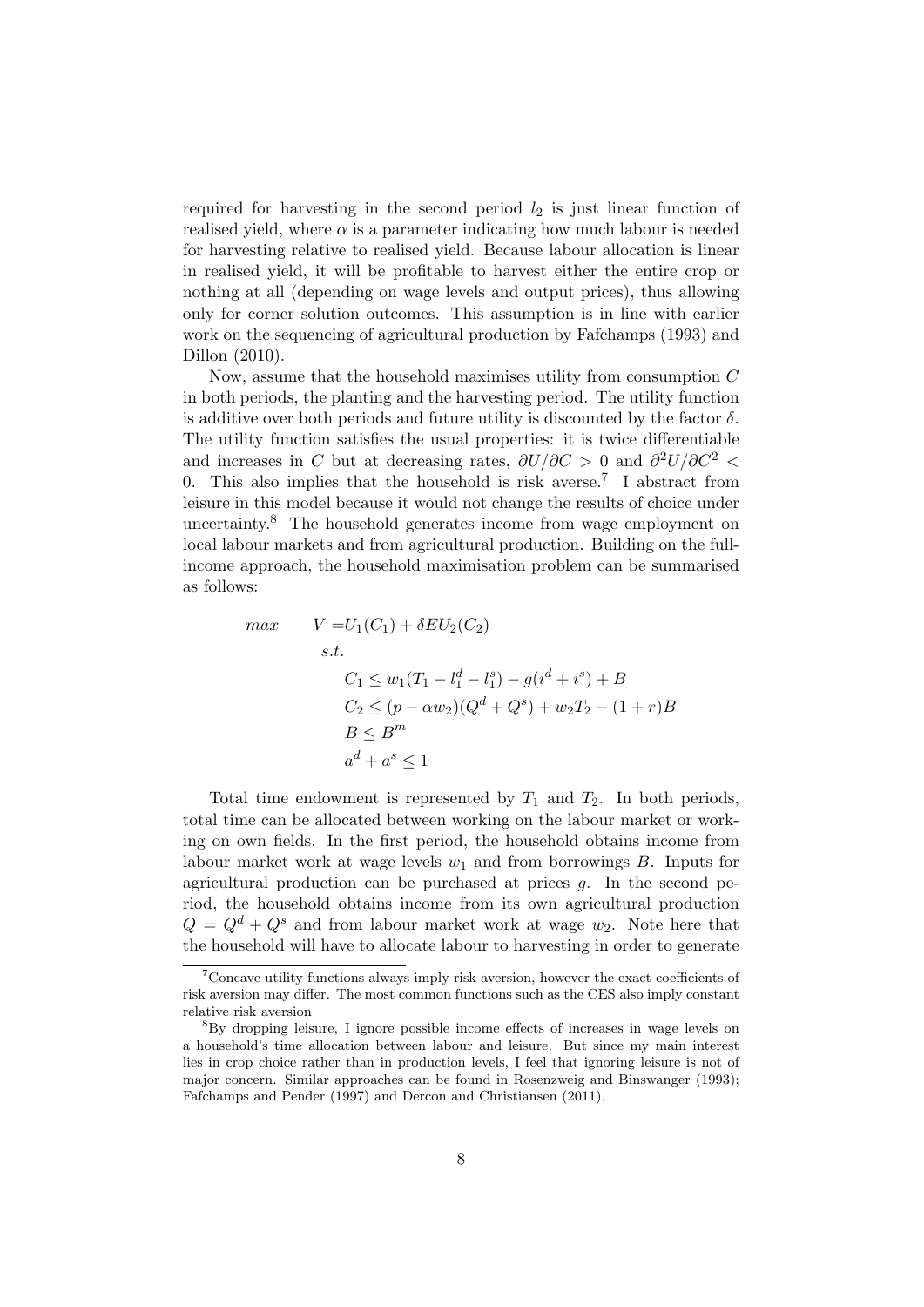required for harvesting in the second period  $l_2$  is just linear function of realised yield, where  $\alpha$  is a parameter indicating how much labour is needed for harvesting relative to realised yield. Because labour allocation is linear in realised yield, it will be profitable to harvest either the entire crop or nothing at all (depending on wage levels and output prices), thus allowing only for corner solution outcomes. This assumption is in line with earlier work on the sequencing of agricultural production by Fafchamps (1993) and Dillon (2010).

Now, assume that the household maximises utility from consumption C in both periods, the planting and the harvesting period. The utility function is additive over both periods and future utility is discounted by the factor  $\delta$ . The utility function satisfies the usual properties: it is twice differentiable and increases in C but at decreasing rates,  $\partial U/\partial C > 0$  and  $\partial^2 U/\partial C^2 <$ 0. This also implies that the household is risk averse.<sup>7</sup> I abstract from leisure in this model because it would not change the results of choice under uncertainty. $8$  The household generates income from wage employment on local labour markets and from agricultural production. Building on the fullincome approach, the household maximisation problem can be summarised as follows:

$$
max \t V = U_1(C_1) + \delta EU_2(C_2)
$$
  
s.t.  

$$
C_1 \le w_1(T_1 - l_1^d - l_1^s) - g(i^d + i^s) + B
$$
  

$$
C_2 \le (p - \alpha w_2)(Q^d + Q^s) + w_2 T_2 - (1 + r)B
$$
  

$$
B \le B^m
$$
  

$$
a^d + a^s \le 1
$$

Total time endowment is represented by  $T_1$  and  $T_2$ . In both periods, total time can be allocated between working on the labour market or working on own fields. In the first period, the household obtains income from labour market work at wage levels  $w_1$  and from borrowings B. Inputs for agricultural production can be purchased at prices  $q$ . In the second period, the household obtains income from its own agricultural production  $Q = Q^d + Q^s$  and from labour market work at wage  $w_2$ . Note here that the household will have to allocate labour to harvesting in order to generate

 $7$ Concave utility functions always imply risk aversion, however the exact coefficients of risk aversion may differ. The most common functions such as the CES also imply constant relative risk aversion

<sup>8</sup>By dropping leisure, I ignore possible income effects of increases in wage levels on a household's time allocation between labour and leisure. But since my main interest lies in crop choice rather than in production levels, I feel that ignoring leisure is not of major concern. Similar approaches can be found in Rosenzweig and Binswanger (1993); Fafchamps and Pender (1997) and Dercon and Christiansen (2011).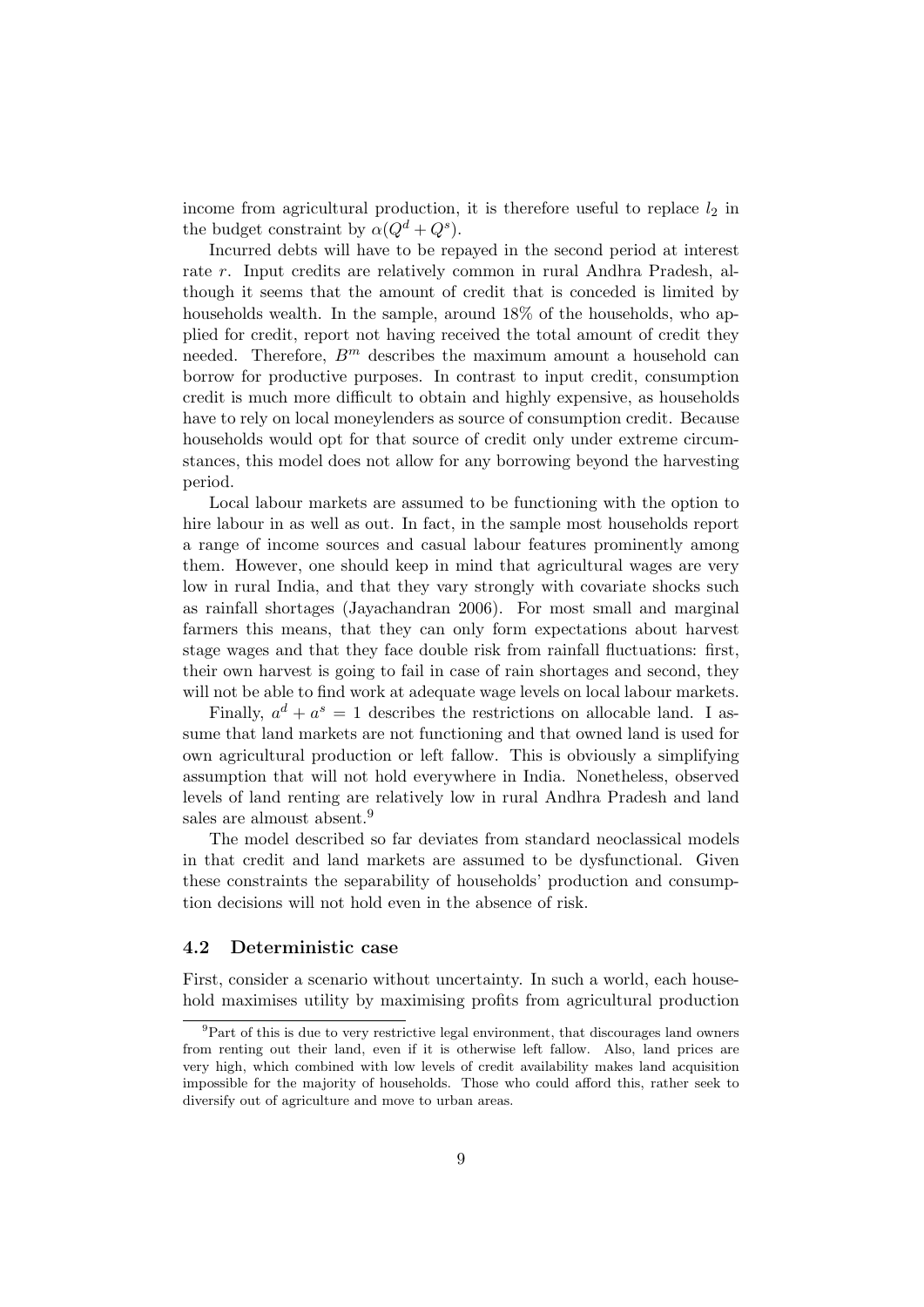income from agricultural production, it is therefore useful to replace  $l_2$  in the budget constraint by  $\alpha(Q^d+Q^s)$ .

Incurred debts will have to be repayed in the second period at interest rate r. Input credits are relatively common in rural Andhra Pradesh, although it seems that the amount of credit that is conceded is limited by households wealth. In the sample, around  $18\%$  of the households, who applied for credit, report not having received the total amount of credit they needed. Therefore,  $B^m$  describes the maximum amount a household can borrow for productive purposes. In contrast to input credit, consumption credit is much more difficult to obtain and highly expensive, as households have to rely on local moneylenders as source of consumption credit. Because households would opt for that source of credit only under extreme circumstances, this model does not allow for any borrowing beyond the harvesting period.

Local labour markets are assumed to be functioning with the option to hire labour in as well as out. In fact, in the sample most households report a range of income sources and casual labour features prominently among them. However, one should keep in mind that agricultural wages are very low in rural India, and that they vary strongly with covariate shocks such as rainfall shortages (Jayachandran 2006). For most small and marginal farmers this means, that they can only form expectations about harvest stage wages and that they face double risk from rainfall fluctuations: first, their own harvest is going to fail in case of rain shortages and second, they will not be able to find work at adequate wage levels on local labour markets.

Finally,  $a^d + a^s = 1$  describes the restrictions on allocable land. I assume that land markets are not functioning and that owned land is used for own agricultural production or left fallow. This is obviously a simplifying assumption that will not hold everywhere in India. Nonetheless, observed levels of land renting are relatively low in rural Andhra Pradesh and land sales are almoust absent.<sup>9</sup>

The model described so far deviates from standard neoclassical models in that credit and land markets are assumed to be dysfunctional. Given these constraints the separability of households' production and consumption decisions will not hold even in the absence of risk.

#### 4.2 Deterministic case

First, consider a scenario without uncertainty. In such a world, each household maximises utility by maximising profits from agricultural production

 ${}^{9}$ Part of this is due to very restrictive legal environment, that discourages land owners from renting out their land, even if it is otherwise left fallow. Also, land prices are very high, which combined with low levels of credit availability makes land acquisition impossible for the majority of households. Those who could afford this, rather seek to diversify out of agriculture and move to urban areas.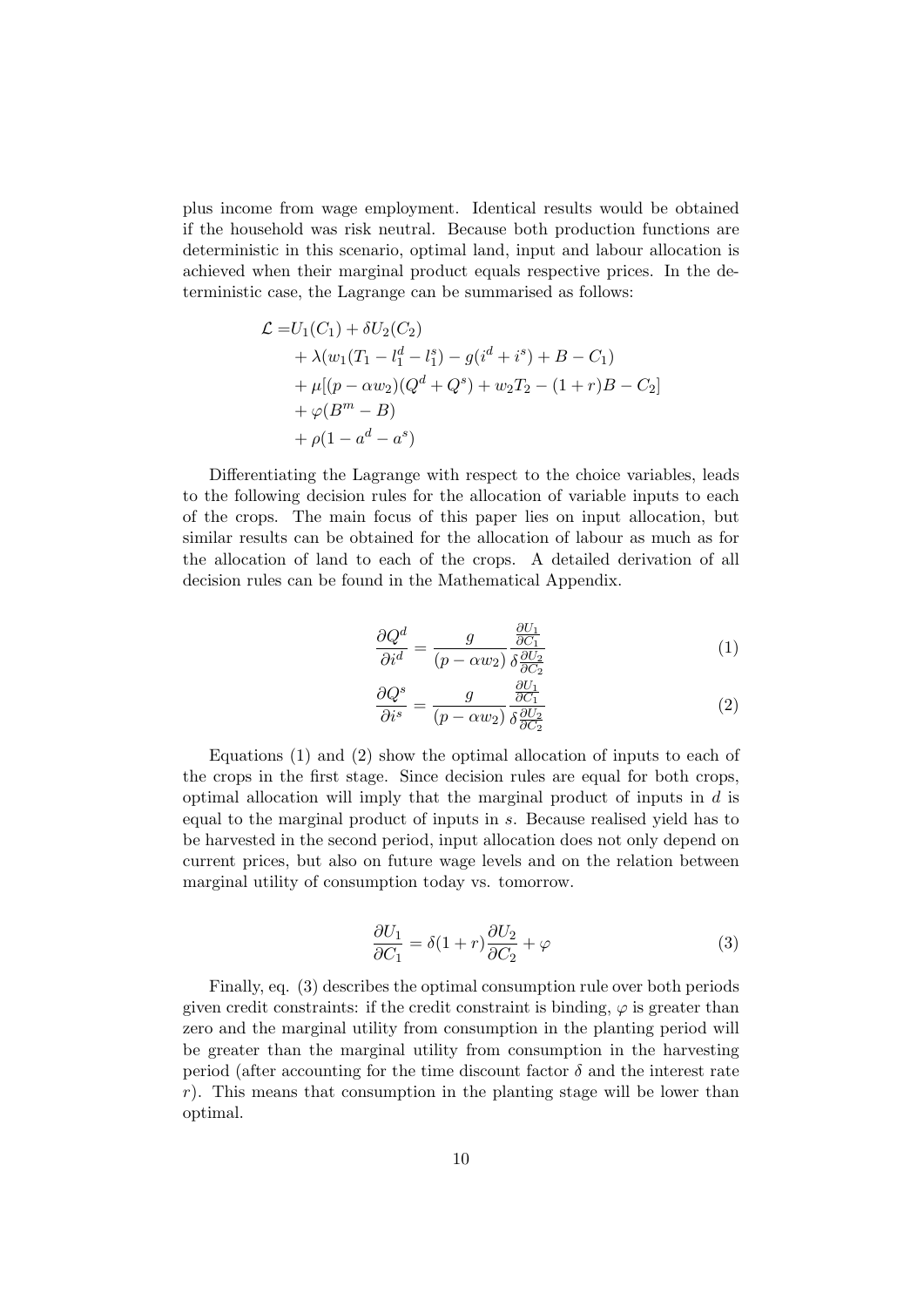plus income from wage employment. Identical results would be obtained if the household was risk neutral. Because both production functions are deterministic in this scenario, optimal land, input and labour allocation is achieved when their marginal product equals respective prices. In the deterministic case, the Lagrange can be summarised as follows:

$$
\mathcal{L} = U_1(C_1) + \delta U_2(C_2)
$$
  
+  $\lambda (w_1(T_1 - l_1^d - l_1^s) - g(i^d + i^s) + B - C_1)$   
+  $\mu [(p - \alpha w_2)(Q^d + Q^s) + w_2 T_2 - (1 + r)B - C_2]$   
+  $\varphi(B^m - B)$   
+  $\rho(1 - a^d - a^s)$ 

Differentiating the Lagrange with respect to the choice variables, leads to the following decision rules for the allocation of variable inputs to each of the crops. The main focus of this paper lies on input allocation, but similar results can be obtained for the allocation of labour as much as for the allocation of land to each of the crops. A detailed derivation of all decision rules can be found in the Mathematical Appendix.

$$
\frac{\partial Q^d}{\partial i^d} = \frac{g}{(p - \alpha w_2)} \frac{\frac{\partial U_1}{\partial C_1}}{\delta \frac{\partial U_2}{\partial C_2}}
$$
(1)

$$
\frac{\partial Q^s}{\partial i^s} = \frac{g}{(p - \alpha w_2)} \frac{\frac{\partial U_1}{\partial C_1}}{\delta \frac{\partial U_2}{\partial C_2}}
$$
(2)

Equations (1) and (2) show the optimal allocation of inputs to each of the crops in the first stage. Since decision rules are equal for both crops, optimal allocation will imply that the marginal product of inputs in d is equal to the marginal product of inputs in s. Because realised yield has to be harvested in the second period, input allocation does not only depend on current prices, but also on future wage levels and on the relation between marginal utility of consumption today vs. tomorrow.

$$
\frac{\partial U_1}{\partial C_1} = \delta(1+r)\frac{\partial U_2}{\partial C_2} + \varphi \tag{3}
$$

Finally, eq. (3) describes the optimal consumption rule over both periods given credit constraints: if the credit constraint is binding,  $\varphi$  is greater than zero and the marginal utility from consumption in the planting period will be greater than the marginal utility from consumption in the harvesting period (after accounting for the time discount factor  $\delta$  and the interest rate  $r$ ). This means that consumption in the planting stage will be lower than optimal.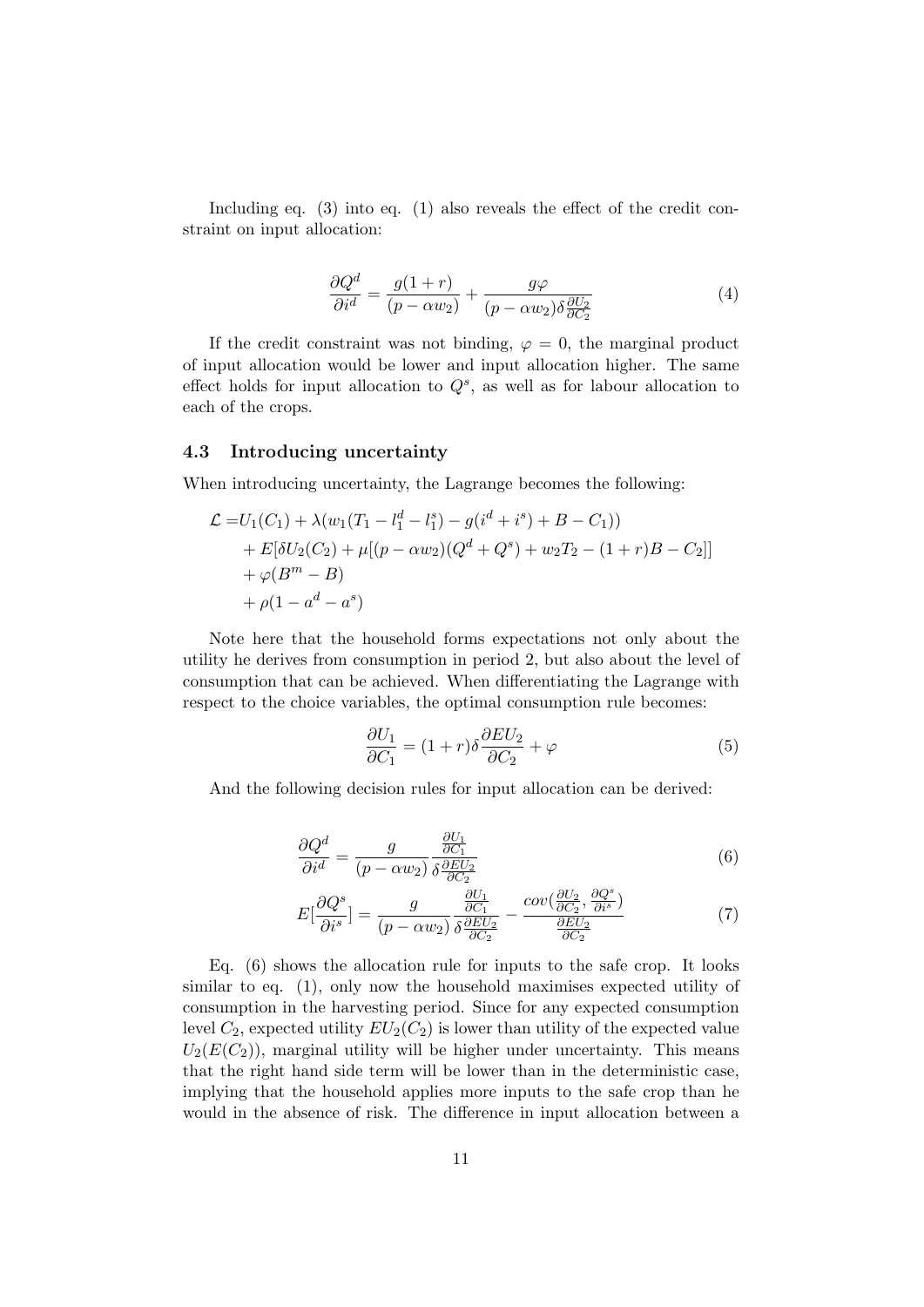Including eq. (3) into eq. (1) also reveals the effect of the credit constraint on input allocation:

$$
\frac{\partial Q^d}{\partial i^d} = \frac{g(1+r)}{(p - \alpha w_2)} + \frac{g\varphi}{(p - \alpha w_2)\delta \frac{\partial U_2}{\partial C_2}}
$$
(4)

If the credit constraint was not binding,  $\varphi = 0$ , the marginal product of input allocation would be lower and input allocation higher. The same effect holds for input allocation to  $Q^s$ , as well as for labour allocation to each of the crops.

#### 4.3 Introducing uncertainty

When introducing uncertainty, the Lagrange becomes the following:

$$
\mathcal{L} = U_1(C_1) + \lambda (w_1(T_1 - l_1^d - l_1^s) - g(i^d + i^s) + B - C_1))
$$
  
+ 
$$
E[\delta U_2(C_2) + \mu [(p - \alpha w_2)(Q^d + Q^s) + w_2 T_2 - (1 + r)B - C_2]]
$$
  
+ 
$$
\varphi(B^m - B)
$$
  
+ 
$$
\rho(1 - a^d - a^s)
$$

Note here that the household forms expectations not only about the utility he derives from consumption in period 2, but also about the level of consumption that can be achieved. When differentiating the Lagrange with respect to the choice variables, the optimal consumption rule becomes:

$$
\frac{\partial U_1}{\partial C_1} = (1+r)\delta \frac{\partial EU_2}{\partial C_2} + \varphi \tag{5}
$$

And the following decision rules for input allocation can be derived:

$$
\frac{\partial Q^d}{\partial i^d} = \frac{g}{(p - \alpha w_2)} \frac{\frac{\partial U_1}{\partial C_1}}{\delta \frac{\partial EU_2}{\partial C_2}}\tag{6}
$$

$$
E\left[\frac{\partial Q^s}{\partial i^s}\right] = \frac{g}{(p - \alpha w_2)} \frac{\frac{\partial U_1}{\partial C_1}}{\delta \frac{\partial EU_2}{\partial C_2}} - \frac{cov(\frac{\partial U_2}{\partial C_2}, \frac{\partial Q^s}{\partial i^s})}{\frac{\partial EU_2}{\partial C_2}}
$$
(7)

Eq. (6) shows the allocation rule for inputs to the safe crop. It looks similar to eq. (1), only now the household maximises expected utility of consumption in the harvesting period. Since for any expected consumption level  $C_2$ , expected utility  $EU_2(C_2)$  is lower than utility of the expected value  $U_2(E(C_2))$ , marginal utility will be higher under uncertainty. This means that the right hand side term will be lower than in the deterministic case, implying that the household applies more inputs to the safe crop than he would in the absence of risk. The difference in input allocation between a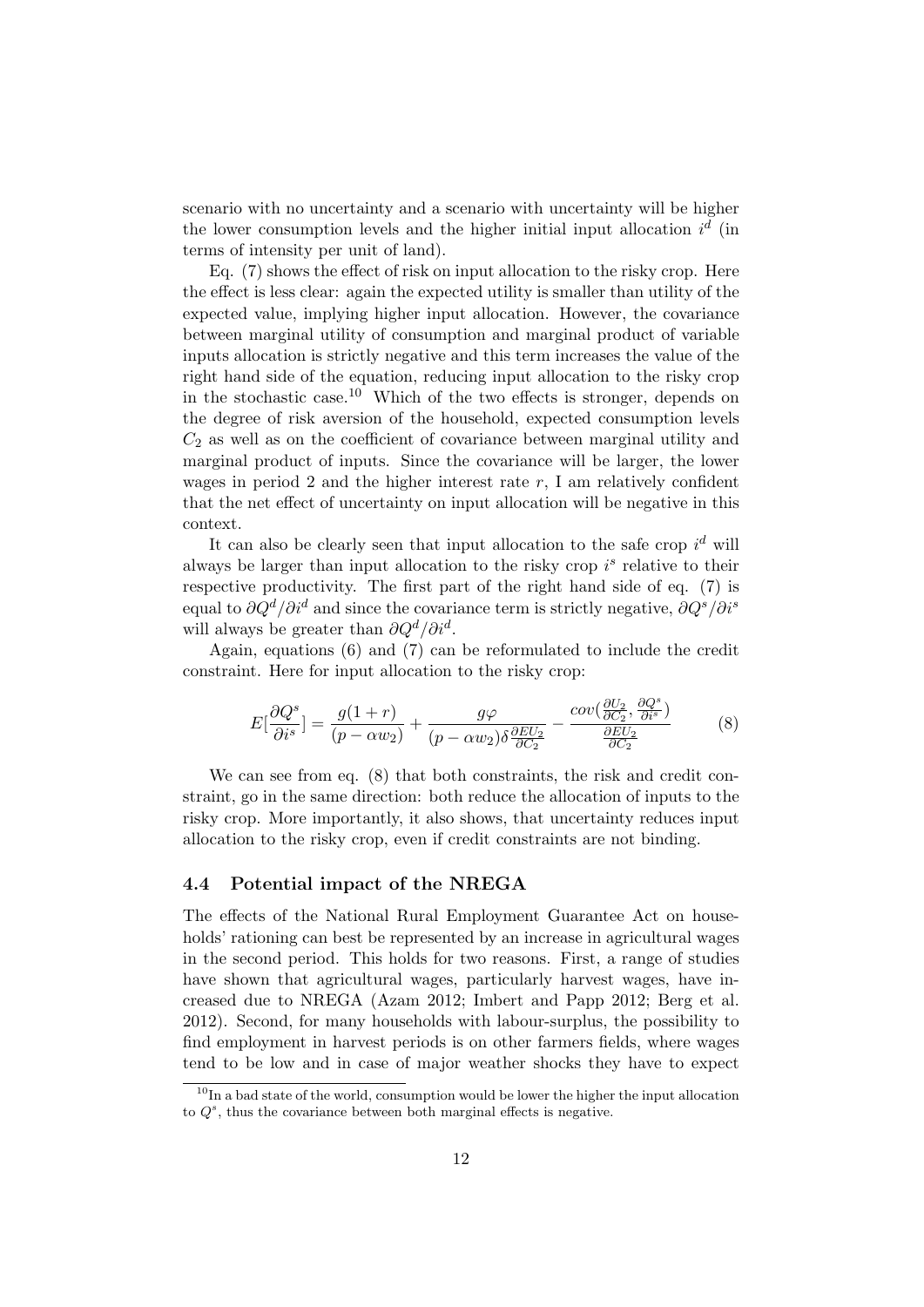scenario with no uncertainty and a scenario with uncertainty will be higher the lower consumption levels and the higher initial input allocation  $i^d$  (in terms of intensity per unit of land).

Eq. (7) shows the effect of risk on input allocation to the risky crop. Here the effect is less clear: again the expected utility is smaller than utility of the expected value, implying higher input allocation. However, the covariance between marginal utility of consumption and marginal product of variable inputs allocation is strictly negative and this term increases the value of the right hand side of the equation, reducing input allocation to the risky crop in the stochastic case.<sup>10</sup> Which of the two effects is stronger, depends on the degree of risk aversion of the household, expected consumption levels  $C_2$  as well as on the coefficient of covariance between marginal utility and marginal product of inputs. Since the covariance will be larger, the lower wages in period 2 and the higher interest rate  $r$ , I am relatively confident that the net effect of uncertainty on input allocation will be negative in this context.

It can also be clearly seen that input allocation to the safe crop  $i^d$  will always be larger than input allocation to the risky crop  $i<sup>s</sup>$  relative to their respective productivity. The first part of the right hand side of eq. (7) is equal to  $\partial Q^d/\partial i^d$  and since the covariance term is strictly negative,  $\partial Q^s/\partial i^s$ will always be greater than  $\partial Q^d / \partial i^d$ .

Again, equations (6) and (7) can be reformulated to include the credit constraint. Here for input allocation to the risky crop:

$$
E\left[\frac{\partial Q^s}{\partial i^s}\right] = \frac{g(1+r)}{(p-\alpha w_2)} + \frac{g\varphi}{(p-\alpha w_2)\delta \frac{\partial EU_2}{\partial C_2}} - \frac{cov(\frac{\partial U_2}{\partial C_2}, \frac{\partial Q^s}{\partial i^s})}{\frac{\partial EU_2}{\partial C_2}}
$$
(8)

We can see from eq. (8) that both constraints, the risk and credit constraint, go in the same direction: both reduce the allocation of inputs to the risky crop. More importantly, it also shows, that uncertainty reduces input allocation to the risky crop, even if credit constraints are not binding.

#### 4.4 Potential impact of the NREGA

The effects of the National Rural Employment Guarantee Act on households' rationing can best be represented by an increase in agricultural wages in the second period. This holds for two reasons. First, a range of studies have shown that agricultural wages, particularly harvest wages, have increased due to NREGA (Azam 2012; Imbert and Papp 2012; Berg et al. 2012). Second, for many households with labour-surplus, the possibility to find employment in harvest periods is on other farmers fields, where wages tend to be low and in case of major weather shocks they have to expect

<sup>&</sup>lt;sup>10</sup>In a bad state of the world, consumption would be lower the higher the input allocation to  $Q^s$ , thus the covariance between both marginal effects is negative.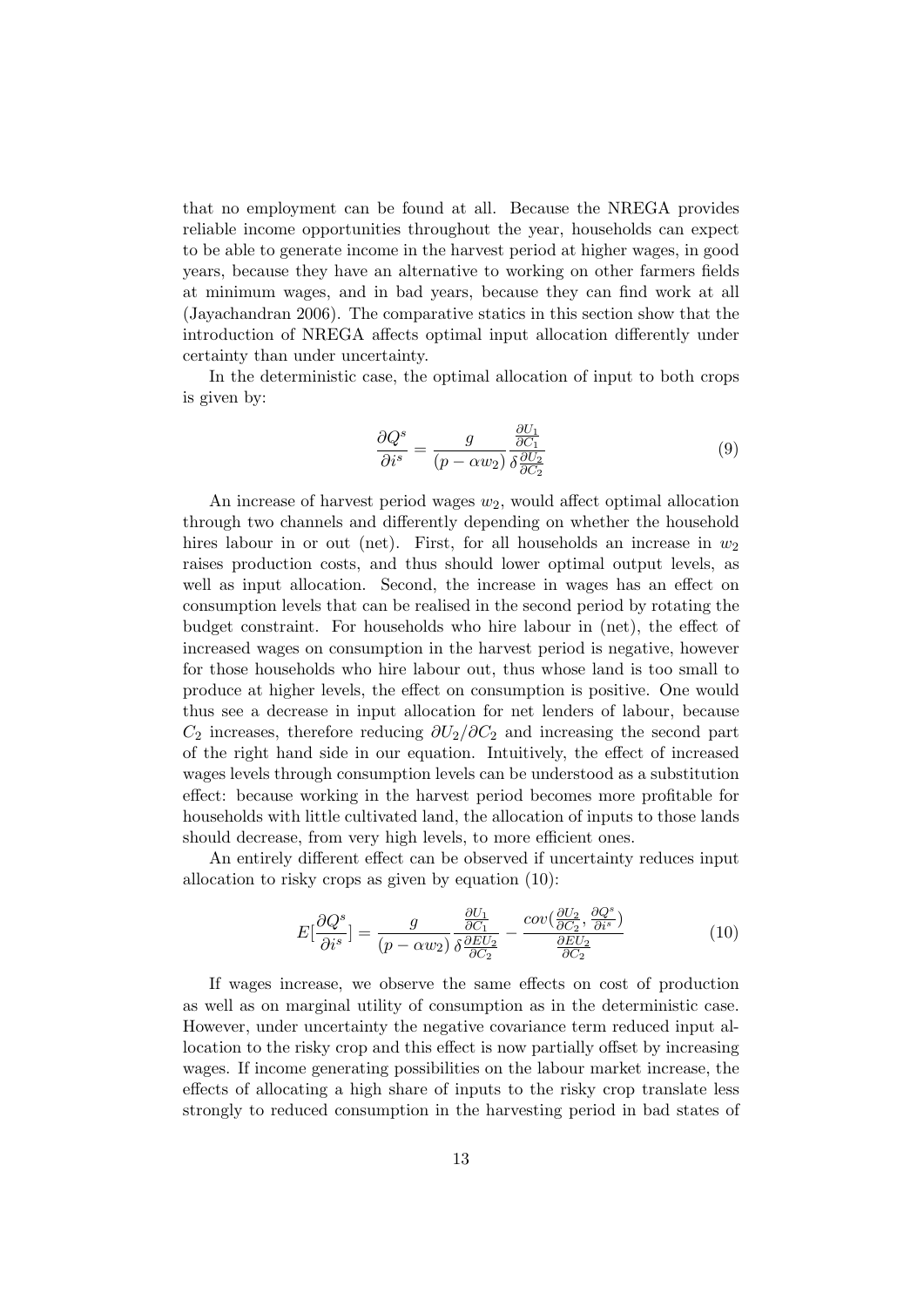that no employment can be found at all. Because the NREGA provides reliable income opportunities throughout the year, households can expect to be able to generate income in the harvest period at higher wages, in good years, because they have an alternative to working on other farmers fields at minimum wages, and in bad years, because they can find work at all (Jayachandran 2006). The comparative statics in this section show that the introduction of NREGA affects optimal input allocation differently under certainty than under uncertainty.

In the deterministic case, the optimal allocation of input to both crops is given by:

$$
\frac{\partial Q^s}{\partial i^s} = \frac{g}{(p - \alpha w_2)} \frac{\frac{\partial U_1}{\partial C_1}}{\delta \frac{\partial U_2}{\partial C_2}}
$$
(9)

An increase of harvest period wages  $w_2$ , would affect optimal allocation through two channels and differently depending on whether the household hires labour in or out (net). First, for all households an increase in  $w_2$ raises production costs, and thus should lower optimal output levels, as well as input allocation. Second, the increase in wages has an effect on consumption levels that can be realised in the second period by rotating the budget constraint. For households who hire labour in (net), the effect of increased wages on consumption in the harvest period is negative, however for those households who hire labour out, thus whose land is too small to produce at higher levels, the effect on consumption is positive. One would thus see a decrease in input allocation for net lenders of labour, because  $C_2$  increases, therefore reducing  $\partial U_2/\partial C_2$  and increasing the second part of the right hand side in our equation. Intuitively, the effect of increased wages levels through consumption levels can be understood as a substitution effect: because working in the harvest period becomes more profitable for households with little cultivated land, the allocation of inputs to those lands should decrease, from very high levels, to more efficient ones.

An entirely different effect can be observed if uncertainty reduces input allocation to risky crops as given by equation (10):

$$
E\left[\frac{\partial Q^s}{\partial i^s}\right] = \frac{g}{(p - \alpha w_2)} \frac{\frac{\partial U_1}{\partial C_1}}{\delta \frac{\partial EU_2}{\partial C_2}} - \frac{cov(\frac{\partial U_2}{\partial C_2}, \frac{\partial Q^s}{\partial i^s})}{\frac{\partial EU_2}{\partial C_2}}
$$
(10)

If wages increase, we observe the same effects on cost of production as well as on marginal utility of consumption as in the deterministic case. However, under uncertainty the negative covariance term reduced input allocation to the risky crop and this effect is now partially offset by increasing wages. If income generating possibilities on the labour market increase, the effects of allocating a high share of inputs to the risky crop translate less strongly to reduced consumption in the harvesting period in bad states of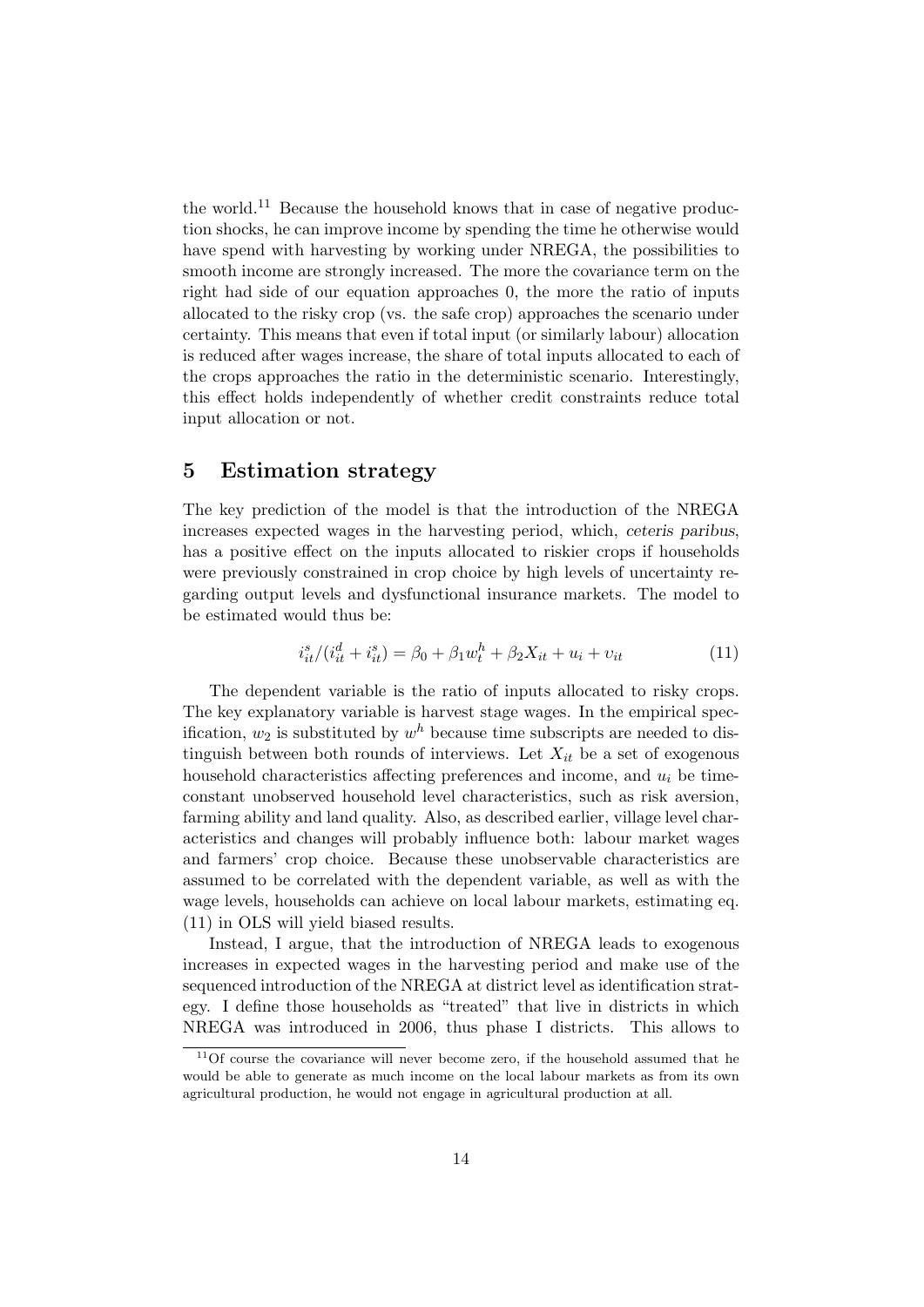the world.<sup>11</sup> Because the household knows that in case of negative production shocks, he can improve income by spending the time he otherwise would have spend with harvesting by working under NREGA, the possibilities to smooth income are strongly increased. The more the covariance term on the right had side of our equation approaches 0, the more the ratio of inputs allocated to the risky crop (vs. the safe crop) approaches the scenario under certainty. This means that even if total input (or similarly labour) allocation is reduced after wages increase, the share of total inputs allocated to each of the crops approaches the ratio in the deterministic scenario. Interestingly, this effect holds independently of whether credit constraints reduce total input allocation or not.

## 5 Estimation strategy

The key prediction of the model is that the introduction of the NREGA increases expected wages in the harvesting period, which, ceteris paribus, has a positive effect on the inputs allocated to riskier crops if households were previously constrained in crop choice by high levels of uncertainty regarding output levels and dysfunctional insurance markets. The model to be estimated would thus be:

$$
i_{it}^{s}/(i_{it}^{d} + i_{it}^{s}) = \beta_0 + \beta_1 w_t^{h} + \beta_2 X_{it} + u_i + v_{it}
$$
\n(11)

The dependent variable is the ratio of inputs allocated to risky crops. The key explanatory variable is harvest stage wages. In the empirical specification,  $w_2$  is substituted by  $w^h$  because time subscripts are needed to distinguish between both rounds of interviews. Let  $X_{it}$  be a set of exogenous household characteristics affecting preferences and income, and  $u_i$  be timeconstant unobserved household level characteristics, such as risk aversion, farming ability and land quality. Also, as described earlier, village level characteristics and changes will probably influence both: labour market wages and farmers' crop choice. Because these unobservable characteristics are assumed to be correlated with the dependent variable, as well as with the wage levels, households can achieve on local labour markets, estimating eq. (11) in OLS will yield biased results.

Instead, I argue, that the introduction of NREGA leads to exogenous increases in expected wages in the harvesting period and make use of the sequenced introduction of the NREGA at district level as identification strategy. I define those households as "treated" that live in districts in which NREGA was introduced in 2006, thus phase I districts. This allows to

<sup>&</sup>lt;sup>11</sup>Of course the covariance will never become zero, if the household assumed that he would be able to generate as much income on the local labour markets as from its own agricultural production, he would not engage in agricultural production at all.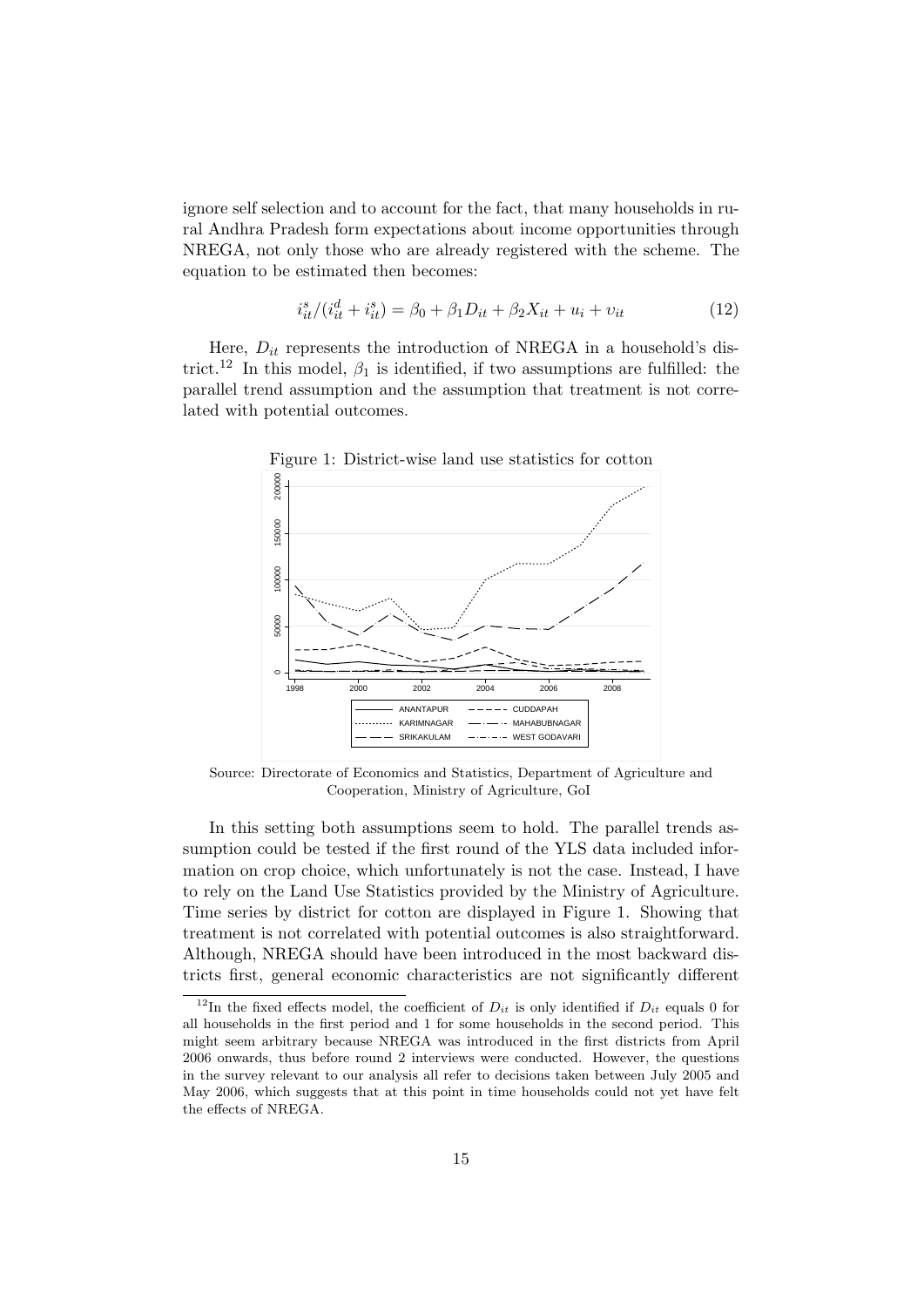ignore self selection and to account for the fact, that many households in rural Andhra Pradesh form expectations about income opportunities through NREGA, not only those who are already registered with the scheme. The equation to be estimated then becomes:

$$
i_{it}^{s}/(i_{it}^{d} + i_{it}^{s}) = \beta_0 + \beta_1 D_{it} + \beta_2 X_{it} + u_i + v_{it}
$$
\n(12)

Here,  $D_{it}$  represents the introduction of NREGA in a household's district.<sup>12</sup> In this model,  $\beta_1$  is identified, if two assumptions are fulfilled: the parallel trend assumption and the assumption that treatment is not correlated with potential outcomes.



Source: Directorate of Economics and Statistics, Department of Agriculture and Cooperation, Ministry of Agriculture, GoI

In this setting both assumptions seem to hold. The parallel trends assumption could be tested if the first round of the YLS data included information on crop choice, which unfortunately is not the case. Instead, I have to rely on the Land Use Statistics provided by the Ministry of Agriculture. Time series by district for cotton are displayed in Figure 1. Showing that treatment is not correlated with potential outcomes is also straightforward. Although, NREGA should have been introduced in the most backward districts first, general economic characteristics are not significantly different

<sup>&</sup>lt;sup>12</sup>In the fixed effects model, the coefficient of  $D_{it}$  is only identified if  $D_{it}$  equals 0 for all households in the first period and 1 for some households in the second period. This might seem arbitrary because NREGA was introduced in the first districts from April 2006 onwards, thus before round 2 interviews were conducted. However, the questions in the survey relevant to our analysis all refer to decisions taken between July 2005 and May 2006, which suggests that at this point in time households could not yet have felt the effects of NREGA.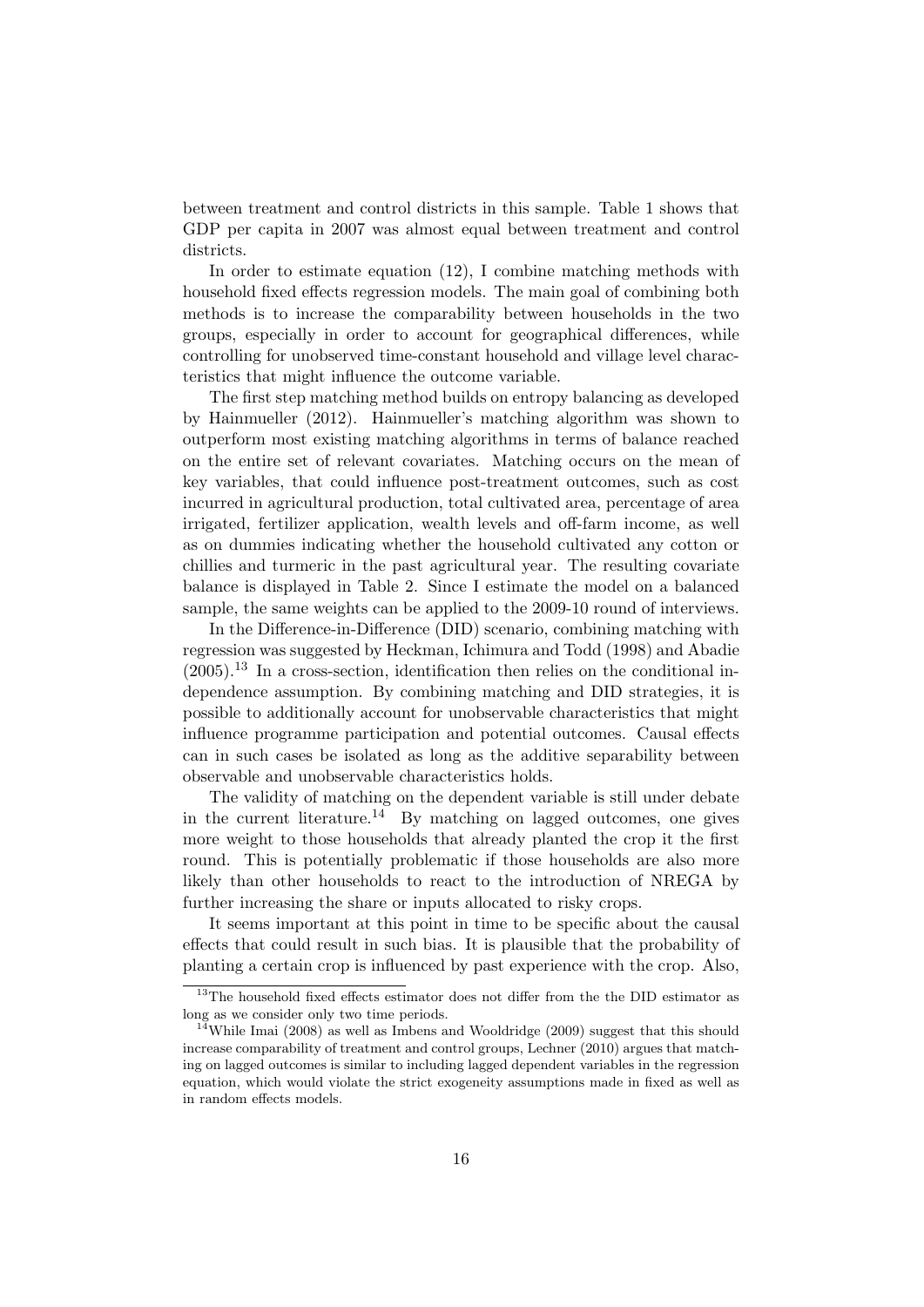between treatment and control districts in this sample. Table 1 shows that GDP per capita in 2007 was almost equal between treatment and control districts.

In order to estimate equation (12), I combine matching methods with household fixed effects regression models. The main goal of combining both methods is to increase the comparability between households in the two groups, especially in order to account for geographical differences, while controlling for unobserved time-constant household and village level characteristics that might influence the outcome variable.

The first step matching method builds on entropy balancing as developed by Hainmueller (2012). Hainmueller's matching algorithm was shown to outperform most existing matching algorithms in terms of balance reached on the entire set of relevant covariates. Matching occurs on the mean of key variables, that could influence post-treatment outcomes, such as cost incurred in agricultural production, total cultivated area, percentage of area irrigated, fertilizer application, wealth levels and off-farm income, as well as on dummies indicating whether the household cultivated any cotton or chillies and turmeric in the past agricultural year. The resulting covariate balance is displayed in Table 2. Since I estimate the model on a balanced sample, the same weights can be applied to the 2009-10 round of interviews.

In the Difference-in-Difference (DID) scenario, combining matching with regression was suggested by Heckman, Ichimura and Todd (1998) and Abadie  $(2005).$ <sup>13</sup> In a cross-section, identification then relies on the conditional independence assumption. By combining matching and DID strategies, it is possible to additionally account for unobservable characteristics that might influence programme participation and potential outcomes. Causal effects can in such cases be isolated as long as the additive separability between observable and unobservable characteristics holds.

The validity of matching on the dependent variable is still under debate in the current literature.<sup>14</sup> By matching on lagged outcomes, one gives more weight to those households that already planted the crop it the first round. This is potentially problematic if those households are also more likely than other households to react to the introduction of NREGA by further increasing the share or inputs allocated to risky crops.

It seems important at this point in time to be specific about the causal effects that could result in such bias. It is plausible that the probability of planting a certain crop is influenced by past experience with the crop. Also,

 $^{13}\mathrm{The}$  household fixed effects estimator does not differ from the the DID estimator as long as we consider only two time periods.

<sup>&</sup>lt;sup>14</sup>While Imai (2008) as well as Imbens and Wooldridge (2009) suggest that this should increase comparability of treatment and control groups, Lechner (2010) argues that matching on lagged outcomes is similar to including lagged dependent variables in the regression equation, which would violate the strict exogeneity assumptions made in fixed as well as in random effects models.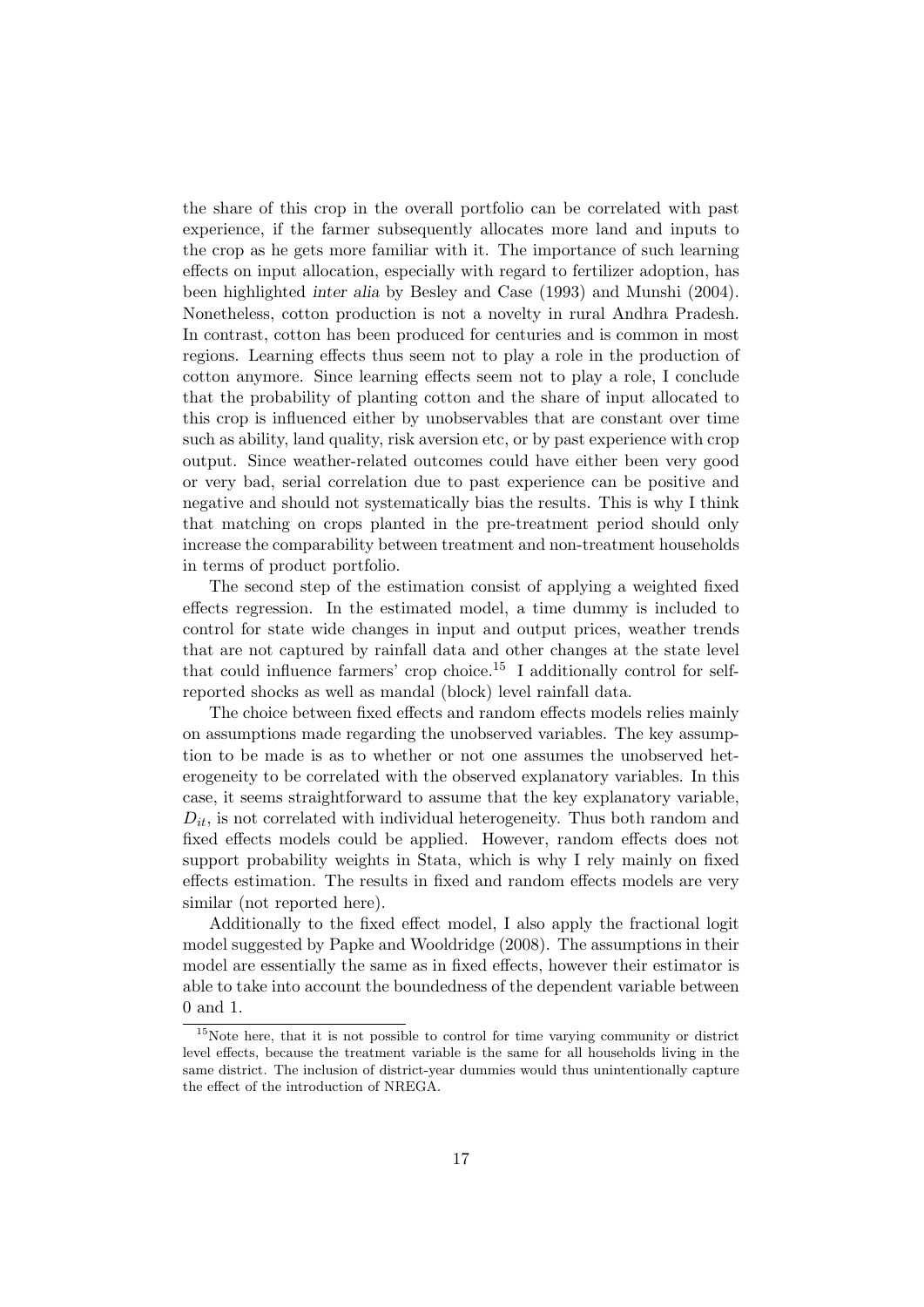the share of this crop in the overall portfolio can be correlated with past experience, if the farmer subsequently allocates more land and inputs to the crop as he gets more familiar with it. The importance of such learning effects on input allocation, especially with regard to fertilizer adoption, has been highlighted inter alia by Besley and Case (1993) and Munshi (2004). Nonetheless, cotton production is not a novelty in rural Andhra Pradesh. In contrast, cotton has been produced for centuries and is common in most regions. Learning effects thus seem not to play a role in the production of cotton anymore. Since learning effects seem not to play a role, I conclude that the probability of planting cotton and the share of input allocated to this crop is influenced either by unobservables that are constant over time such as ability, land quality, risk aversion etc, or by past experience with crop output. Since weather-related outcomes could have either been very good or very bad, serial correlation due to past experience can be positive and negative and should not systematically bias the results. This is why I think that matching on crops planted in the pre-treatment period should only increase the comparability between treatment and non-treatment households in terms of product portfolio.

The second step of the estimation consist of applying a weighted fixed effects regression. In the estimated model, a time dummy is included to control for state wide changes in input and output prices, weather trends that are not captured by rainfall data and other changes at the state level that could influence farmers' crop choice.<sup>15</sup> I additionally control for selfreported shocks as well as mandal (block) level rainfall data.

The choice between fixed effects and random effects models relies mainly on assumptions made regarding the unobserved variables. The key assumption to be made is as to whether or not one assumes the unobserved heterogeneity to be correlated with the observed explanatory variables. In this case, it seems straightforward to assume that the key explanatory variable,  $D_{it}$ , is not correlated with individual heterogeneity. Thus both random and fixed effects models could be applied. However, random effects does not support probability weights in Stata, which is why I rely mainly on fixed effects estimation. The results in fixed and random effects models are very similar (not reported here).

Additionally to the fixed effect model, I also apply the fractional logit model suggested by Papke and Wooldridge (2008). The assumptions in their model are essentially the same as in fixed effects, however their estimator is able to take into account the boundedness of the dependent variable between 0 and 1.

<sup>&</sup>lt;sup>15</sup>Note here, that it is not possible to control for time varying community or district level effects, because the treatment variable is the same for all households living in the same district. The inclusion of district-year dummies would thus unintentionally capture the effect of the introduction of NREGA.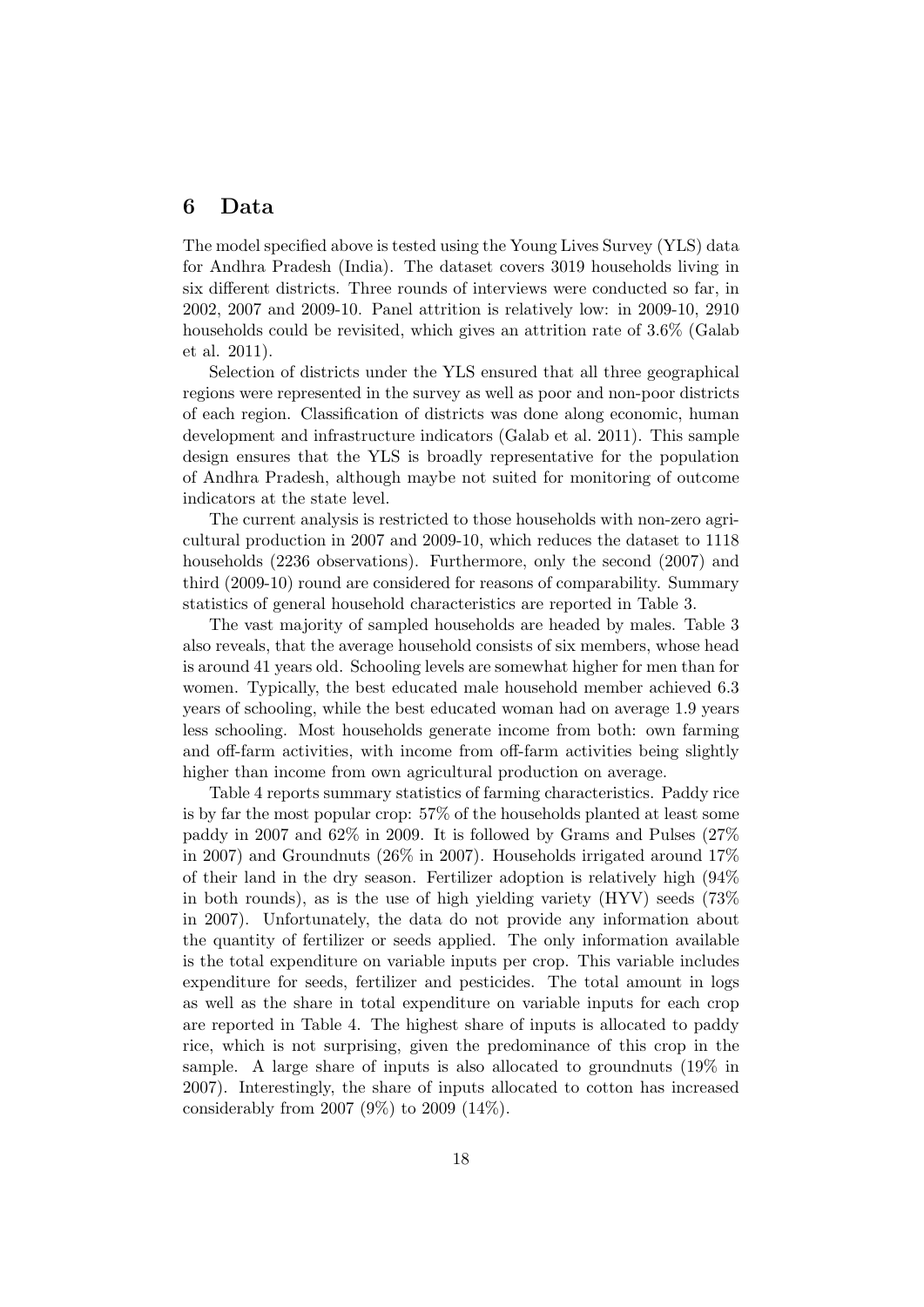#### 6 Data

The model specified above is tested using the Young Lives Survey (YLS) data for Andhra Pradesh (India). The dataset covers 3019 households living in six different districts. Three rounds of interviews were conducted so far, in 2002, 2007 and 2009-10. Panel attrition is relatively low: in 2009-10, 2910 households could be revisited, which gives an attrition rate of 3.6% (Galab et al. 2011).

Selection of districts under the YLS ensured that all three geographical regions were represented in the survey as well as poor and non-poor districts of each region. Classification of districts was done along economic, human development and infrastructure indicators (Galab et al. 2011). This sample design ensures that the YLS is broadly representative for the population of Andhra Pradesh, although maybe not suited for monitoring of outcome indicators at the state level.

The current analysis is restricted to those households with non-zero agricultural production in 2007 and 2009-10, which reduces the dataset to 1118 households (2236 observations). Furthermore, only the second (2007) and third (2009-10) round are considered for reasons of comparability. Summary statistics of general household characteristics are reported in Table 3.

The vast majority of sampled households are headed by males. Table 3 also reveals, that the average household consists of six members, whose head is around 41 years old. Schooling levels are somewhat higher for men than for women. Typically, the best educated male household member achieved 6.3 years of schooling, while the best educated woman had on average 1.9 years less schooling. Most households generate income from both: own farming and off-farm activities, with income from off-farm activities being slightly higher than income from own agricultural production on average.

Table 4 reports summary statistics of farming characteristics. Paddy rice is by far the most popular crop: 57% of the households planted at least some paddy in 2007 and 62% in 2009. It is followed by Grams and Pulses (27% in 2007) and Groundnuts (26% in 2007). Households irrigated around 17% of their land in the dry season. Fertilizer adoption is relatively high (94% in both rounds), as is the use of high yielding variety (HYV) seeds (73% in 2007). Unfortunately, the data do not provide any information about the quantity of fertilizer or seeds applied. The only information available is the total expenditure on variable inputs per crop. This variable includes expenditure for seeds, fertilizer and pesticides. The total amount in logs as well as the share in total expenditure on variable inputs for each crop are reported in Table 4. The highest share of inputs is allocated to paddy rice, which is not surprising, given the predominance of this crop in the sample. A large share of inputs is also allocated to groundnuts (19% in 2007). Interestingly, the share of inputs allocated to cotton has increased considerably from 2007 (9%) to 2009 (14%).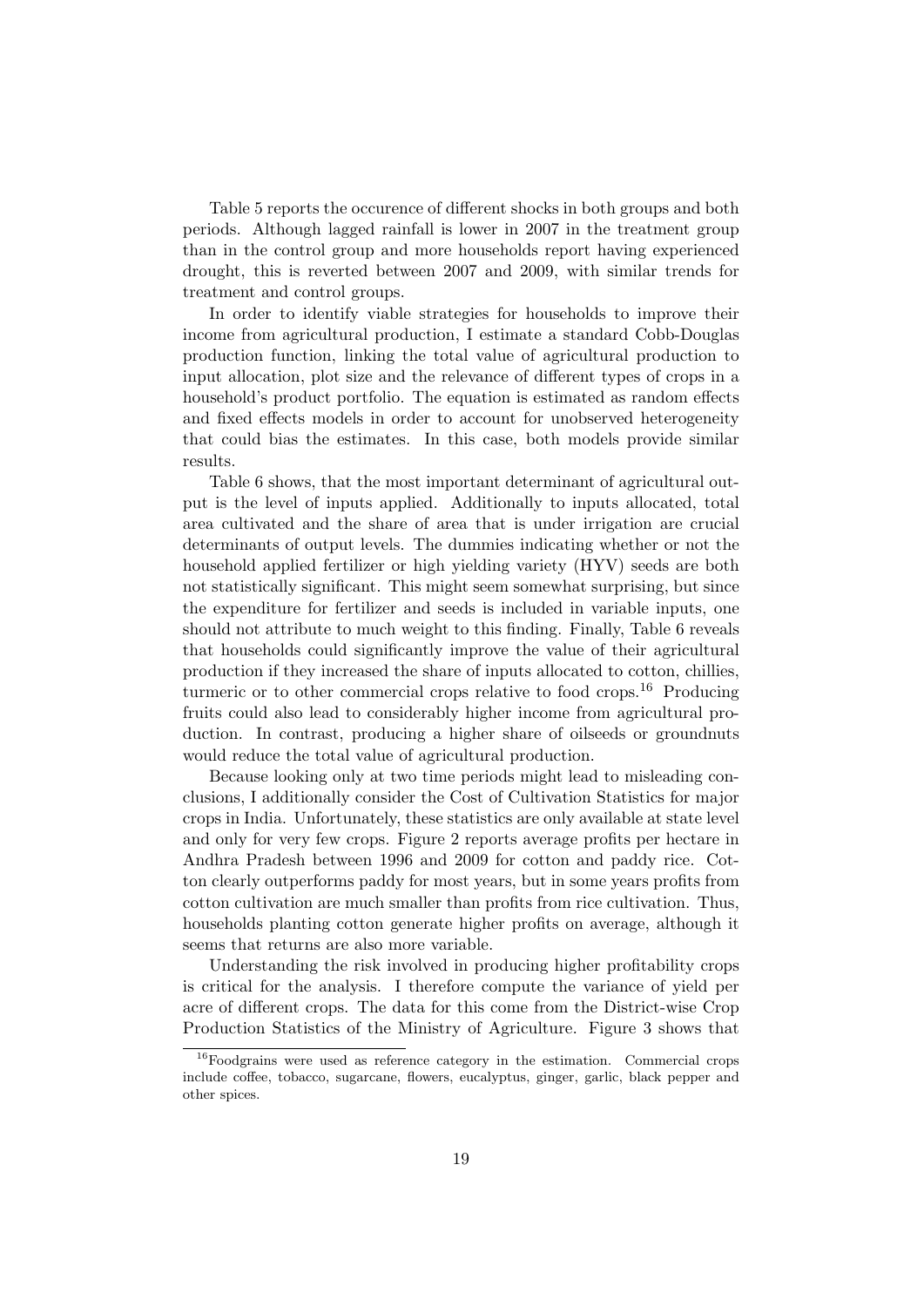Table 5 reports the occurence of different shocks in both groups and both periods. Although lagged rainfall is lower in 2007 in the treatment group than in the control group and more households report having experienced drought, this is reverted between 2007 and 2009, with similar trends for treatment and control groups.

In order to identify viable strategies for households to improve their income from agricultural production, I estimate a standard Cobb-Douglas production function, linking the total value of agricultural production to input allocation, plot size and the relevance of different types of crops in a household's product portfolio. The equation is estimated as random effects and fixed effects models in order to account for unobserved heterogeneity that could bias the estimates. In this case, both models provide similar results.

Table 6 shows, that the most important determinant of agricultural output is the level of inputs applied. Additionally to inputs allocated, total area cultivated and the share of area that is under irrigation are crucial determinants of output levels. The dummies indicating whether or not the household applied fertilizer or high yielding variety (HYV) seeds are both not statistically significant. This might seem somewhat surprising, but since the expenditure for fertilizer and seeds is included in variable inputs, one should not attribute to much weight to this finding. Finally, Table 6 reveals that households could significantly improve the value of their agricultural production if they increased the share of inputs allocated to cotton, chillies, turmeric or to other commercial crops relative to food crops.<sup>16</sup> Producing fruits could also lead to considerably higher income from agricultural production. In contrast, producing a higher share of oilseeds or groundnuts would reduce the total value of agricultural production.

Because looking only at two time periods might lead to misleading conclusions, I additionally consider the Cost of Cultivation Statistics for major crops in India. Unfortunately, these statistics are only available at state level and only for very few crops. Figure 2 reports average profits per hectare in Andhra Pradesh between 1996 and 2009 for cotton and paddy rice. Cotton clearly outperforms paddy for most years, but in some years profits from cotton cultivation are much smaller than profits from rice cultivation. Thus, households planting cotton generate higher profits on average, although it seems that returns are also more variable.

Understanding the risk involved in producing higher profitability crops is critical for the analysis. I therefore compute the variance of yield per acre of different crops. The data for this come from the District-wise Crop Production Statistics of the Ministry of Agriculture. Figure 3 shows that

<sup>16</sup>Foodgrains were used as reference category in the estimation. Commercial crops include coffee, tobacco, sugarcane, flowers, eucalyptus, ginger, garlic, black pepper and other spices.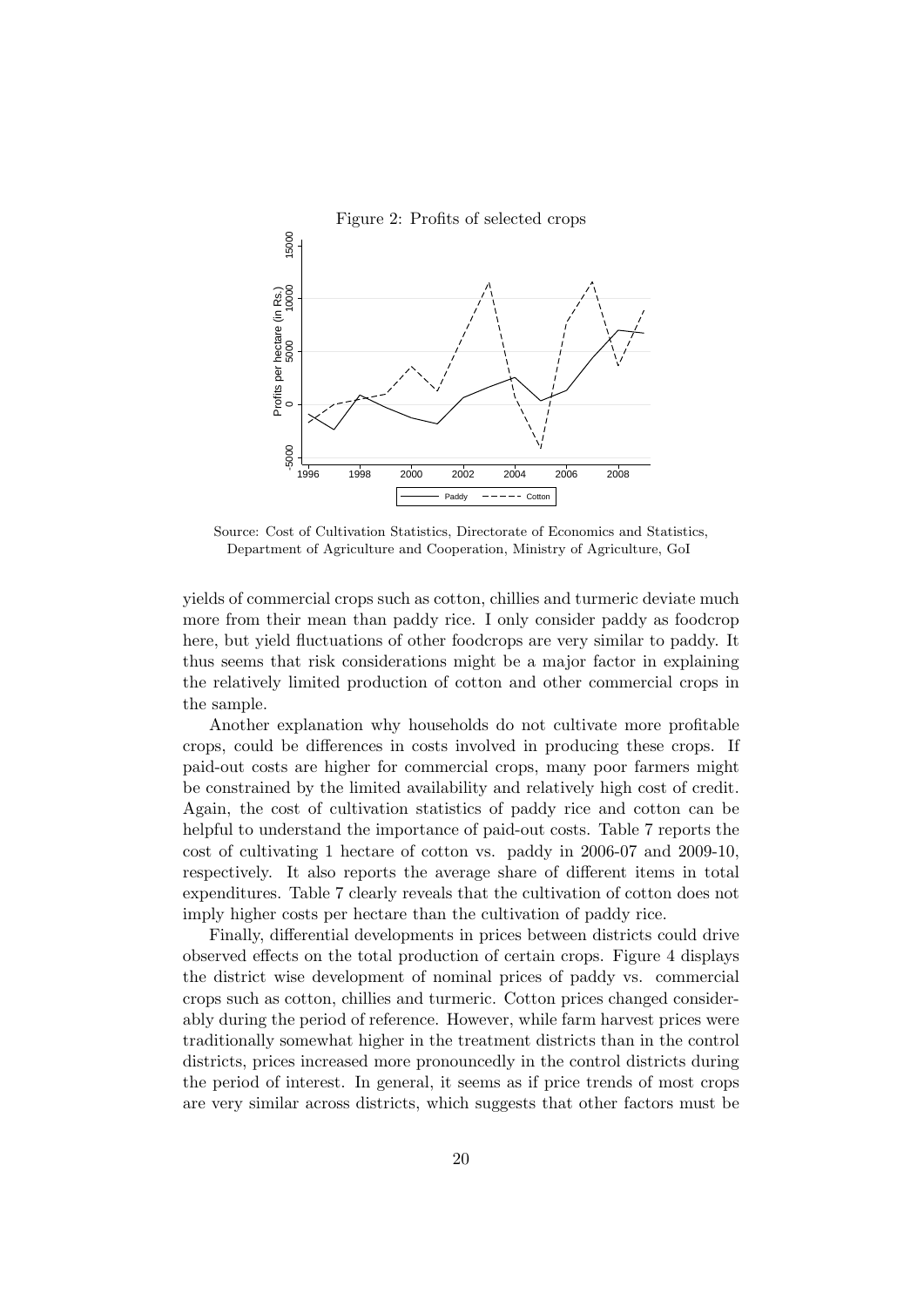

Source: Cost of Cultivation Statistics, Directorate of Economics and Statistics, Department of Agriculture and Cooperation, Ministry of Agriculture, GoI

yields of commercial crops such as cotton, chillies and turmeric deviate much more from their mean than paddy rice. I only consider paddy as foodcrop here, but yield fluctuations of other foodcrops are very similar to paddy. It thus seems that risk considerations might be a major factor in explaining the relatively limited production of cotton and other commercial crops in the sample.

Another explanation why households do not cultivate more profitable crops, could be differences in costs involved in producing these crops. If paid-out costs are higher for commercial crops, many poor farmers might be constrained by the limited availability and relatively high cost of credit. Again, the cost of cultivation statistics of paddy rice and cotton can be helpful to understand the importance of paid-out costs. Table 7 reports the cost of cultivating 1 hectare of cotton vs. paddy in 2006-07 and 2009-10, respectively. It also reports the average share of different items in total expenditures. Table 7 clearly reveals that the cultivation of cotton does not imply higher costs per hectare than the cultivation of paddy rice.

Finally, differential developments in prices between districts could drive observed effects on the total production of certain crops. Figure 4 displays the district wise development of nominal prices of paddy vs. commercial crops such as cotton, chillies and turmeric. Cotton prices changed considerably during the period of reference. However, while farm harvest prices were traditionally somewhat higher in the treatment districts than in the control districts, prices increased more pronouncedly in the control districts during the period of interest. In general, it seems as if price trends of most crops are very similar across districts, which suggests that other factors must be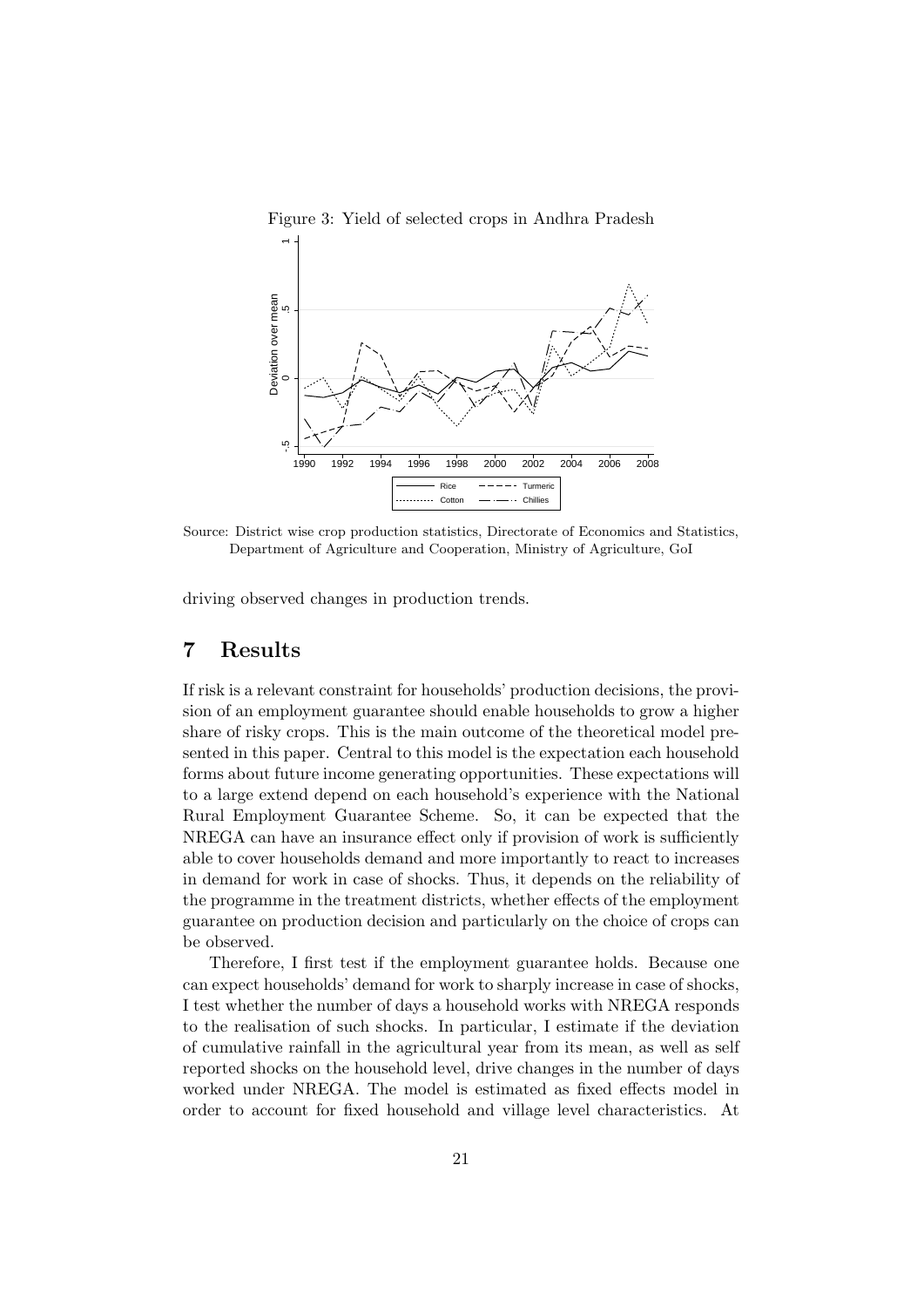

Source: District wise crop production statistics, Directorate of Economics and Statistics, Department of Agriculture and Cooperation, Ministry of Agriculture, GoI

driving observed changes in production trends.

## 7 Results

If risk is a relevant constraint for households' production decisions, the provision of an employment guarantee should enable households to grow a higher share of risky crops. This is the main outcome of the theoretical model presented in this paper. Central to this model is the expectation each household forms about future income generating opportunities. These expectations will to a large extend depend on each household's experience with the National Rural Employment Guarantee Scheme. So, it can be expected that the NREGA can have an insurance effect only if provision of work is sufficiently able to cover households demand and more importantly to react to increases in demand for work in case of shocks. Thus, it depends on the reliability of the programme in the treatment districts, whether effects of the employment guarantee on production decision and particularly on the choice of crops can be observed.

Therefore, I first test if the employment guarantee holds. Because one can expect households' demand for work to sharply increase in case of shocks, I test whether the number of days a household works with NREGA responds to the realisation of such shocks. In particular, I estimate if the deviation of cumulative rainfall in the agricultural year from its mean, as well as self reported shocks on the household level, drive changes in the number of days worked under NREGA. The model is estimated as fixed effects model in order to account for fixed household and village level characteristics. At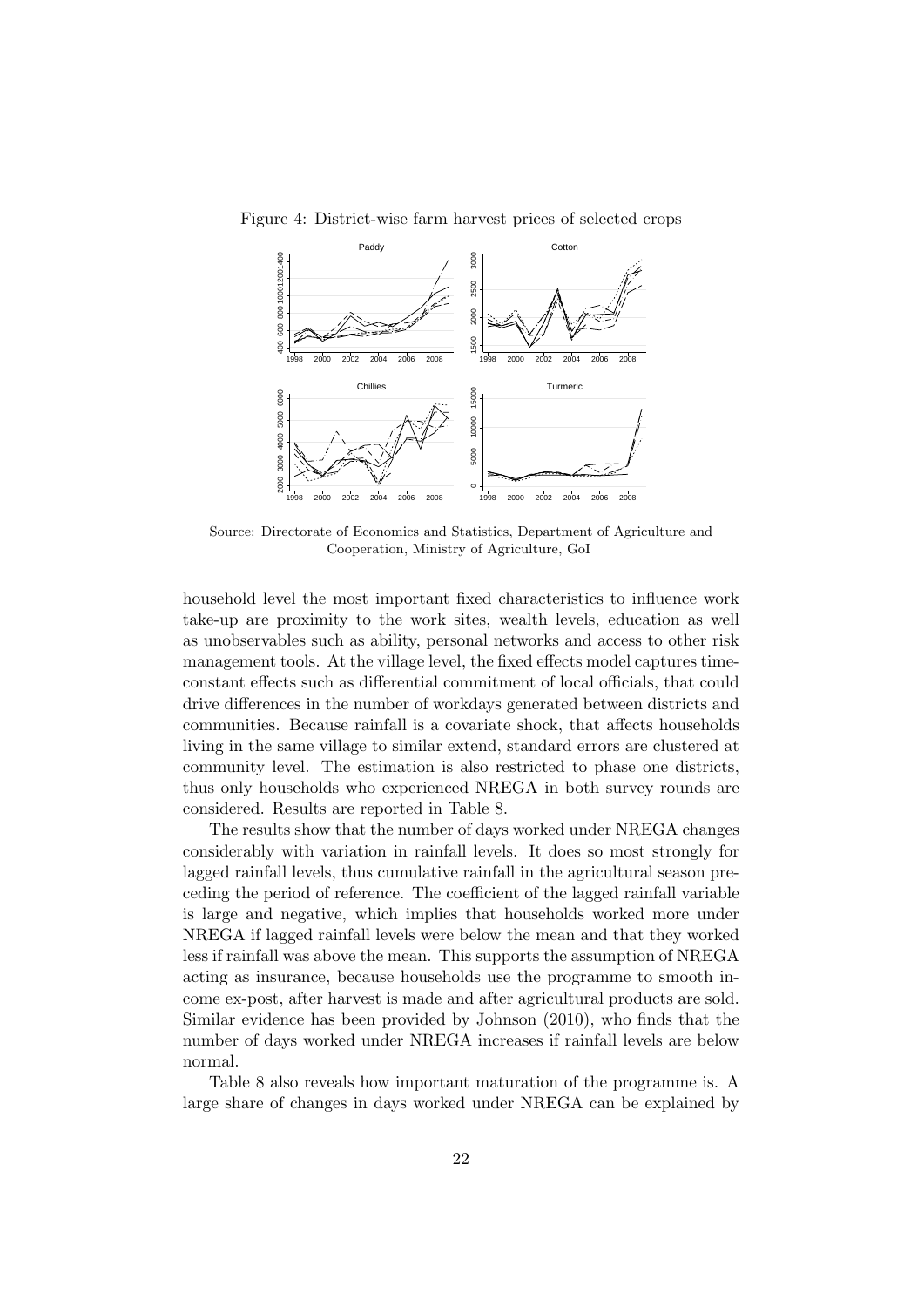

Figure 4: District-wise farm harvest prices of selected crops

Source: Directorate of Economics and Statistics, Department of Agriculture and Cooperation, Ministry of Agriculture, GoI

household level the most important fixed characteristics to influence work take-up are proximity to the work sites, wealth levels, education as well as unobservables such as ability, personal networks and access to other risk management tools. At the village level, the fixed effects model captures timeconstant effects such as differential commitment of local officials, that could drive differences in the number of workdays generated between districts and communities. Because rainfall is a covariate shock, that affects households living in the same village to similar extend, standard errors are clustered at community level. The estimation is also restricted to phase one districts, thus only households who experienced NREGA in both survey rounds are considered. Results are reported in Table 8.

The results show that the number of days worked under NREGA changes considerably with variation in rainfall levels. It does so most strongly for lagged rainfall levels, thus cumulative rainfall in the agricultural season preceding the period of reference. The coefficient of the lagged rainfall variable is large and negative, which implies that households worked more under NREGA if lagged rainfall levels were below the mean and that they worked less if rainfall was above the mean. This supports the assumption of NREGA acting as insurance, because households use the programme to smooth income ex-post, after harvest is made and after agricultural products are sold. Similar evidence has been provided by Johnson (2010), who finds that the number of days worked under NREGA increases if rainfall levels are below normal.

Table 8 also reveals how important maturation of the programme is. A large share of changes in days worked under NREGA can be explained by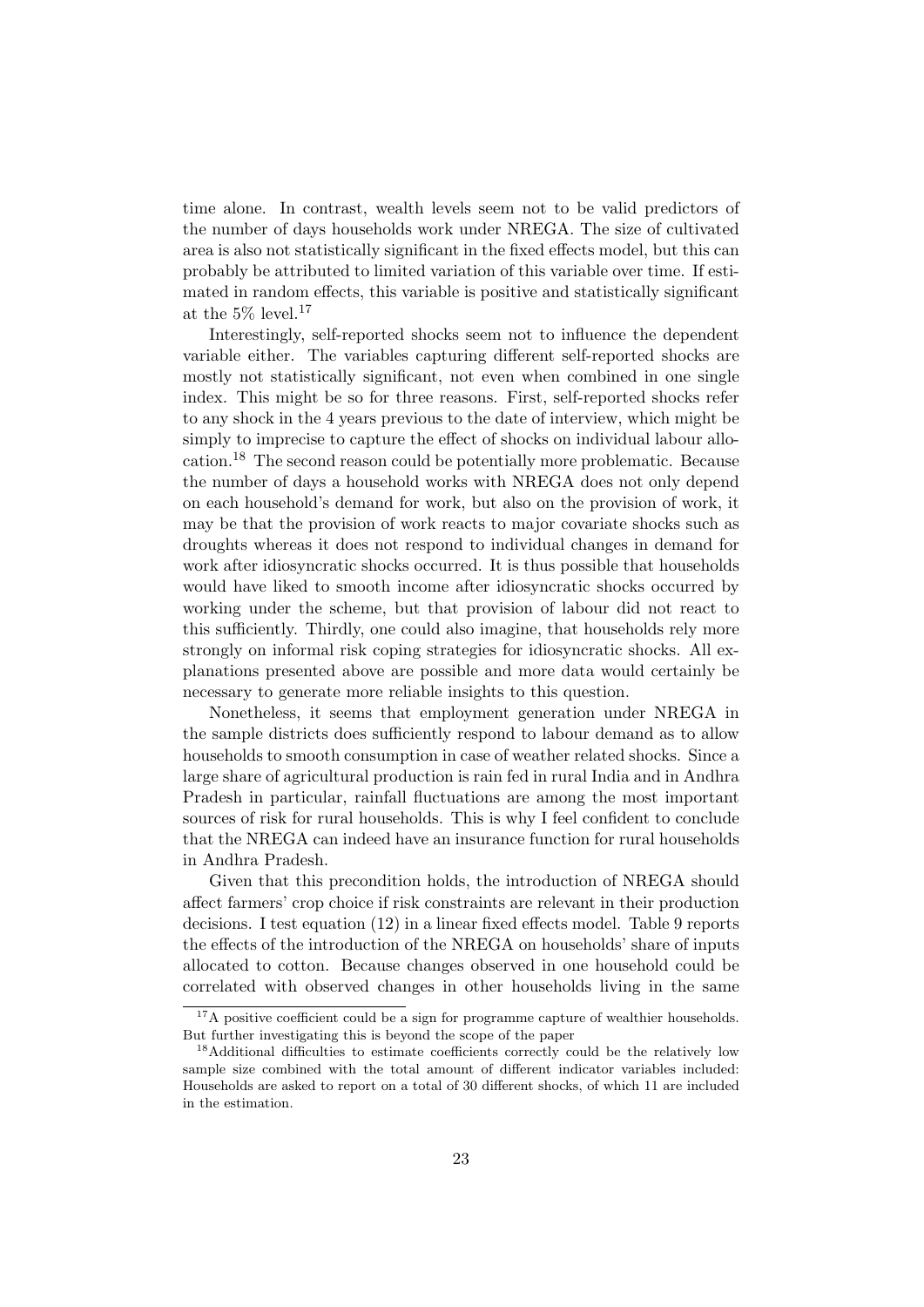time alone. In contrast, wealth levels seem not to be valid predictors of the number of days households work under NREGA. The size of cultivated area is also not statistically significant in the fixed effects model, but this can probably be attributed to limited variation of this variable over time. If estimated in random effects, this variable is positive and statistically significant at the 5% level.<sup>17</sup>

Interestingly, self-reported shocks seem not to influence the dependent variable either. The variables capturing different self-reported shocks are mostly not statistically significant, not even when combined in one single index. This might be so for three reasons. First, self-reported shocks refer to any shock in the 4 years previous to the date of interview, which might be simply to imprecise to capture the effect of shocks on individual labour allocation.<sup>18</sup> The second reason could be potentially more problematic. Because the number of days a household works with NREGA does not only depend on each household's demand for work, but also on the provision of work, it may be that the provision of work reacts to major covariate shocks such as droughts whereas it does not respond to individual changes in demand for work after idiosyncratic shocks occurred. It is thus possible that households would have liked to smooth income after idiosyncratic shocks occurred by working under the scheme, but that provision of labour did not react to this sufficiently. Thirdly, one could also imagine, that households rely more strongly on informal risk coping strategies for idiosyncratic shocks. All explanations presented above are possible and more data would certainly be necessary to generate more reliable insights to this question.

Nonetheless, it seems that employment generation under NREGA in the sample districts does sufficiently respond to labour demand as to allow households to smooth consumption in case of weather related shocks. Since a large share of agricultural production is rain fed in rural India and in Andhra Pradesh in particular, rainfall fluctuations are among the most important sources of risk for rural households. This is why I feel confident to conclude that the NREGA can indeed have an insurance function for rural households in Andhra Pradesh.

Given that this precondition holds, the introduction of NREGA should affect farmers' crop choice if risk constraints are relevant in their production decisions. I test equation (12) in a linear fixed effects model. Table 9 reports the effects of the introduction of the NREGA on households' share of inputs allocated to cotton. Because changes observed in one household could be correlated with observed changes in other households living in the same

 $17A$  positive coefficient could be a sign for programme capture of wealthier households. But further investigating this is beyond the scope of the paper

<sup>&</sup>lt;sup>18</sup>Additional difficulties to estimate coefficients correctly could be the relatively low sample size combined with the total amount of different indicator variables included: Households are asked to report on a total of 30 different shocks, of which 11 are included in the estimation.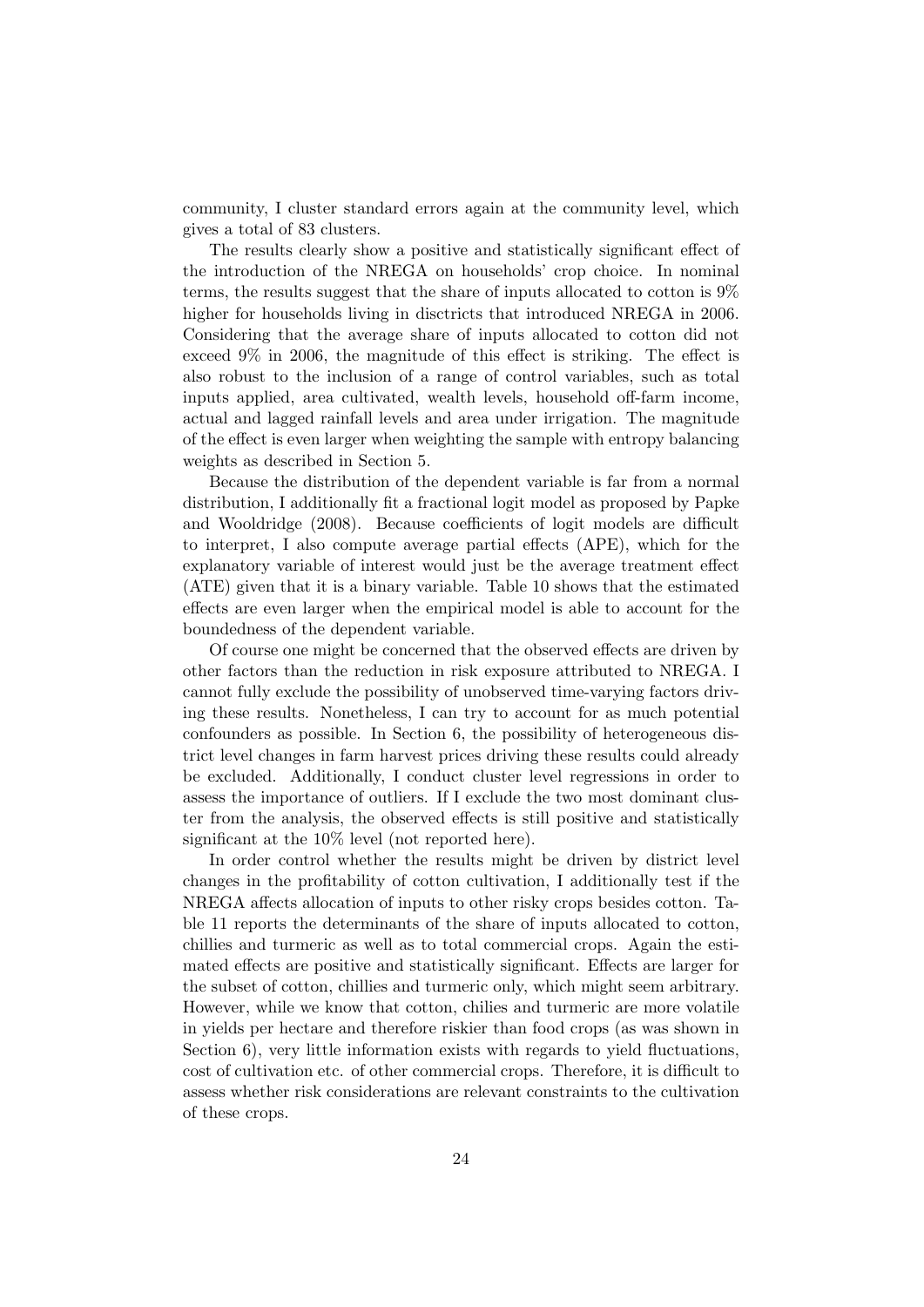community, I cluster standard errors again at the community level, which gives a total of 83 clusters.

The results clearly show a positive and statistically significant effect of the introduction of the NREGA on households' crop choice. In nominal terms, the results suggest that the share of inputs allocated to cotton is 9% higher for households living in disctricts that introduced NREGA in 2006. Considering that the average share of inputs allocated to cotton did not exceed 9% in 2006, the magnitude of this effect is striking. The effect is also robust to the inclusion of a range of control variables, such as total inputs applied, area cultivated, wealth levels, household off-farm income, actual and lagged rainfall levels and area under irrigation. The magnitude of the effect is even larger when weighting the sample with entropy balancing weights as described in Section 5.

Because the distribution of the dependent variable is far from a normal distribution, I additionally fit a fractional logit model as proposed by Papke and Wooldridge (2008). Because coefficients of logit models are difficult to interpret, I also compute average partial effects (APE), which for the explanatory variable of interest would just be the average treatment effect (ATE) given that it is a binary variable. Table 10 shows that the estimated effects are even larger when the empirical model is able to account for the boundedness of the dependent variable.

Of course one might be concerned that the observed effects are driven by other factors than the reduction in risk exposure attributed to NREGA. I cannot fully exclude the possibility of unobserved time-varying factors driving these results. Nonetheless, I can try to account for as much potential confounders as possible. In Section 6, the possibility of heterogeneous district level changes in farm harvest prices driving these results could already be excluded. Additionally, I conduct cluster level regressions in order to assess the importance of outliers. If I exclude the two most dominant cluster from the analysis, the observed effects is still positive and statistically significant at the 10% level (not reported here).

In order control whether the results might be driven by district level changes in the profitability of cotton cultivation, I additionally test if the NREGA affects allocation of inputs to other risky crops besides cotton. Table 11 reports the determinants of the share of inputs allocated to cotton, chillies and turmeric as well as to total commercial crops. Again the estimated effects are positive and statistically significant. Effects are larger for the subset of cotton, chillies and turmeric only, which might seem arbitrary. However, while we know that cotton, chilies and turmeric are more volatile in yields per hectare and therefore riskier than food crops (as was shown in Section 6), very little information exists with regards to yield fluctuations, cost of cultivation etc. of other commercial crops. Therefore, it is difficult to assess whether risk considerations are relevant constraints to the cultivation of these crops.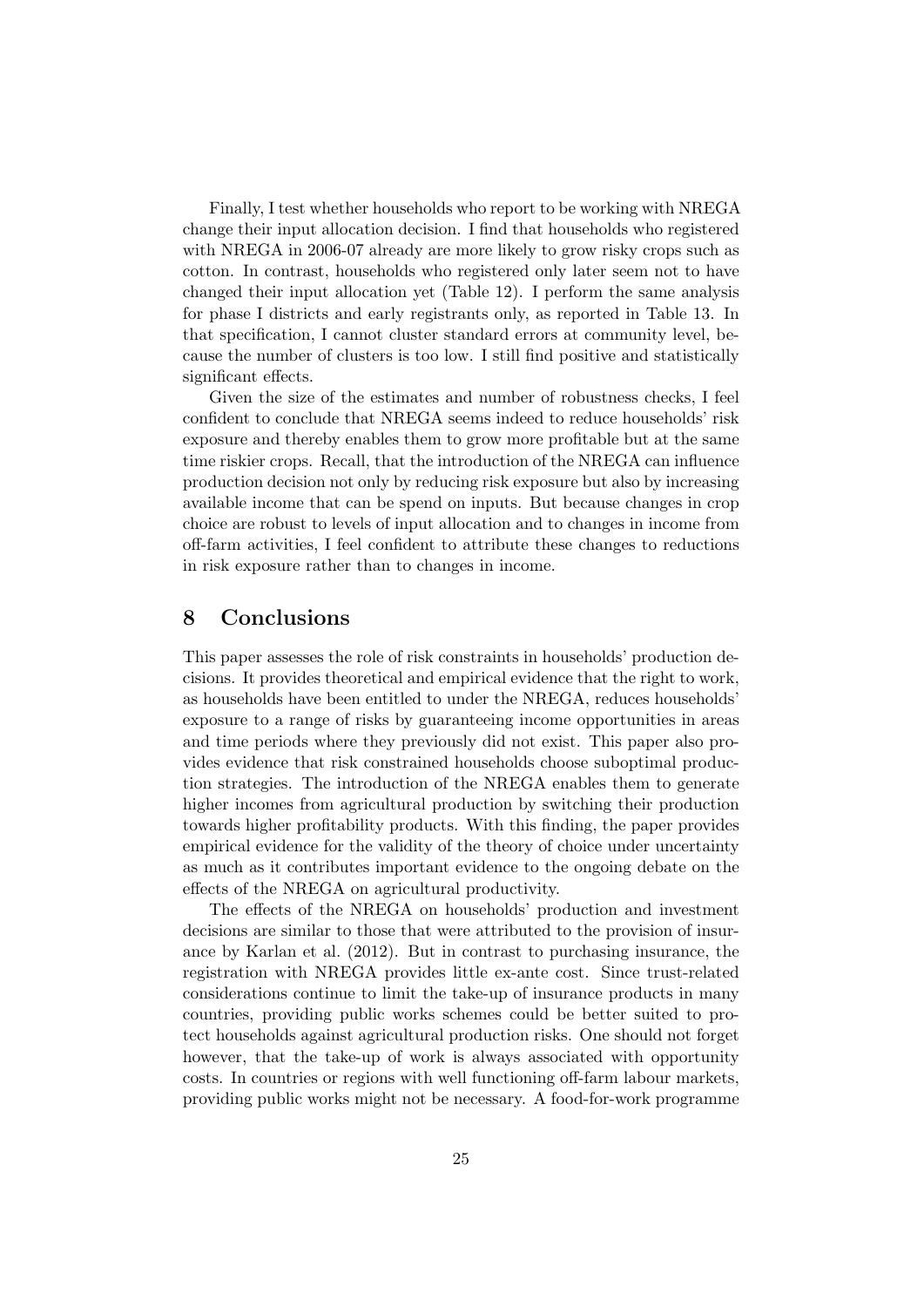Finally, I test whether households who report to be working with NREGA change their input allocation decision. I find that households who registered with NREGA in 2006-07 already are more likely to grow risky crops such as cotton. In contrast, households who registered only later seem not to have changed their input allocation yet (Table 12). I perform the same analysis for phase I districts and early registrants only, as reported in Table 13. In that specification, I cannot cluster standard errors at community level, because the number of clusters is too low. I still find positive and statistically significant effects.

Given the size of the estimates and number of robustness checks, I feel confident to conclude that NREGA seems indeed to reduce households' risk exposure and thereby enables them to grow more profitable but at the same time riskier crops. Recall, that the introduction of the NREGA can influence production decision not only by reducing risk exposure but also by increasing available income that can be spend on inputs. But because changes in crop choice are robust to levels of input allocation and to changes in income from off-farm activities, I feel confident to attribute these changes to reductions in risk exposure rather than to changes in income.

#### 8 Conclusions

This paper assesses the role of risk constraints in households' production decisions. It provides theoretical and empirical evidence that the right to work, as households have been entitled to under the NREGA, reduces households' exposure to a range of risks by guaranteeing income opportunities in areas and time periods where they previously did not exist. This paper also provides evidence that risk constrained households choose suboptimal production strategies. The introduction of the NREGA enables them to generate higher incomes from agricultural production by switching their production towards higher profitability products. With this finding, the paper provides empirical evidence for the validity of the theory of choice under uncertainty as much as it contributes important evidence to the ongoing debate on the effects of the NREGA on agricultural productivity.

The effects of the NREGA on households' production and investment decisions are similar to those that were attributed to the provision of insurance by Karlan et al. (2012). But in contrast to purchasing insurance, the registration with NREGA provides little ex-ante cost. Since trust-related considerations continue to limit the take-up of insurance products in many countries, providing public works schemes could be better suited to protect households against agricultural production risks. One should not forget however, that the take-up of work is always associated with opportunity costs. In countries or regions with well functioning off-farm labour markets, providing public works might not be necessary. A food-for-work programme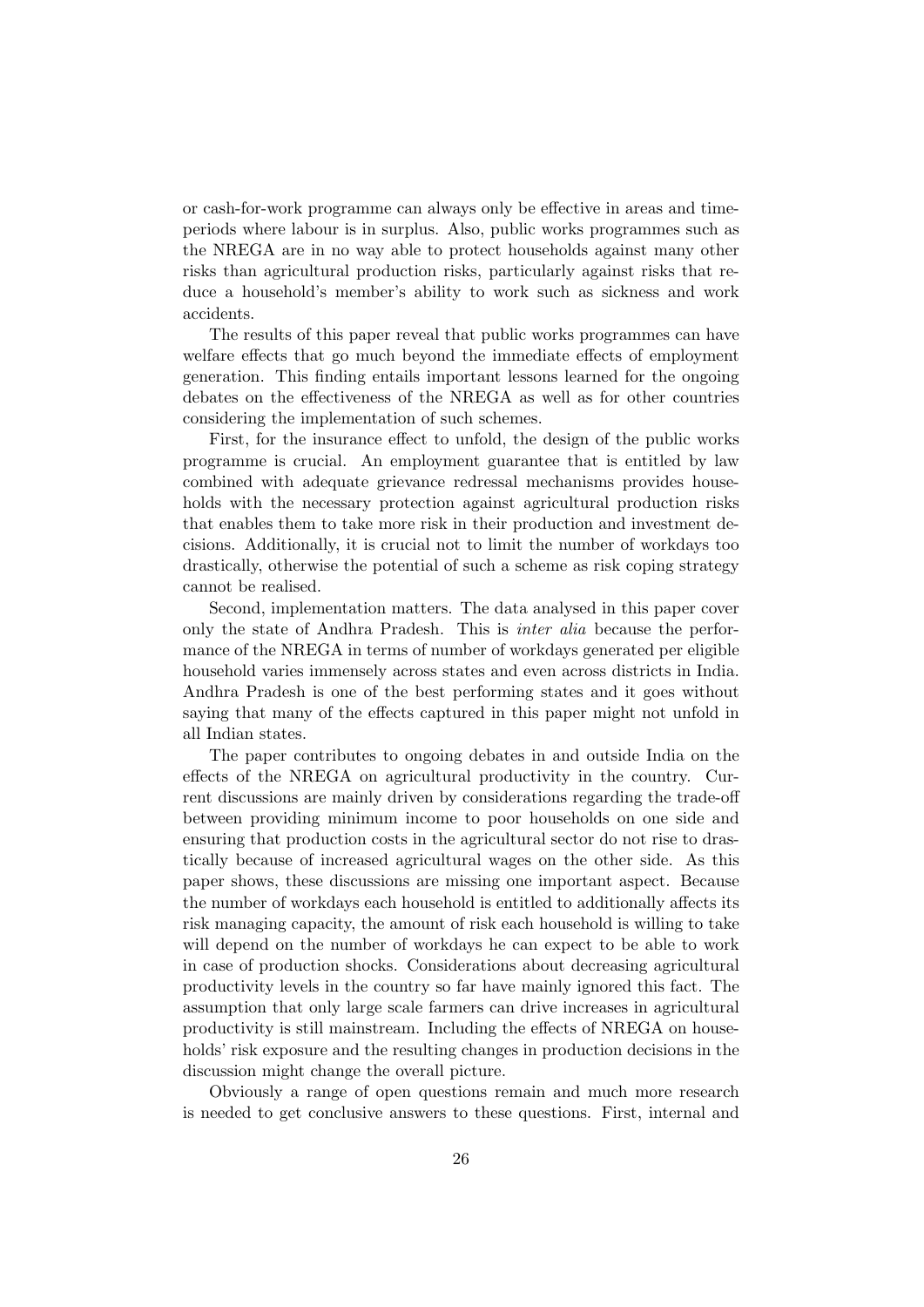or cash-for-work programme can always only be effective in areas and timeperiods where labour is in surplus. Also, public works programmes such as the NREGA are in no way able to protect households against many other risks than agricultural production risks, particularly against risks that reduce a household's member's ability to work such as sickness and work accidents.

The results of this paper reveal that public works programmes can have welfare effects that go much beyond the immediate effects of employment generation. This finding entails important lessons learned for the ongoing debates on the effectiveness of the NREGA as well as for other countries considering the implementation of such schemes.

First, for the insurance effect to unfold, the design of the public works programme is crucial. An employment guarantee that is entitled by law combined with adequate grievance redressal mechanisms provides households with the necessary protection against agricultural production risks that enables them to take more risk in their production and investment decisions. Additionally, it is crucial not to limit the number of workdays too drastically, otherwise the potential of such a scheme as risk coping strategy cannot be realised.

Second, implementation matters. The data analysed in this paper cover only the state of Andhra Pradesh. This is inter alia because the performance of the NREGA in terms of number of workdays generated per eligible household varies immensely across states and even across districts in India. Andhra Pradesh is one of the best performing states and it goes without saying that many of the effects captured in this paper might not unfold in all Indian states.

The paper contributes to ongoing debates in and outside India on the effects of the NREGA on agricultural productivity in the country. Current discussions are mainly driven by considerations regarding the trade-off between providing minimum income to poor households on one side and ensuring that production costs in the agricultural sector do not rise to drastically because of increased agricultural wages on the other side. As this paper shows, these discussions are missing one important aspect. Because the number of workdays each household is entitled to additionally affects its risk managing capacity, the amount of risk each household is willing to take will depend on the number of workdays he can expect to be able to work in case of production shocks. Considerations about decreasing agricultural productivity levels in the country so far have mainly ignored this fact. The assumption that only large scale farmers can drive increases in agricultural productivity is still mainstream. Including the effects of NREGA on households' risk exposure and the resulting changes in production decisions in the discussion might change the overall picture.

Obviously a range of open questions remain and much more research is needed to get conclusive answers to these questions. First, internal and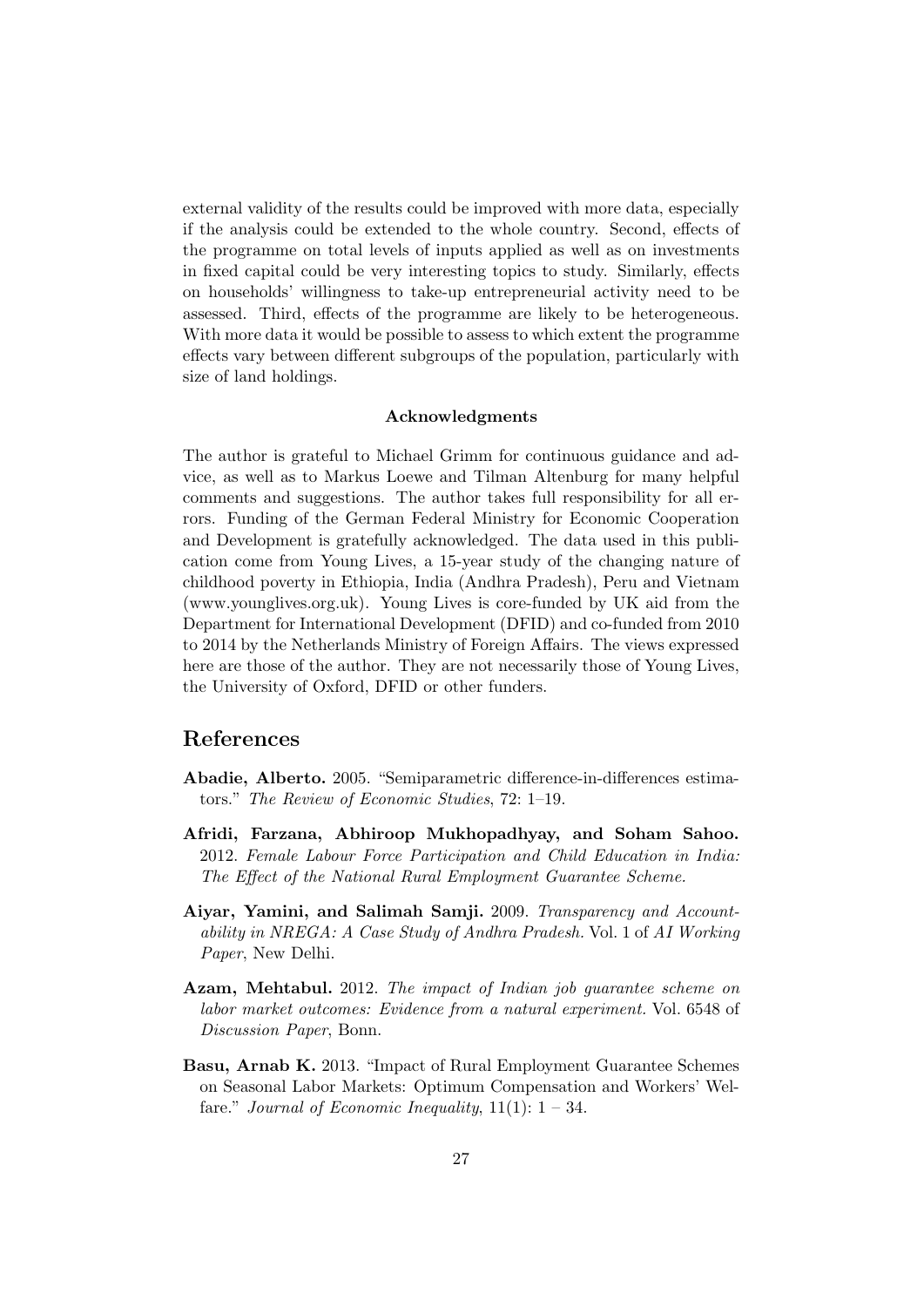external validity of the results could be improved with more data, especially if the analysis could be extended to the whole country. Second, effects of the programme on total levels of inputs applied as well as on investments in fixed capital could be very interesting topics to study. Similarly, effects on households' willingness to take-up entrepreneurial activity need to be assessed. Third, effects of the programme are likely to be heterogeneous. With more data it would be possible to assess to which extent the programme effects vary between different subgroups of the population, particularly with size of land holdings.

#### Acknowledgments

The author is grateful to Michael Grimm for continuous guidance and advice, as well as to Markus Loewe and Tilman Altenburg for many helpful comments and suggestions. The author takes full responsibility for all errors. Funding of the German Federal Ministry for Economic Cooperation and Development is gratefully acknowledged. The data used in this publication come from Young Lives, a 15-year study of the changing nature of childhood poverty in Ethiopia, India (Andhra Pradesh), Peru and Vietnam (www.younglives.org.uk). Young Lives is core-funded by UK aid from the Department for International Development (DFID) and co-funded from 2010 to 2014 by the Netherlands Ministry of Foreign Affairs. The views expressed here are those of the author. They are not necessarily those of Young Lives, the University of Oxford, DFID or other funders.

## References

- Abadie, Alberto. 2005. "Semiparametric difference-in-differences estimators." The Review of Economic Studies, 72: 1–19.
- Afridi, Farzana, Abhiroop Mukhopadhyay, and Soham Sahoo. 2012. Female Labour Force Participation and Child Education in India: The Effect of the National Rural Employment Guarantee Scheme.
- Aiyar, Yamini, and Salimah Samji. 2009. Transparency and Accountability in NREGA: A Case Study of Andhra Pradesh. Vol. 1 of AI Working Paper, New Delhi.
- Azam, Mehtabul. 2012. The impact of Indian job quarantee scheme on labor market outcomes: Evidence from a natural experiment. Vol. 6548 of Discussion Paper, Bonn.
- Basu, Arnab K. 2013. "Impact of Rural Employment Guarantee Schemes on Seasonal Labor Markets: Optimum Compensation and Workers' Welfare." Journal of Economic Inequality,  $11(1)$ :  $1 - 34$ .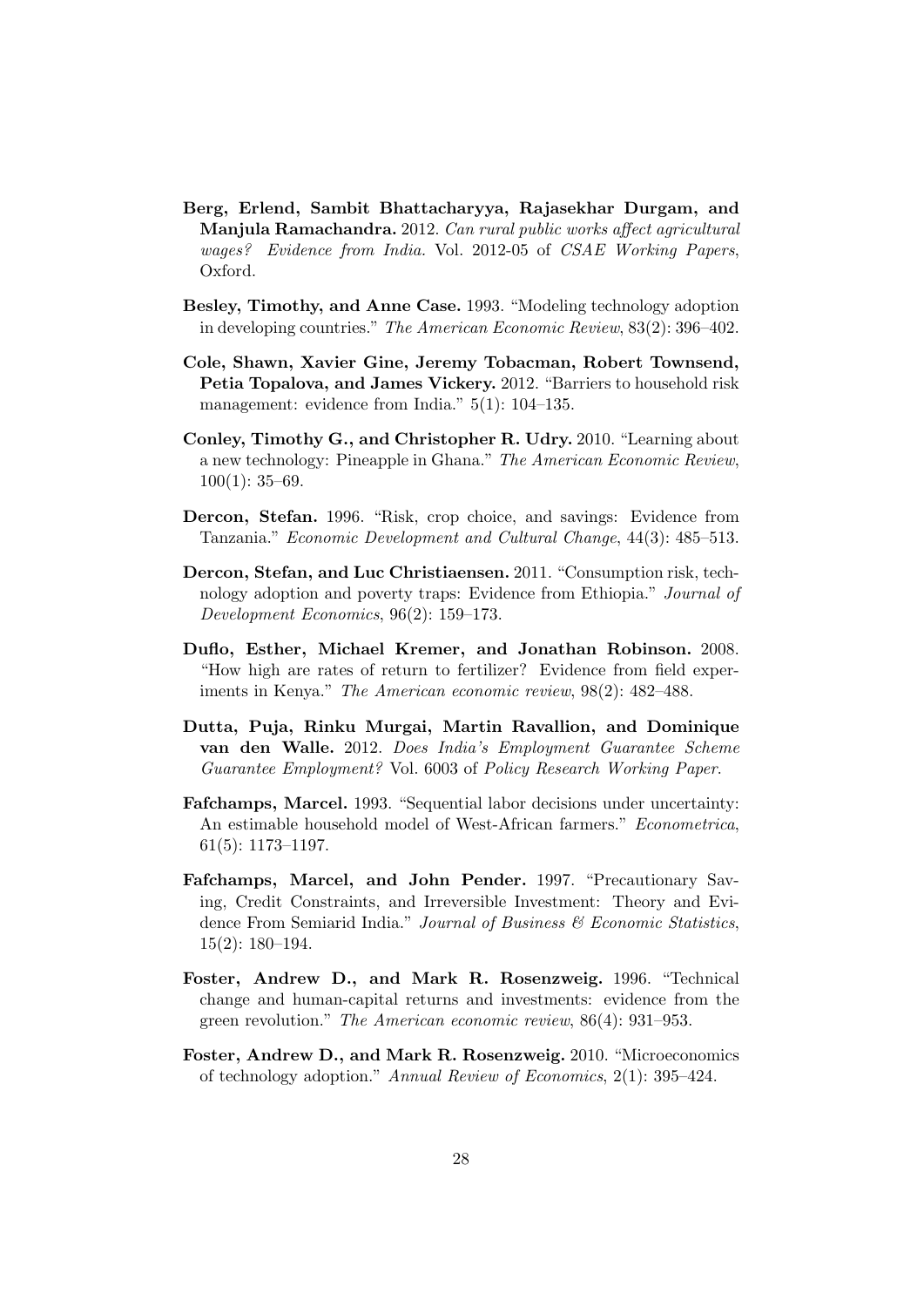- Berg, Erlend, Sambit Bhattacharyya, Rajasekhar Durgam, and Manjula Ramachandra. 2012. Can rural public works affect agricultural wages? Evidence from India. Vol. 2012-05 of CSAE Working Papers, Oxford.
- Besley, Timothy, and Anne Case. 1993. "Modeling technology adoption in developing countries." The American Economic Review, 83(2): 396–402.
- Cole, Shawn, Xavier Gine, Jeremy Tobacman, Robert Townsend, Petia Topalova, and James Vickery. 2012. "Barriers to household risk management: evidence from India." 5(1): 104–135.
- Conley, Timothy G., and Christopher R. Udry. 2010. "Learning about a new technology: Pineapple in Ghana." The American Economic Review,  $100(1): 35-69.$
- Dercon, Stefan. 1996. "Risk, crop choice, and savings: Evidence from Tanzania." Economic Development and Cultural Change, 44(3): 485–513.
- Dercon, Stefan, and Luc Christiaensen. 2011. "Consumption risk, technology adoption and poverty traps: Evidence from Ethiopia." Journal of Development Economics, 96(2): 159–173.
- Duflo, Esther, Michael Kremer, and Jonathan Robinson. 2008. "How high are rates of return to fertilizer? Evidence from field experiments in Kenya." The American economic review, 98(2): 482–488.
- Dutta, Puja, Rinku Murgai, Martin Ravallion, and Dominique van den Walle. 2012. Does India's Employment Guarantee Scheme Guarantee Employment? Vol. 6003 of Policy Research Working Paper.
- Fafchamps, Marcel. 1993. "Sequential labor decisions under uncertainty: An estimable household model of West-African farmers." Econometrica, 61(5): 1173–1197.
- Fafchamps, Marcel, and John Pender. 1997. "Precautionary Saving, Credit Constraints, and Irreversible Investment: Theory and Evidence From Semiarid India." Journal of Business & Economic Statistics, 15(2): 180–194.
- Foster, Andrew D., and Mark R. Rosenzweig. 1996. "Technical change and human-capital returns and investments: evidence from the green revolution." The American economic review, 86(4): 931–953.
- Foster, Andrew D., and Mark R. Rosenzweig. 2010. "Microeconomics of technology adoption." Annual Review of Economics, 2(1): 395–424.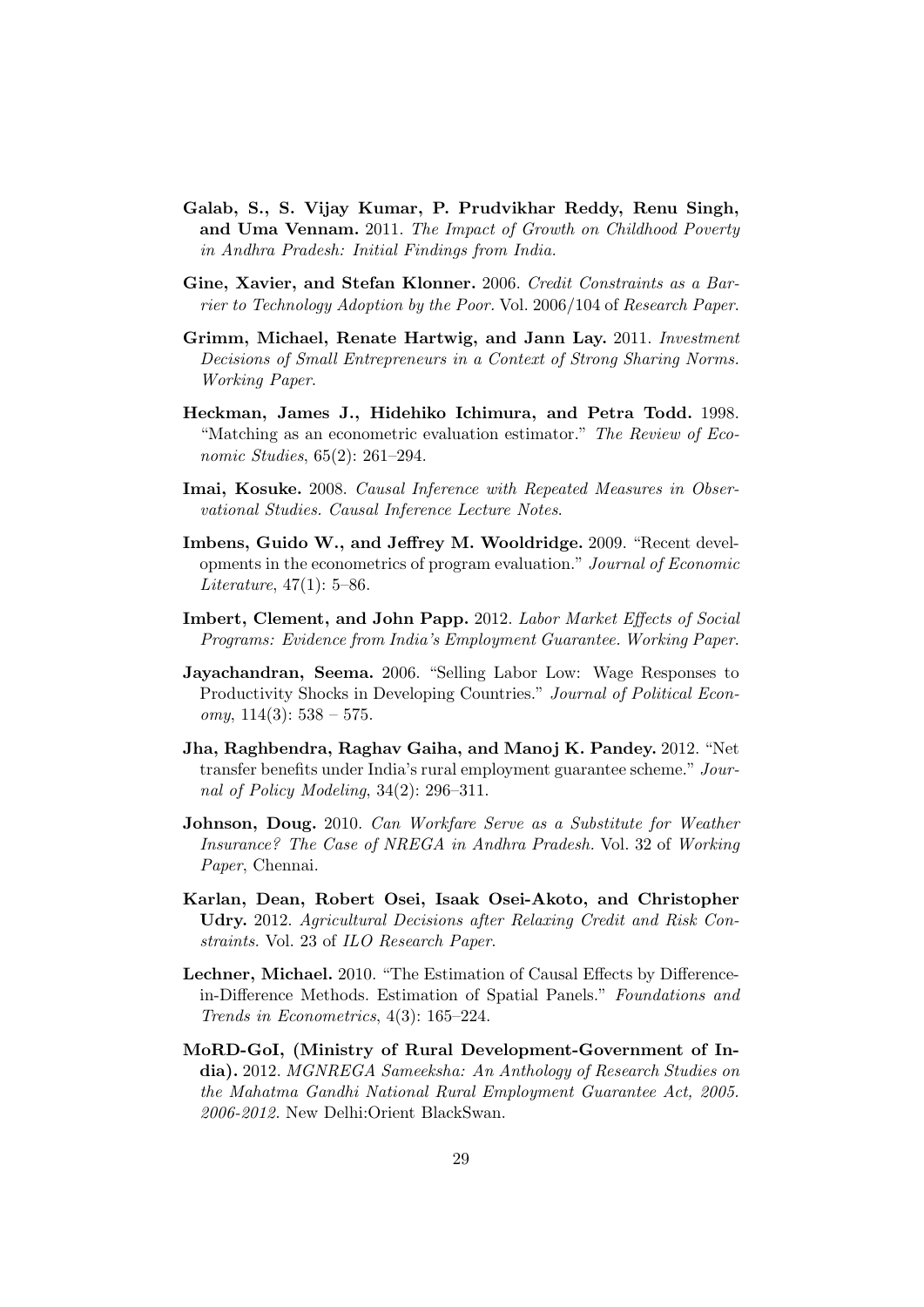- Galab, S., S. Vijay Kumar, P. Prudvikhar Reddy, Renu Singh, and Uma Vennam. 2011. The Impact of Growth on Childhood Poverty in Andhra Pradesh: Initial Findings from India.
- Gine, Xavier, and Stefan Klonner. 2006. Credit Constraints as a Barrier to Technology Adoption by the Poor. Vol. 2006/104 of Research Paper.
- Grimm, Michael, Renate Hartwig, and Jann Lay. 2011. Investment Decisions of Small Entrepreneurs in a Context of Strong Sharing Norms. Working Paper.
- Heckman, James J., Hidehiko Ichimura, and Petra Todd. 1998. "Matching as an econometric evaluation estimator." The Review of Economic Studies, 65(2): 261–294.
- Imai, Kosuke. 2008. Causal Inference with Repeated Measures in Observational Studies. Causal Inference Lecture Notes.
- Imbens, Guido W., and Jeffrey M. Wooldridge. 2009. "Recent developments in the econometrics of program evaluation." Journal of Economic Literature, 47(1): 5–86.
- Imbert, Clement, and John Papp. 2012. Labor Market Effects of Social Programs: Evidence from India's Employment Guarantee. Working Paper.
- Jayachandran, Seema. 2006. "Selling Labor Low: Wage Responses to Productivity Shocks in Developing Countries." Journal of Political Economy,  $114(3)$ :  $538 - 575$ .
- Jha, Raghbendra, Raghav Gaiha, and Manoj K. Pandey. 2012. "Net transfer benefits under India's rural employment guarantee scheme." Journal of Policy Modeling, 34(2): 296–311.
- Johnson, Doug. 2010. Can Workfare Serve as a Substitute for Weather Insurance? The Case of NREGA in Andhra Pradesh. Vol. 32 of Working Paper, Chennai.
- Karlan, Dean, Robert Osei, Isaak Osei-Akoto, and Christopher Udry. 2012. Agricultural Decisions after Relaxing Credit and Risk Constraints. Vol. 23 of ILO Research Paper.
- Lechner, Michael. 2010. "The Estimation of Causal Effects by Differencein-Difference Methods. Estimation of Spatial Panels." Foundations and Trends in Econometrics, 4(3): 165–224.
- MoRD-GoI, (Ministry of Rural Development-Government of India). 2012. MGNREGA Sameeksha: An Anthology of Research Studies on the Mahatma Gandhi National Rural Employment Guarantee Act, 2005. 2006-2012. New Delhi:Orient BlackSwan.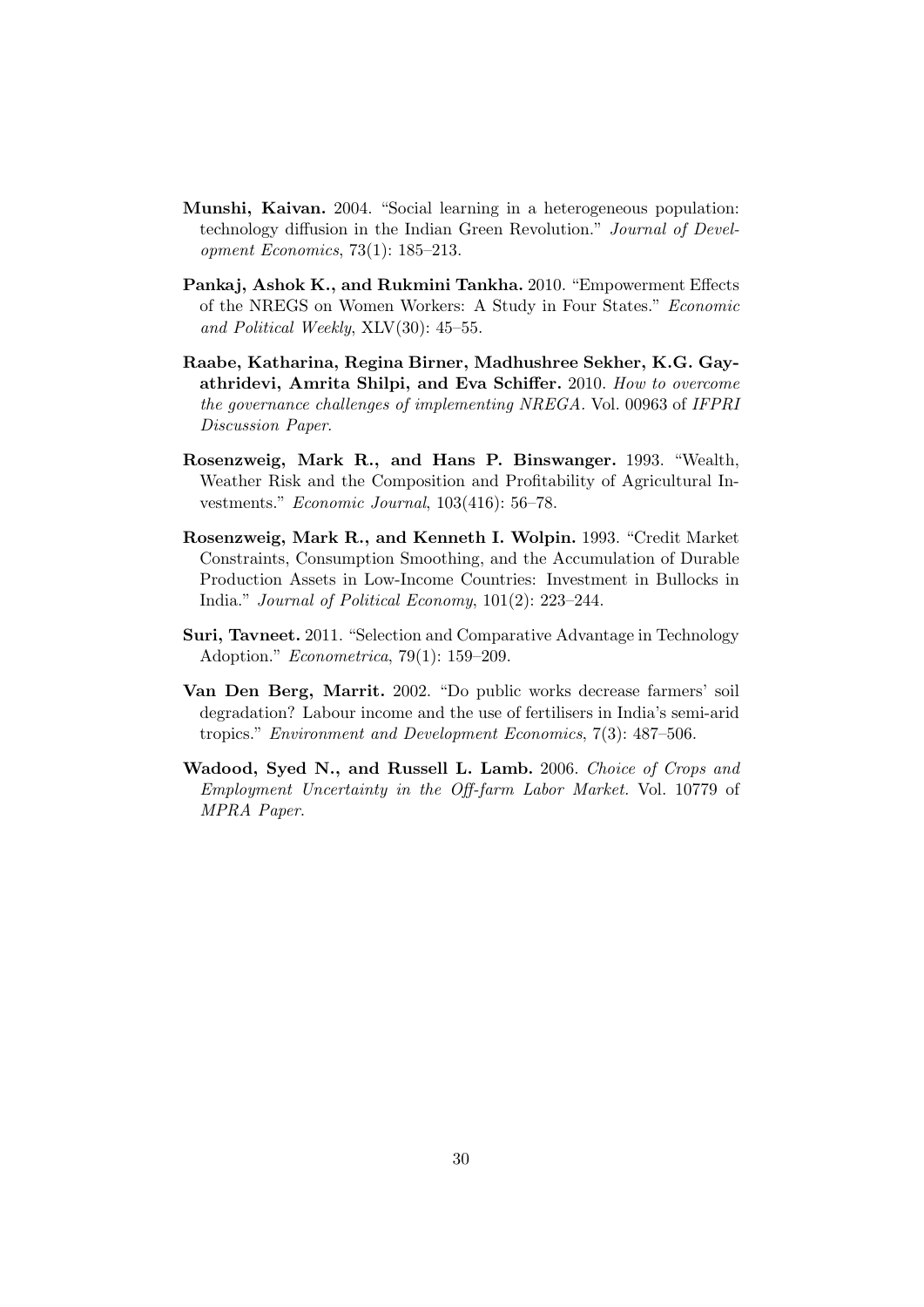- Munshi, Kaivan. 2004. "Social learning in a heterogeneous population: technology diffusion in the Indian Green Revolution." Journal of Development Economics, 73(1): 185–213.
- Pankaj, Ashok K., and Rukmini Tankha. 2010. "Empowerment Effects of the NREGS on Women Workers: A Study in Four States." Economic and Political Weekly, XLV(30): 45–55.
- Raabe, Katharina, Regina Birner, Madhushree Sekher, K.G. Gayathridevi, Amrita Shilpi, and Eva Schiffer. 2010. How to overcome the governance challenges of implementing NREGA. Vol. 00963 of IFPRI Discussion Paper.
- Rosenzweig, Mark R., and Hans P. Binswanger. 1993. "Wealth, Weather Risk and the Composition and Profitability of Agricultural Investments." Economic Journal, 103(416): 56–78.
- Rosenzweig, Mark R., and Kenneth I. Wolpin. 1993. "Credit Market Constraints, Consumption Smoothing, and the Accumulation of Durable Production Assets in Low-Income Countries: Investment in Bullocks in India." Journal of Political Economy, 101(2): 223–244.
- Suri, Tavneet. 2011. "Selection and Comparative Advantage in Technology Adoption." Econometrica, 79(1): 159–209.
- Van Den Berg, Marrit. 2002. "Do public works decrease farmers' soil degradation? Labour income and the use of fertilisers in India's semi-arid tropics." Environment and Development Economics, 7(3): 487–506.
- Wadood, Syed N., and Russell L. Lamb. 2006. Choice of Crops and Employment Uncertainty in the Off-farm Labor Market. Vol. 10779 of MPRA Paper.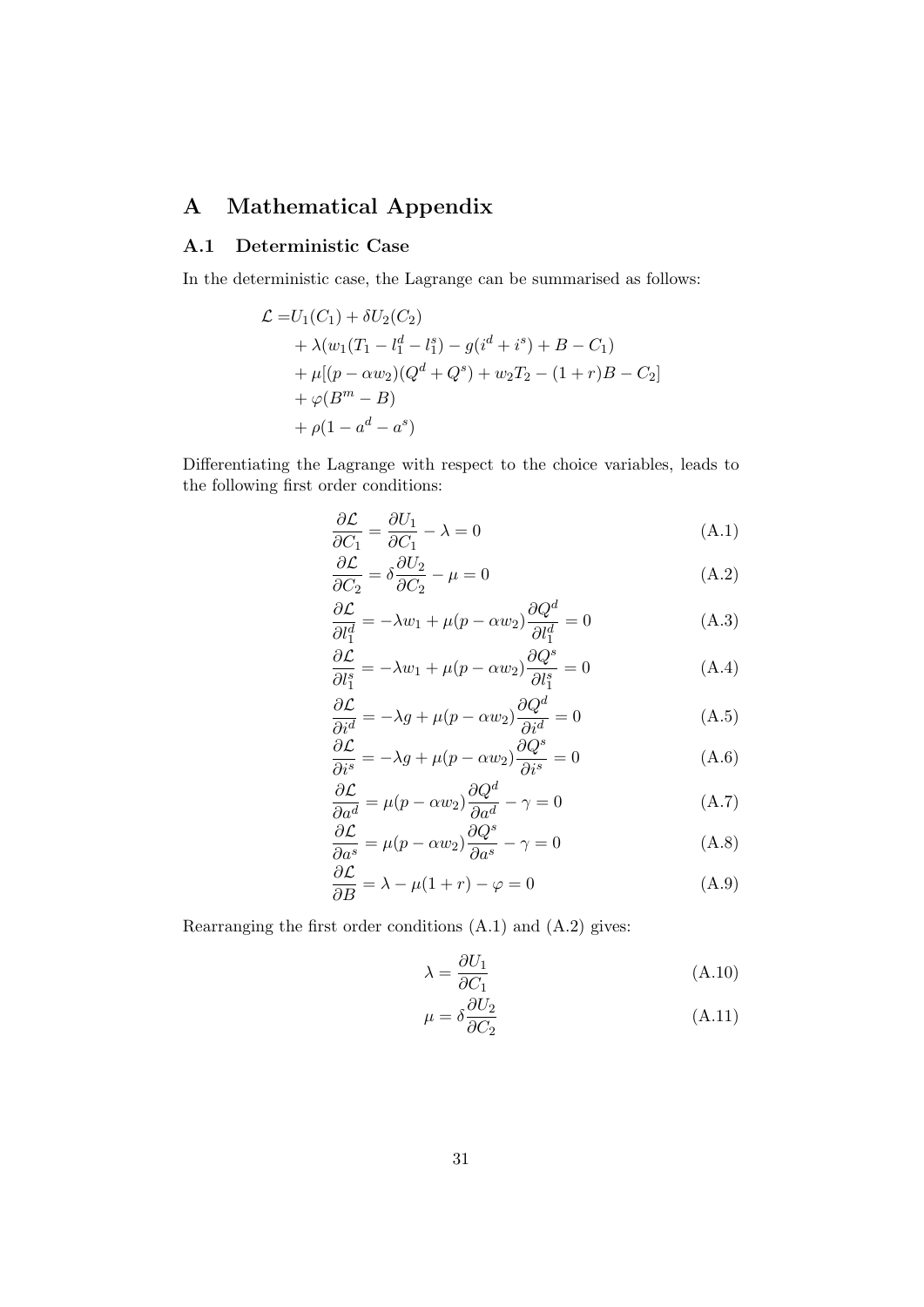## A Mathematical Appendix

#### A.1 Deterministic Case

In the deterministic case, the Lagrange can be summarised as follows:

$$
\mathcal{L} = U_1(C_1) + \delta U_2(C_2)
$$
  
+  $\lambda (w_1(T_1 - l_1^d - l_1^s) - g(i^d + i^s) + B - C_1)$   
+  $\mu [(p - \alpha w_2)(Q^d + Q^s) + w_2 T_2 - (1 + r)B - C_2]$   
+  $\varphi (B^m - B)$   
+  $\rho (1 - a^d - a^s)$ 

Differentiating the Lagrange with respect to the choice variables, leads to the following first order conditions:

$$
\frac{\partial \mathcal{L}}{\partial C_1} = \frac{\partial U_1}{\partial C_1} - \lambda = 0 \tag{A.1}
$$

$$
\frac{\partial \mathcal{L}}{\partial C_2} = \delta \frac{\partial U_2}{\partial C_2} - \mu = 0 \tag{A.2}
$$

$$
\frac{\partial \mathcal{L}}{\partial l_1^d} = -\lambda w_1 + \mu (p - \alpha w_2) \frac{\partial Q^d}{\partial l_1^d} = 0 \tag{A.3}
$$

$$
\frac{\partial \mathcal{L}}{\partial l_1^s} = -\lambda w_1 + \mu (p - \alpha w_2) \frac{\partial Q^s}{\partial l_1^s} = 0 \tag{A.4}
$$

$$
\frac{\partial \mathcal{L}}{\partial i^d} = -\lambda g + \mu (p - \alpha w_2) \frac{\partial Q^d}{\partial i^d} = 0 \tag{A.5}
$$

$$
\frac{\partial \mathcal{L}}{\partial i^s} = -\lambda g + \mu (p - \alpha w_2) \frac{\partial Q^s}{\partial i^s} = 0 \tag{A.6}
$$

$$
\frac{\partial \mathcal{L}}{\partial a^d} = \mu (p - \alpha w_2) \frac{\partial Q^d}{\partial a^d} - \gamma = 0
$$
 (A.7)

$$
\frac{\partial \mathcal{L}}{\partial a^s} = \mu (p - \alpha w_2) \frac{\partial Q^s}{\partial a^s} - \gamma = 0
$$
 (A.8)

$$
\frac{\partial \mathcal{L}}{\partial B} = \lambda - \mu(1+r) - \varphi = 0 \tag{A.9}
$$

Rearranging the first order conditions (A.1) and (A.2) gives:

$$
\lambda = \frac{\partial U_1}{\partial C_1} \tag{A.10}
$$

$$
\mu = \delta \frac{\partial U_2}{\partial C_2} \tag{A.11}
$$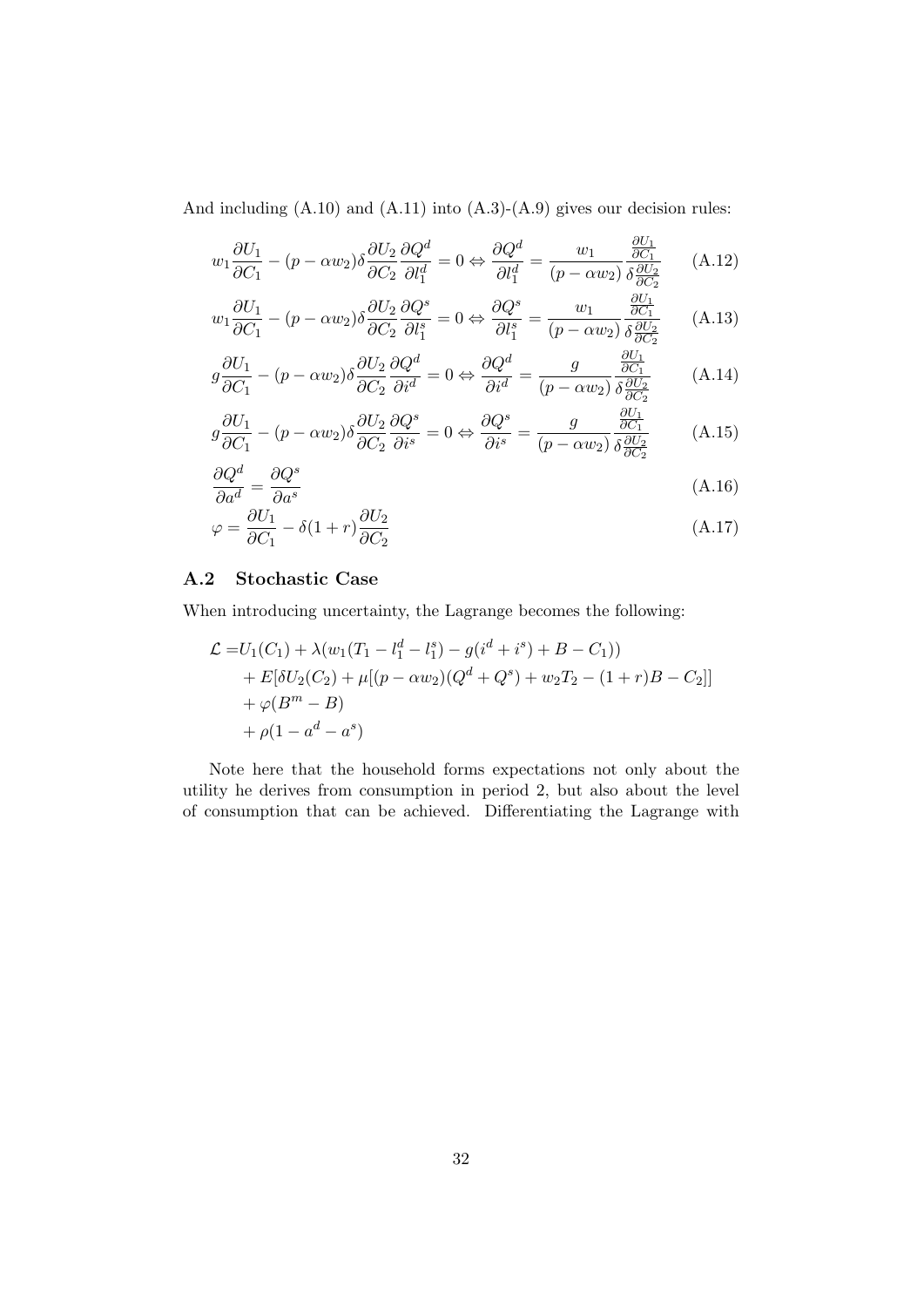And including  $(A.10)$  and  $(A.11)$  into  $(A.3)-(A.9)$  gives our decision rules:

$$
w_1 \frac{\partial U_1}{\partial C_1} - (p - \alpha w_2) \delta \frac{\partial U_2}{\partial C_2} \frac{\partial Q^d}{\partial l_1^d} = 0 \Leftrightarrow \frac{\partial Q^d}{\partial l_1^d} = \frac{w_1}{(p - \alpha w_2)} \frac{\frac{\partial U_1}{\partial C_1}}{\delta \frac{\partial U_2}{\partial C_2}} \tag{A.12}
$$

$$
w_1 \frac{\partial U_1}{\partial C_1} - (p - \alpha w_2) \delta \frac{\partial U_2}{\partial C_2} \frac{\partial Q^s}{\partial l_1^s} = 0 \Leftrightarrow \frac{\partial Q^s}{\partial l_1^s} = \frac{w_1}{(p - \alpha w_2)} \frac{\frac{\partial U_1}{\partial C_1}}{\delta \frac{\partial U_2}{\partial C_2}}
$$
(A.13)

$$
g\frac{\partial U_1}{\partial C_1} - (p - \alpha w_2) \delta \frac{\partial U_2}{\partial C_2} \frac{\partial Q^d}{\partial i^d} = 0 \Leftrightarrow \frac{\partial Q^d}{\partial i^d} = \frac{g}{(p - \alpha w_2)} \frac{\frac{\partial U_1}{\partial C_1}}{\delta \frac{\partial U_2}{\partial C_2}}
$$
(A.14)

$$
g\frac{\partial U_1}{\partial C_1} - (p - \alpha w_2)\delta \frac{\partial U_2}{\partial C_2} \frac{\partial Q^s}{\partial i^s} = 0 \Leftrightarrow \frac{\partial Q^s}{\partial i^s} = \frac{g}{(p - \alpha w_2)} \frac{\frac{\partial U_1}{\partial C_1}}{\delta \frac{\partial U_2}{\partial C_2}}
$$
(A.15)

$$
\frac{\partial Q^d}{\partial a^d} = \frac{\partial Q^s}{\partial a^s} \tag{A.16}
$$

$$
\varphi = \frac{\partial U_1}{\partial C_1} - \delta (1+r) \frac{\partial U_2}{\partial C_2} \tag{A.17}
$$

#### A.2 Stochastic Case

When introducing uncertainty, the Lagrange becomes the following:

$$
\mathcal{L} = U_1(C_1) + \lambda (w_1(T_1 - l_1^d - l_1^s) - g(i^d + i^s) + B - C_1))
$$
  
+ 
$$
E[\delta U_2(C_2) + \mu [(p - \alpha w_2)(Q^d + Q^s) + w_2 T_2 - (1 + r)B - C_2]]
$$
  
+ 
$$
\varphi(B^m - B)
$$
  
+ 
$$
\rho(1 - a^d - a^s)
$$

Note here that the household forms expectations not only about the utility he derives from consumption in period 2, but also about the level of consumption that can be achieved. Differentiating the Lagrange with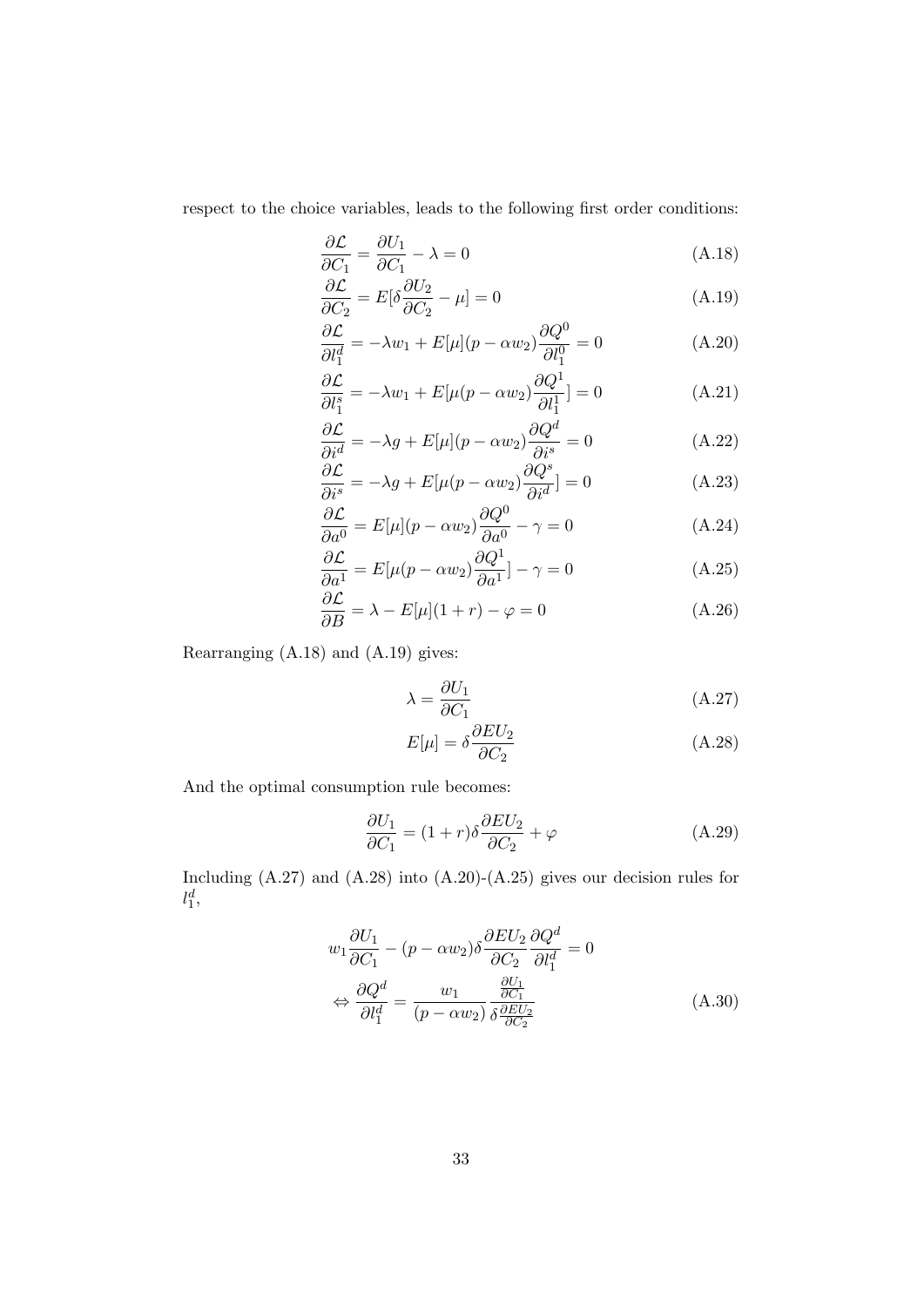respect to the choice variables, leads to the following first order conditions:

$$
\frac{\partial \mathcal{L}}{\partial C_1} = \frac{\partial U_1}{\partial C_1} - \lambda = 0 \tag{A.18}
$$

$$
\frac{\partial \mathcal{L}}{\partial C_2} = E[\delta \frac{\partial U_2}{\partial C_2} - \mu] = 0 \tag{A.19}
$$

$$
\frac{\partial \mathcal{L}}{\partial l_1^d} = -\lambda w_1 + E[\mu](p - \alpha w_2) \frac{\partial Q^0}{\partial l_1^0} = 0 \tag{A.20}
$$

$$
\frac{\partial \mathcal{L}}{\partial l_1^s} = -\lambda w_1 + E[\mu(p - \alpha w_2) \frac{\partial Q^1}{\partial l_1^1}] = 0 \tag{A.21}
$$

$$
\frac{\partial \mathcal{L}}{\partial i^d} = -\lambda g + E[\mu](p - \alpha w_2) \frac{\partial Q^d}{\partial i^s} = 0 \tag{A.22}
$$

$$
\frac{\partial \mathcal{L}}{\partial i^s} = -\lambda g + E[\mu(p - \alpha w_2) \frac{\partial Q^s}{\partial i^d}] = 0 \tag{A.23}
$$

$$
\frac{\partial \mathcal{L}}{\partial a^0} = E[\mu](p - \alpha w_2) \frac{\partial Q^0}{\partial a^0} - \gamma = 0
$$
 (A.24)

$$
\frac{\partial \mathcal{L}}{\partial a^1} = E[\mu(p - \alpha w_2) \frac{\partial Q^1}{\partial a^1}] - \gamma = 0
$$
 (A.25)

$$
\frac{\partial \mathcal{L}}{\partial B} = \lambda - E[\mu](1+r) - \varphi = 0 \tag{A.26}
$$

Rearranging (A.18) and (A.19) gives:

$$
\lambda = \frac{\partial U_1}{\partial C_1} \tag{A.27}
$$

$$
E[\mu] = \delta \frac{\partial EU_2}{\partial C_2} \tag{A.28}
$$

And the optimal consumption rule becomes:

$$
\frac{\partial U_1}{\partial C_1} = (1+r)\delta \frac{\partial EU_2}{\partial C_2} + \varphi \tag{A.29}
$$

Including  $(A.27)$  and  $(A.28)$  into  $(A.20)-(A.25)$  gives our decision rules for  $l_1^d,$ 

$$
w_1 \frac{\partial U_1}{\partial C_1} - (p - \alpha w_2) \delta \frac{\partial EU_2}{\partial C_2} \frac{\partial Q^d}{\partial l_1^d} = 0
$$
  

$$
\Leftrightarrow \frac{\partial Q^d}{\partial l_1^d} = \frac{w_1}{(p - \alpha w_2)} \frac{\frac{\partial U_1}{\partial C_1}}{\delta \frac{\partial EU_2}{\partial C_2}}
$$
(A.30)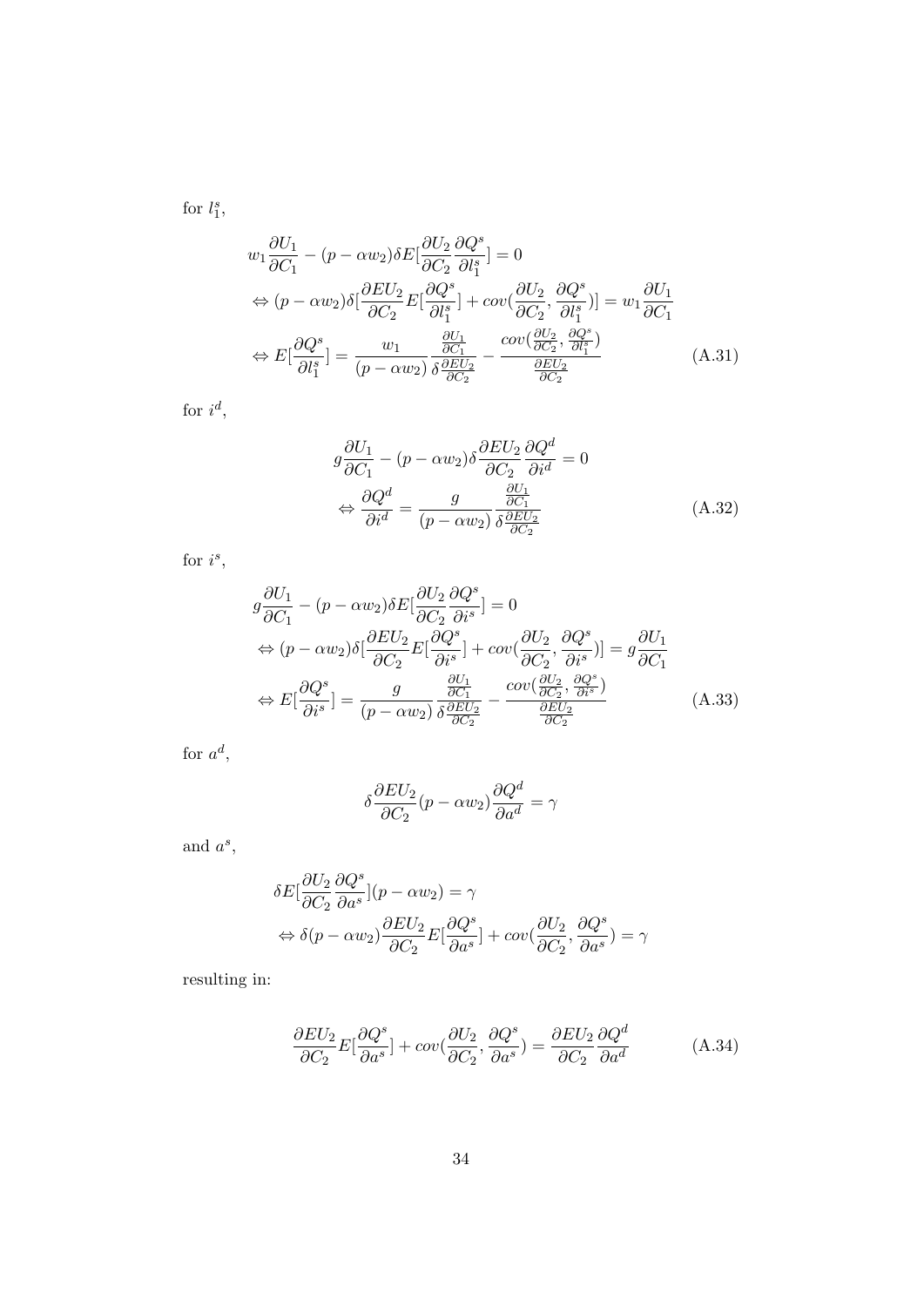for  $l_1^s$ ,

$$
w_1 \frac{\partial U_1}{\partial C_1} - (p - \alpha w_2) \delta E \left[ \frac{\partial U_2}{\partial C_2} \frac{\partial Q^s}{\partial l_1^s} \right] = 0
$$
  
\n
$$
\Leftrightarrow (p - \alpha w_2) \delta \left[ \frac{\partial EU_2}{\partial C_2} E \left[ \frac{\partial Q^s}{\partial l_1^s} \right] + \operatorname{cov} \left( \frac{\partial U_2}{\partial C_2}, \frac{\partial Q^s}{\partial l_1^s} \right) \right] = w_1 \frac{\partial U_1}{\partial C_1}
$$
  
\n
$$
\Leftrightarrow E \left[ \frac{\partial Q^s}{\partial l_1^s} \right] = \frac{w_1}{(p - \alpha w_2)} \frac{\frac{\partial U_1}{\partial C_1}}{\delta \frac{\partial EU_2}{\partial C_2}} - \frac{\operatorname{cov} \left( \frac{\partial U_2}{\partial C_2}, \frac{\partial Q^s}{\partial l_1^s} \right)}{\frac{\partial EU_2}{\partial C_2}} \tag{A.31}
$$

for  $i^d$ ,

$$
g\frac{\partial U_1}{\partial C_1} - (p - \alpha w_2)\delta \frac{\partial EU_2}{\partial C_2} \frac{\partial Q^d}{\partial i^d} = 0
$$
  

$$
\Leftrightarrow \frac{\partial Q^d}{\partial i^d} = \frac{g}{(p - \alpha w_2)} \frac{\frac{\partial U_1}{\partial C_1}}{\delta \frac{\partial EU_2}{\partial C_2}}
$$
(A.32)

for  $i^s$ ,

$$
g\frac{\partial U_1}{\partial C_1} - (p - \alpha w_2) \delta E[\frac{\partial U_2}{\partial C_2} \frac{\partial Q^s}{\partial i^s}] = 0
$$
  
\n
$$
\Leftrightarrow (p - \alpha w_2) \delta[\frac{\partial EU_2}{\partial C_2} E[\frac{\partial Q^s}{\partial i^s}] + cov(\frac{\partial U_2}{\partial C_2}, \frac{\partial Q^s}{\partial i^s})] = g\frac{\partial U_1}{\partial C_1}
$$
  
\n
$$
\Leftrightarrow E[\frac{\partial Q^s}{\partial i^s}] = \frac{g}{(p - \alpha w_2)} \frac{\frac{\partial U_1}{\partial C_1}}{\delta \frac{\partial EU_2}{\partial C_2}} - \frac{cov(\frac{\partial U_2}{\partial C_2}, \frac{\partial Q^s}{\partial i^s})}{\frac{\partial EU_2}{\partial C_2}}
$$
(A.33)

for  $a^d$ ,

$$
\delta \frac{\partial EU_2}{\partial C_2}(p - \alpha w_2) \frac{\partial Q^d}{\partial a^d} = \gamma
$$

and  $a^s$ ,

$$
\begin{aligned} \delta E[\frac{\partial U_2}{\partial C_2}\frac{\partial Q^s}{\partial a^s}](p - \alpha w_2) &= \gamma \\ &\Leftrightarrow \delta(p - \alpha w_2)\frac{\partial EU_2}{\partial C_2}E[\frac{\partial Q^s}{\partial a^s}] + cov(\frac{\partial U_2}{\partial C_2},\frac{\partial Q^s}{\partial a^s}) &= \gamma \end{aligned}
$$

resulting in:

$$
\frac{\partial EU_2}{\partial C_2}E[\frac{\partial Q^s}{\partial a^s}] + cov(\frac{\partial U_2}{\partial C_2}, \frac{\partial Q^s}{\partial a^s}) = \frac{\partial EU_2}{\partial C_2}\frac{\partial Q^d}{\partial a^d}
$$
(A.34)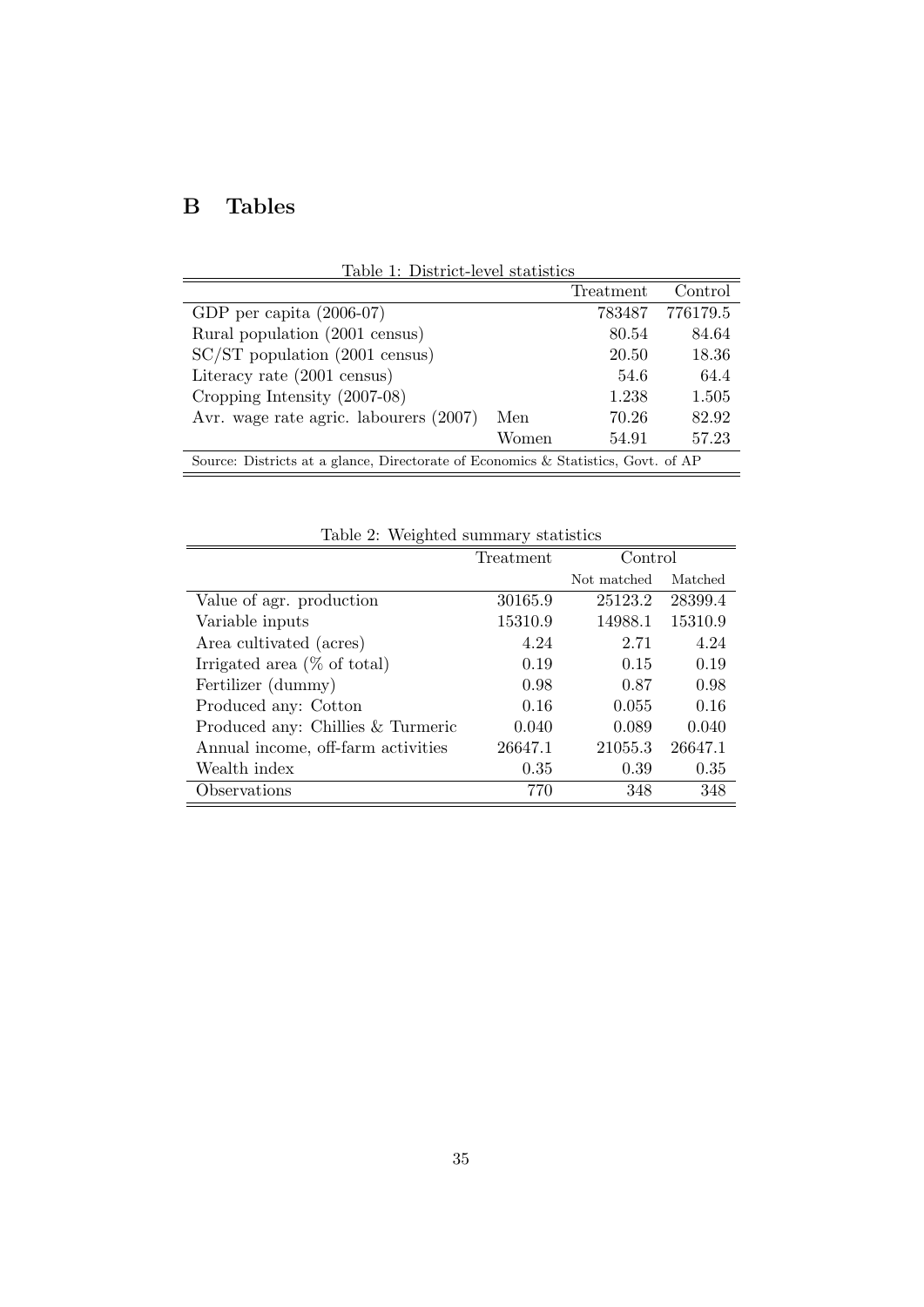# B Tables

| Table 1: District-level statistics                                                |       |           |          |  |  |
|-----------------------------------------------------------------------------------|-------|-----------|----------|--|--|
|                                                                                   |       | Treatment | Control  |  |  |
| GDP per capita $(2006-07)$                                                        |       | 783487    | 776179.5 |  |  |
| Rural population (2001 census)                                                    |       | 80.54     | 84.64    |  |  |
| $SC/ST$ population (2001 census)                                                  |       | 20.50     | 18.36    |  |  |
| Literacy rate (2001 census)                                                       |       | 54.6      | 64.4     |  |  |
| Cropping Intensity (2007-08)                                                      |       | 1.238     | 1.505    |  |  |
| Avr. wage rate agric. labourers (2007)                                            | Men   | 70.26     | 82.92    |  |  |
|                                                                                   | Women | 54.91     | 57.23    |  |  |
| Source: Districts at a glance, Directorate of Economics & Statistics, Govt. of AP |       |           |          |  |  |

Table 2: Weighted summary statistics

|                                    | Treatment | Control     |         |
|------------------------------------|-----------|-------------|---------|
|                                    |           | Not matched | Matched |
| Value of agr. production           | 30165.9   | 25123.2     | 28399.4 |
| Variable inputs                    | 15310.9   | 14988.1     | 15310.9 |
| Area cultivated (acres)            | 4.24      | 2.71        | 4.24    |
| Irrigated area $(\%$ of total)     | 0.19      | 0.15        | 0.19    |
| Fertilizer (dummy)                 | 0.98      | 0.87        | 0.98    |
| Produced any: Cotton               | 0.16      | 0.055       | 0.16    |
| Produced any: Chillies & Turmeric  | 0.040     | 0.089       | 0.040   |
| Annual income, off-farm activities | 26647.1   | 21055.3     | 26647.1 |
| Wealth index                       | 0.35      | 0.39        | 0.35    |
| Observations                       | 770       | 348         | 348     |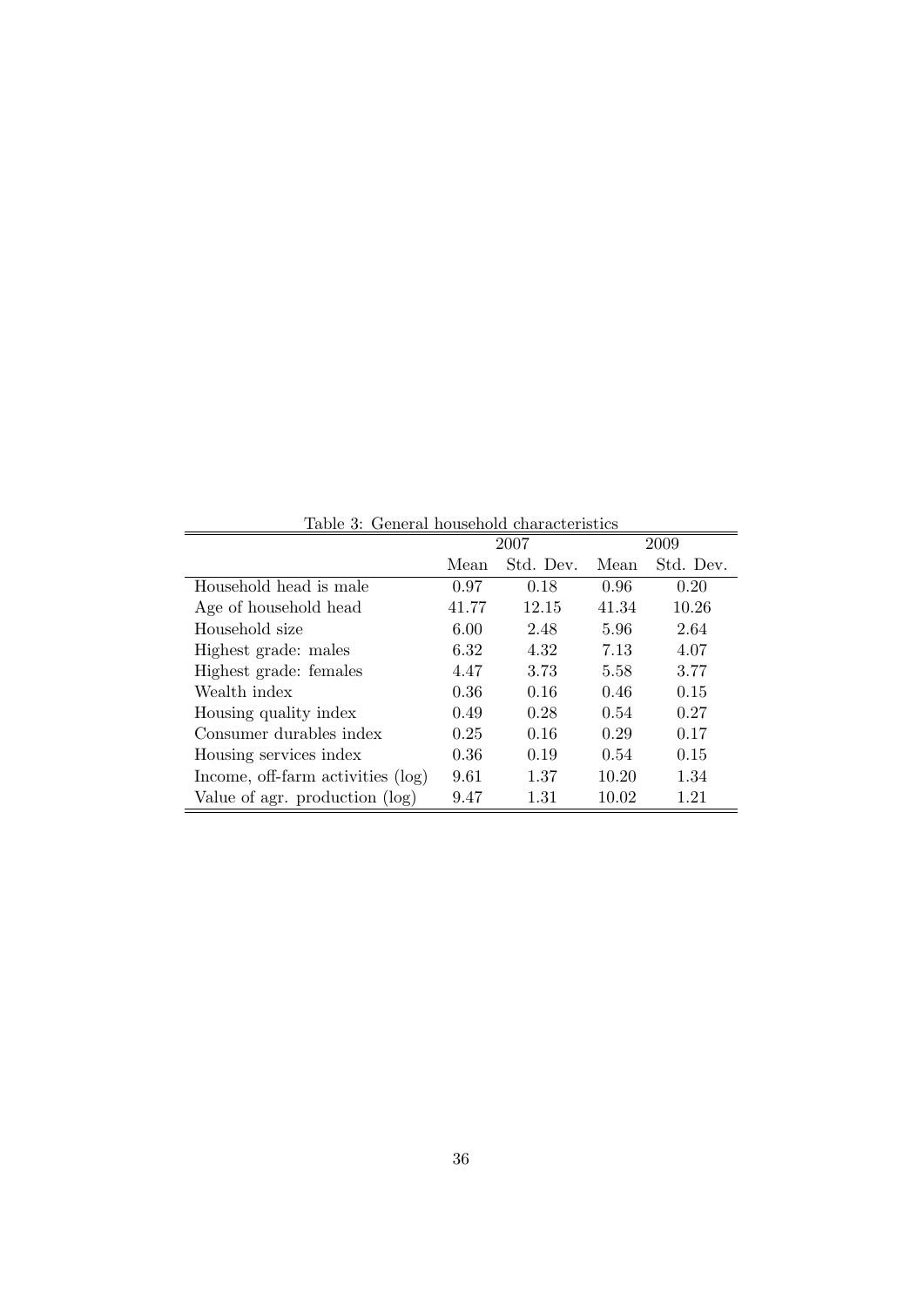|                                   | 2007<br>2009 |           |       |           |
|-----------------------------------|--------------|-----------|-------|-----------|
|                                   | Mean         | Std. Dev. | Mean  | Std. Dev. |
| Household head is male            | 0.97         | 0.18      | 0.96  | 0.20      |
| Age of household head             | 41.77        | 12.15     | 41.34 | 10.26     |
| Household size                    | 6.00         | 2.48      | 5.96  | 2.64      |
| Highest grade: males              | 6.32         | 4.32      | 7.13  | 4.07      |
| Highest grade: females            | 4.47         | 3.73      | 5.58  | 3.77      |
| Wealth index                      | 0.36         | 0.16      | 0.46  | 0.15      |
| Housing quality index             | 0.49         | 0.28      | 0.54  | 0.27      |
| Consumer durables index           | 0.25         | 0.16      | 0.29  | 0.17      |
| Housing services index            | 0.36         | 0.19      | 0.54  | 0.15      |
| Income, off-farm activities (log) | 9.61         | 1.37      | 10.20 | 1.34      |
| Value of agr. production (log)    | 9.47         | 1.31      | 10.02 | 1.21      |

Table 3: General household characteristics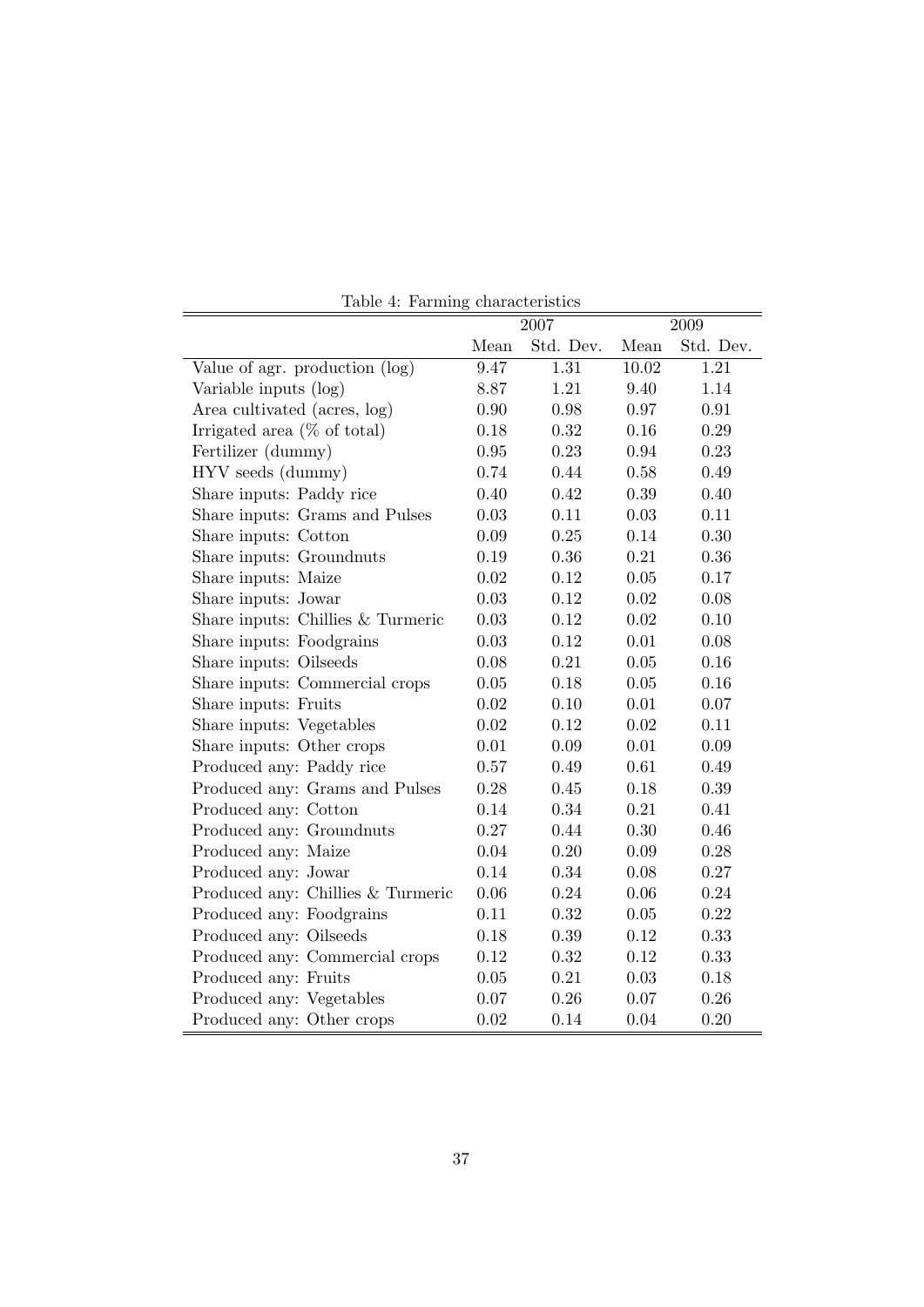| Lable 7. Tartining characteristics |          | 2007      |          | 2009      |  |  |
|------------------------------------|----------|-----------|----------|-----------|--|--|
|                                    | Mean     | Std. Dev. | Mean     | Std. Dev. |  |  |
| Value of agr. production (log)     | 9.47     | 1.31      | 10.02    | 1.21      |  |  |
| Variable inputs (log)              | 8.87     | 1.21      | 9.40     | 1.14      |  |  |
| Area cultivated (acres, log)       | 0.90     | 0.98      | 0.97     | 0.91      |  |  |
| Irrigated area $(\%$ of total)     | 0.18     | 0.32      | 0.16     | 0.29      |  |  |
| Fertilizer (dummy)                 | 0.95     | 0.23      | 0.94     | 0.23      |  |  |
| HYV seeds (dummy)                  | 0.74     | 0.44      | 0.58     | 0.49      |  |  |
| Share inputs: Paddy rice           | 0.40     | 0.42      | 0.39     | 0.40      |  |  |
| Share inputs: Grams and Pulses     | 0.03     | 0.11      | 0.03     | 0.11      |  |  |
| Share inputs: Cotton               | 0.09     | 0.25      | 0.14     | 0.30      |  |  |
| Share inputs: Groundnuts           | 0.19     | 0.36      | 0.21     | 0.36      |  |  |
| Share inputs: Maize                | $0.02\,$ | 0.12      | 0.05     | 0.17      |  |  |
| Share inputs: Jowar                | 0.03     | 0.12      | 0.02     | 0.08      |  |  |
| Share inputs: Chillies & Turmeric  | 0.03     | 0.12      | 0.02     | 0.10      |  |  |
| Share inputs: Foodgrains           | 0.03     | 0.12      | 0.01     | 0.08      |  |  |
| Share inputs: Oilseeds             | 0.08     | 0.21      | 0.05     | 0.16      |  |  |
| Share inputs: Commercial crops     | 0.05     | 0.18      | 0.05     | 0.16      |  |  |
| Share inputs: Fruits               | 0.02     | 0.10      | 0.01     | 0.07      |  |  |
| Share inputs: Vegetables           | 0.02     | 0.12      | 0.02     | 0.11      |  |  |
| Share inputs: Other crops          | 0.01     | 0.09      | 0.01     | 0.09      |  |  |
| Produced any: Paddy rice           | 0.57     | 0.49      | 0.61     | 0.49      |  |  |
| Produced any: Grams and Pulses     | 0.28     | 0.45      | 0.18     | 0.39      |  |  |
| Produced any: Cotton               | 0.14     | 0.34      | 0.21     | 0.41      |  |  |
| Produced any: Groundnuts           | 0.27     | 0.44      | 0.30     | 0.46      |  |  |
| Produced any: Maize                | 0.04     | 0.20      | 0.09     | 0.28      |  |  |
| Produced any: Jowar                | 0.14     | 0.34      | 0.08     | $0.27\,$  |  |  |
| Produced any: Chillies & Turmeric  | 0.06     | 0.24      | 0.06     | 0.24      |  |  |
| Produced any: Foodgrains           | 0.11     | 0.32      | $0.05\,$ | 0.22      |  |  |
| Produced any: Oilseeds             | 0.18     | 0.39      | 0.12     | 0.33      |  |  |
| Produced any: Commercial crops     | 0.12     | 0.32      | 0.12     | 0.33      |  |  |
| Produced any: Fruits               | 0.05     | 0.21      | $0.03\,$ | 0.18      |  |  |
| Produced any: Vegetables           | 0.07     | 0.26      | 0.07     | 0.26      |  |  |
| Produced any: Other crops          | 0.02     | 0.14      | 0.04     | 0.20      |  |  |

Table 4: Farming characteristics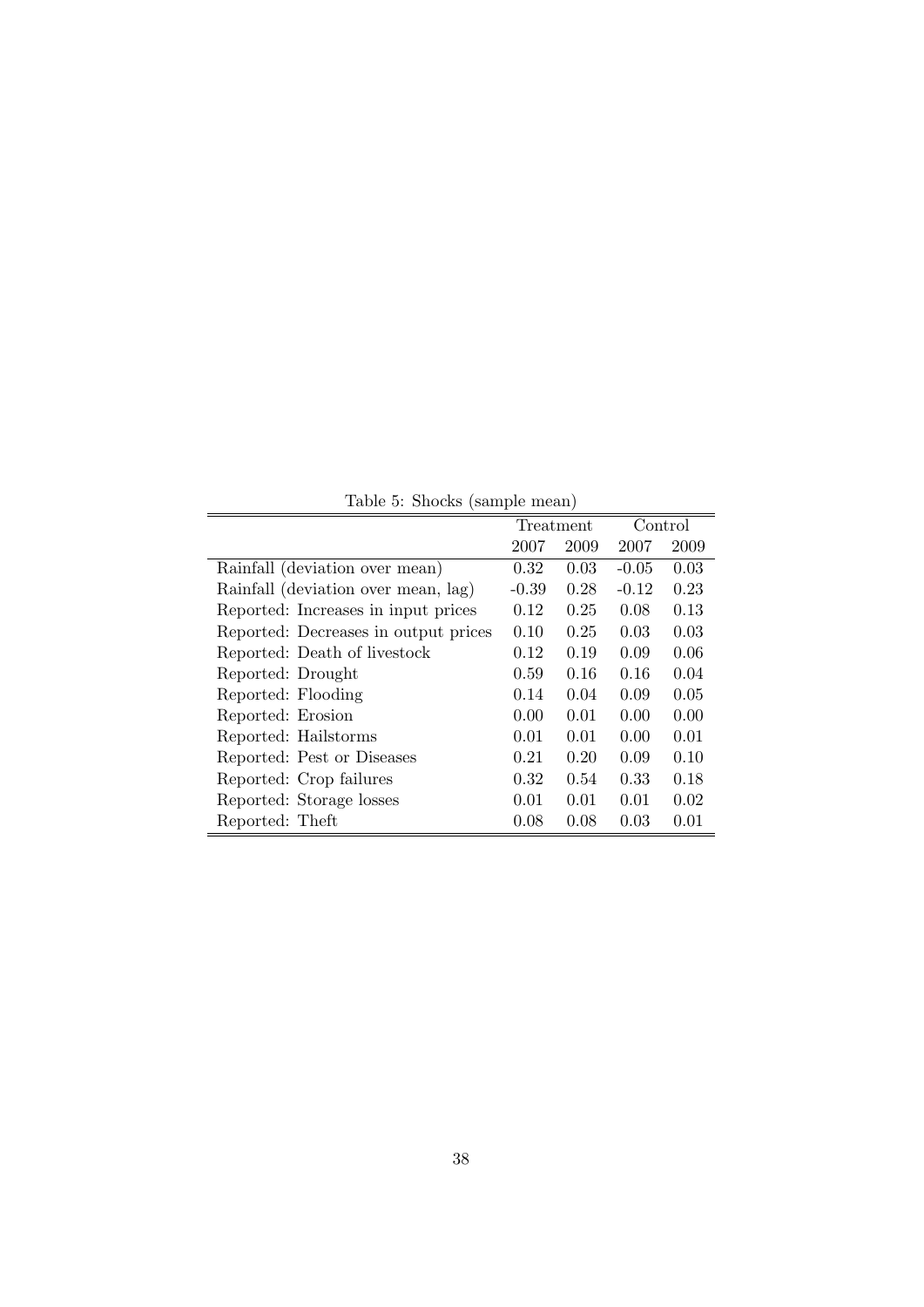| Table 5: Shocks (sample mean) |  |  |
|-------------------------------|--|--|
|-------------------------------|--|--|

|                                      | Treatment |      | Control |      |
|--------------------------------------|-----------|------|---------|------|
|                                      | 2007      | 2009 | 2007    | 2009 |
| Rainfall (deviation over mean)       | 0.32      | 0.03 | $-0.05$ | 0.03 |
| Rainfall (deviation over mean, lag)  | $-0.39$   | 0.28 | $-0.12$ | 0.23 |
| Reported: Increases in input prices  | 0.12      | 0.25 | 0.08    | 0.13 |
| Reported: Decreases in output prices | 0.10      | 0.25 | 0.03    | 0.03 |
| Reported: Death of livestock         | 0.12      | 0.19 | 0.09    | 0.06 |
| Reported: Drought                    | 0.59      | 0.16 | 0.16    | 0.04 |
| Reported: Flooding                   | 0.14      | 0.04 | 0.09    | 0.05 |
| Reported: Erosion                    | 0.00      | 0.01 | 0.00    | 0.00 |
| Reported: Hailstorms                 | 0.01      | 0.01 | 0.00    | 0.01 |
| Reported: Pest or Diseases           | 0.21      | 0.20 | 0.09    | 0.10 |
| Reported: Crop failures              | 0.32      | 0.54 | 0.33    | 0.18 |
| Reported: Storage losses             | 0.01      | 0.01 | 0.01    | 0.02 |
| Reported: Theft                      | 0.08      | 0.08 | 0.03    | 0.01 |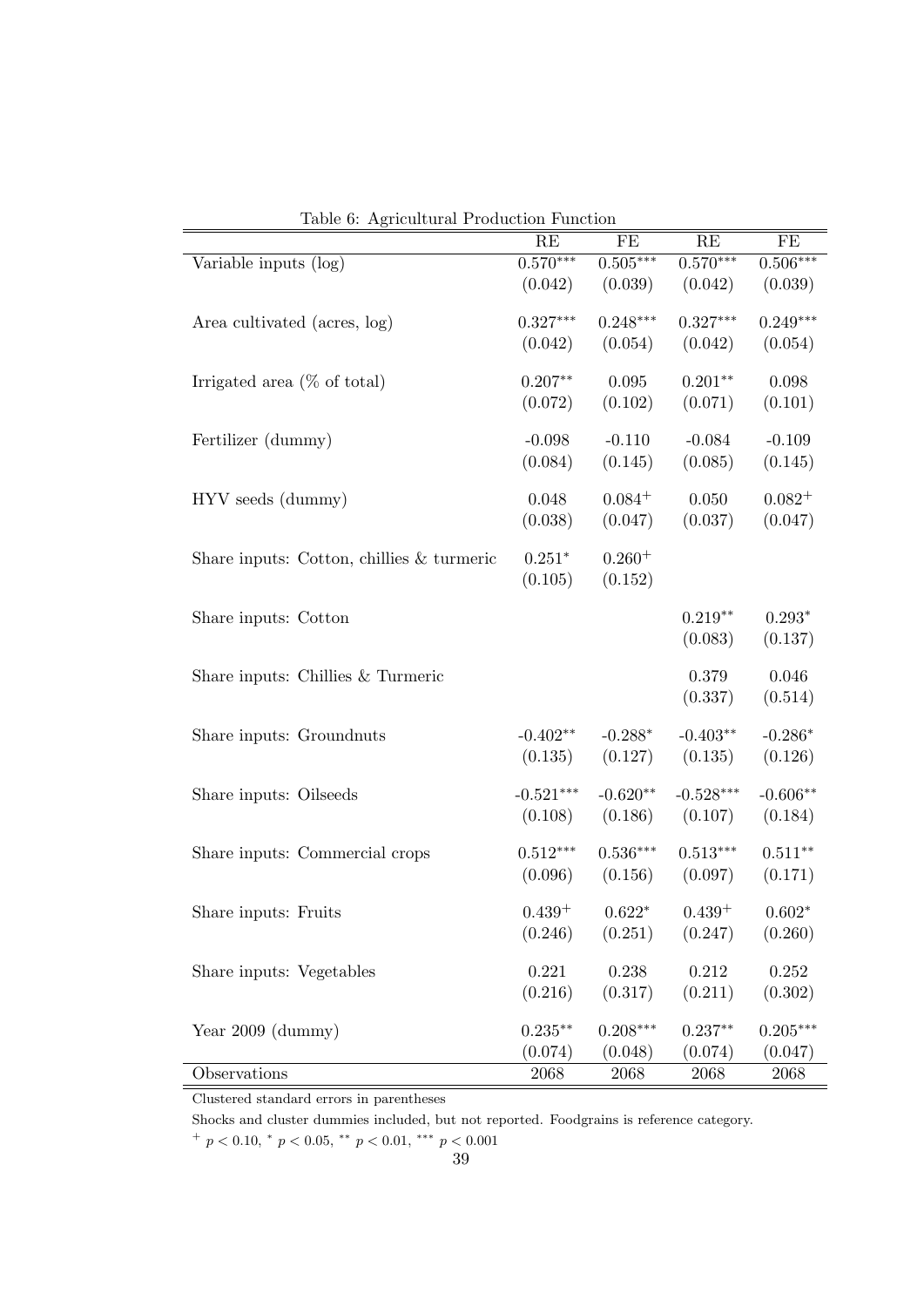|                                             | RE          | FE          | RE          | FE          |
|---------------------------------------------|-------------|-------------|-------------|-------------|
| Variable inputs (log)                       | $0.570***$  | $0.505***$  | $0.570***$  | $0.506***$  |
|                                             | (0.042)     | (0.039)     | (0.042)     | (0.039)     |
| Area cultivated (acres, log)                | $0.327***$  | $0.248***$  | $0.327***$  | $0.249***$  |
|                                             | (0.042)     | (0.054)     | (0.042)     | (0.054)     |
| Irrigated area $(\%$ of total)              | $0.207**$   | 0.095       | $0.201**$   | 0.098       |
|                                             | (0.072)     | (0.102)     | (0.071)     | (0.101)     |
|                                             |             |             |             |             |
| Fertilizer (dummy)                          | $-0.098$    | $-0.110$    | $-0.084$    | $-0.109$    |
|                                             | (0.084)     | (0.145)     | (0.085)     | (0.145)     |
| HYV seeds (dummy)                           | 0.048       | $0.084^{+}$ | 0.050       | $0.082^{+}$ |
|                                             | (0.038)     | (0.047)     | (0.037)     | (0.047)     |
| Share inputs: Cotton, chillies $&$ turmeric | $0.251*$    | $0.260^{+}$ |             |             |
|                                             | (0.105)     | (0.152)     |             |             |
|                                             |             |             |             |             |
| Share inputs: Cotton                        |             |             | $0.219**$   | $0.293*$    |
|                                             |             |             | (0.083)     | (0.137)     |
| Share inputs: Chillies & Turmeric           |             |             | 0.379       | 0.046       |
|                                             |             |             | (0.337)     | (0.514)     |
| Share inputs: Groundnuts                    | $-0.402**$  | $-0.288*$   | $-0.403**$  | $-0.286*$   |
|                                             | (0.135)     | (0.127)     | (0.135)     | (0.126)     |
|                                             |             |             |             |             |
| Share inputs: Oilseeds                      | $-0.521***$ | $-0.620**$  | $-0.528***$ | $-0.606**$  |
|                                             | (0.108)     | (0.186)     | (0.107)     | (0.184)     |
| Share inputs: Commercial crops              | $0.512***$  | $0.536***$  | $0.513***$  | $0.511**$   |
|                                             | (0.096)     | (0.156)     | (0.097)     | (0.171)     |
| Share inputs: Fruits                        | $0.439+$    | $0.622*$    | $0.439+$    | $0.602*$    |
|                                             | (0.246)     | (0.251)     | (0.247)     | (0.260)     |
|                                             |             |             |             |             |
| Share inputs: Vegetables                    | 0.221       | 0.238       | 0.212       | 0.252       |
|                                             | (0.216)     | (0.317)     | (0.211)     | (0.302)     |
| Year $2009$ (dummy)                         | $0.235**$   | $0.208***$  | $0.237**$   | $0.205***$  |
|                                             | (0.074)     | (0.048)     | (0.074)     | (0.047)     |
| Observations                                | 2068        | 2068        | 2068        | 2068        |

Table 6: Agricultural Production Function

Shocks and cluster dummies included, but not reported. Foodgrains is reference category.

 $^{+}$  p < 0.10,  $^{*}$  p < 0.05,  $^{**}$  p < 0.01,  $^{***}$  p < 0.001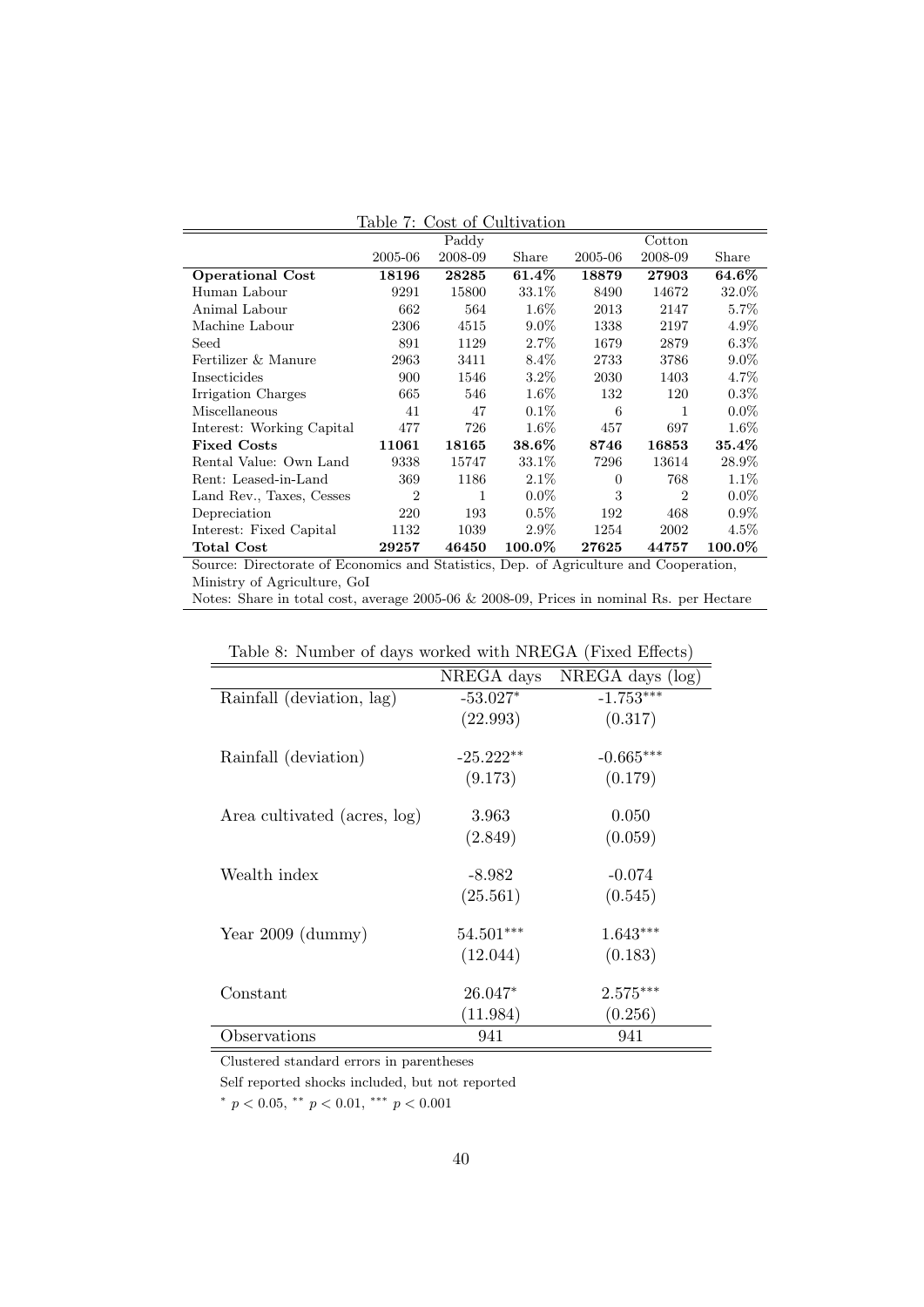|                                                                                       | $\mathbf{r}$ able to $\mathbf{r}$ . Cobe of Caler radiom |         |                       |          |                |           |
|---------------------------------------------------------------------------------------|----------------------------------------------------------|---------|-----------------------|----------|----------------|-----------|
|                                                                                       |                                                          | Paddy   |                       |          | Cotton         |           |
|                                                                                       | 2005-06                                                  | 2008-09 | Share                 | 2005-06  | 2008-09        | Share     |
| <b>Operational Cost</b>                                                               | 18196                                                    | 28285   | $61.4\%$              | 18879    | 27903          | 64.6%     |
| Human Labour                                                                          | 9291                                                     | 15800   | 33.1\%                | 8490     | 14672          | 32.0%     |
| Animal Labour                                                                         | 662                                                      | 564     | $1.6\%$               | 2013     | 2147           | $5.7\%$   |
| Machine Labour                                                                        | 2306                                                     | 4515    | $9.0\%$               | 1338     | 2197           | $4.9\%$   |
| Seed                                                                                  | 891                                                      | 1129    | $2.7\%$               | 1679     | 2879           | $6.3\%$   |
| Fertilizer & Manure                                                                   | 2963                                                     | 3411    | $8.4\%$               | 2733     | 3786           | $9.0\%$   |
| Insecticides                                                                          | 900                                                      | 1546    | $3.2\%$               | 2030     | 1403           | 4.7%      |
| Irrigation Charges                                                                    | 665                                                      | 546     | $1.6\%$               | 132      | 120            | $0.3\%$   |
| Miscellaneous                                                                         | 41                                                       | 47      | $0.1\%$               | 6        | 1              | $0.0\%$   |
| Interest: Working Capital                                                             | 477                                                      | 726     | $1.6\%$               | 457      | 697            | $1.6\%$   |
| <b>Fixed Costs</b>                                                                    | 11061                                                    | 18165   | $\boldsymbol{38.6\%}$ | 8746     | 16853          | $35.4\%$  |
| Rental Value: Own Land                                                                | 9338                                                     | 15747   | 33.1\%                | 7296     | 13614          | $28.9\%$  |
| Rent: Leased-in-Land                                                                  | 369                                                      | 1186    | $2.1\%$               | $\Omega$ | 768            | $1.1\%$   |
| Land Rev., Taxes, Cesses                                                              | $\overline{2}$                                           | 1       | $0.0\%$               | 3        | $\overline{2}$ | $0.0\%$   |
| Depreciation                                                                          | 220                                                      | 193     | $0.5\%$               | 192      | 468            | $0.9\%$   |
| Interest: Fixed Capital                                                               | 1132                                                     | 1039    | $2.9\%$               | 1254     | 2002           | $4.5\%$   |
| <b>Total Cost</b>                                                                     | 29257                                                    | 46450   | $100.0\%$             | 27625    | 44757          | $100.0\%$ |
| Source: Directorate of Economics and Statistics, Dep. of Agriculture and Cooperation, |                                                          |         |                       |          |                |           |
| Ministry of Agriculture, GoI                                                          |                                                          |         |                       |          |                |           |

|--|

Notes: Share in total cost, average 2005-06 & 2008-09, Prices in nominal Rs. per Hectare

| rapio of Frampor of aajo worked with Fritingham (Fritian Enterto) |             |                  |  |  |  |
|-------------------------------------------------------------------|-------------|------------------|--|--|--|
|                                                                   | NREGA days  | NREGA days (log) |  |  |  |
| Rainfall (deviation, lag)                                         | $-53.027*$  | $-1.753***$      |  |  |  |
|                                                                   | (22.993)    | (0.317)          |  |  |  |
|                                                                   |             |                  |  |  |  |
| Rainfall (deviation)                                              | $-25.222**$ | $-0.665***$      |  |  |  |
|                                                                   | (9.173)     | (0.179)          |  |  |  |
| Area cultivated (acres, log)                                      | 3.963       | 0.050            |  |  |  |
|                                                                   | (2.849)     | (0.059)          |  |  |  |
|                                                                   |             |                  |  |  |  |
| Wealth index                                                      | $-8.982$    | $-0.074$         |  |  |  |
|                                                                   | (25.561)    | (0.545)          |  |  |  |
| Year $2009$ (dummy)                                               | $54.501***$ | $1.643***$       |  |  |  |
|                                                                   |             |                  |  |  |  |
|                                                                   | (12.044)    | (0.183)          |  |  |  |
| Constant                                                          | $26.047*$   | $2.575***$       |  |  |  |
|                                                                   | (11.984)    | (0.256)          |  |  |  |
| Observations                                                      | 941         | 941              |  |  |  |

Table 8: Number of days worked with NREGA (Fixed Effects)

Clustered standard errors in parentheses

Self reported shocks included, but not reported

\*  $p < 0.05$ , \*\*  $p < 0.01$ , \*\*\*  $p < 0.001$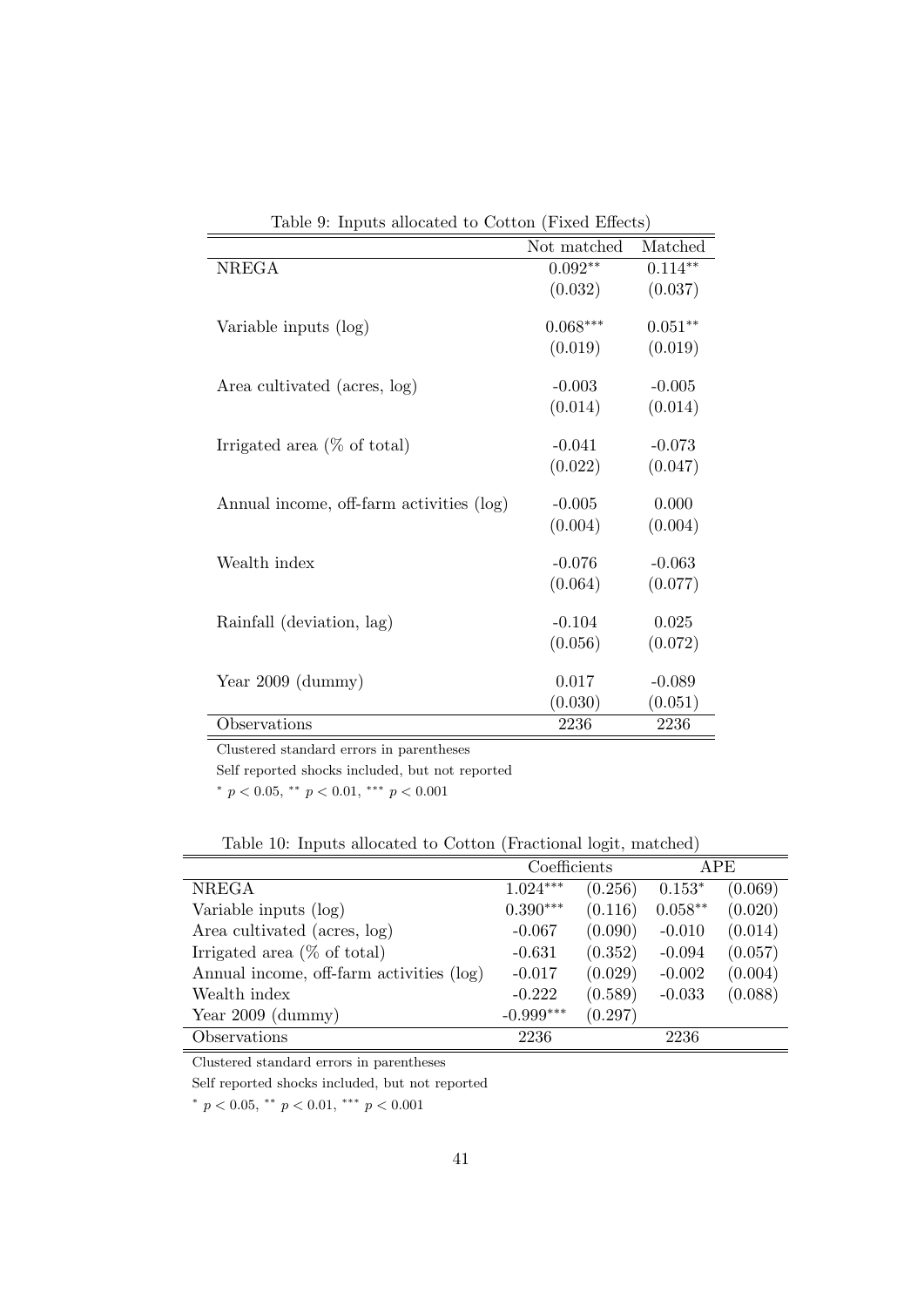| $\mathbf{r}$ as $\mathbf{r}$ . In page anotation to correct $\mathbf{r}$ integrations, |             |           |
|----------------------------------------------------------------------------------------|-------------|-----------|
|                                                                                        | Not matched | Matched   |
| <b>NREGA</b>                                                                           | $0.092**$   | $0.114**$ |
|                                                                                        | (0.032)     | (0.037)   |
|                                                                                        |             |           |
| Variable inputs (log)                                                                  | $0.068***$  | $0.051**$ |
|                                                                                        | (0.019)     | (0.019)   |
|                                                                                        |             |           |
| Area cultivated (acres, log)                                                           | $-0.003$    | $-0.005$  |
|                                                                                        | (0.014)     | (0.014)   |
| Irrigated area $(\%$ of total)                                                         | $-0.041$    | $-0.073$  |
|                                                                                        | (0.022)     | (0.047)   |
|                                                                                        |             |           |
| Annual income, off-farm activities (log)                                               | $-0.005$    | 0.000     |
|                                                                                        | (0.004)     | (0.004)   |
|                                                                                        |             |           |
| Wealth index                                                                           | $-0.076$    | $-0.063$  |
|                                                                                        | (0.064)     | (0.077)   |
| Rainfall (deviation, lag)                                                              | $-0.104$    | 0.025     |
|                                                                                        | (0.056)     | (0.072)   |
|                                                                                        |             |           |
| Year $2009$ (dummy)                                                                    | 0.017       | $-0.089$  |
|                                                                                        | (0.030)     | (0.051)   |
| Observations                                                                           | 2236        | 2236      |

Table 9: Inputs allocated to Cotton (Fixed Effects)

Self reported shocks included, but not reported

\*  $p < 0.05$ , \*\*  $p < 0.01$ , \*\*\*  $p < 0.001$ 

Table 10: Inputs allocated to Cotton (Fractional logit, matched)

|                                          | Coefficients |         | APE       |         |
|------------------------------------------|--------------|---------|-----------|---------|
| <b>NREGA</b>                             | $1.024***$   | (0.256) | $0.153*$  | (0.069) |
| Variable inputs (log)                    | $0.390***$   | (0.116) | $0.058**$ | (0.020) |
| Area cultivated (acres, log)             | $-0.067$     | (0.090) | $-0.010$  | (0.014) |
| Irrigated area $(\%$ of total)           | $-0.631$     | (0.352) | $-0.094$  | (0.057) |
| Annual income, off-farm activities (log) | $-0.017$     | (0.029) | $-0.002$  | (0.004) |
| Wealth index                             | $-0.222$     | (0.589) | $-0.033$  | (0.088) |
| Year $2009$ (dummy)                      | $-0.999***$  | (0.297) |           |         |
| Observations                             | 2236         |         | 2236      |         |

Clustered standard errors in parentheses

Self reported shocks included, but not reported

\*  $p < 0.05$ , \*\*  $p < 0.01$ , \*\*\*  $p < 0.001$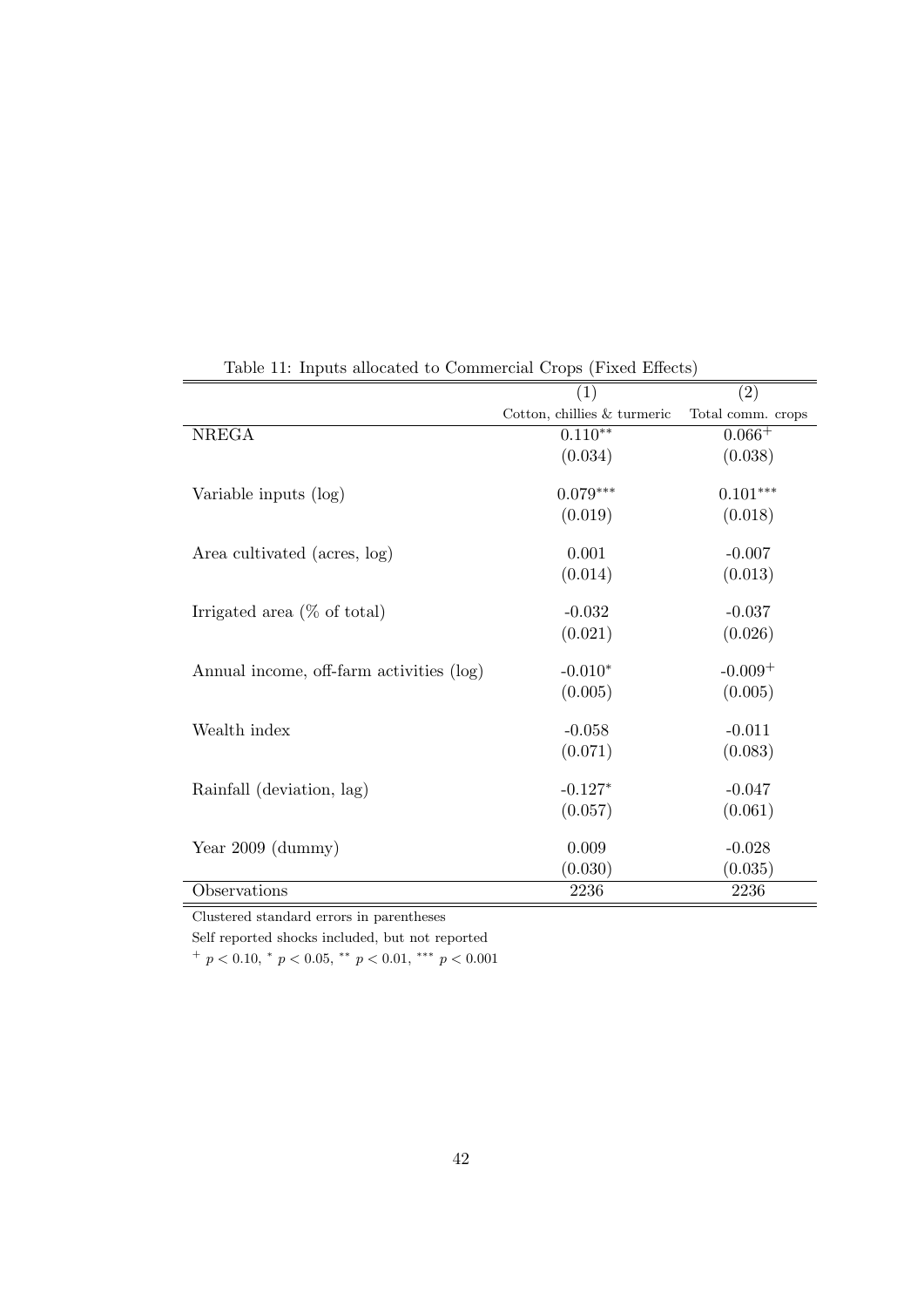|                                          | (1)                            | (2)               |
|------------------------------------------|--------------------------------|-------------------|
|                                          | Cotton, chillies $\&$ turmeric | Total comm. crops |
| <b>NREGA</b>                             | $0.110**$                      | $0.066+$          |
|                                          | (0.034)                        | (0.038)           |
|                                          |                                |                   |
| Variable inputs (log)                    | $0.079***$                     | $0.101***$        |
|                                          | (0.019)                        | (0.018)           |
|                                          |                                |                   |
| Area cultivated (acres, log)             | 0.001                          | $-0.007$          |
|                                          | (0.014)                        | (0.013)           |
| Irrigated area $(\%$ of total)           | $-0.032$                       | $-0.037$          |
|                                          | (0.021)                        | (0.026)           |
| Annual income, off-farm activities (log) | $-0.010*$                      | $-0.009+$         |
|                                          | (0.005)                        | (0.005)           |
|                                          |                                |                   |
| Wealth index                             | $-0.058$                       | $-0.011$          |
|                                          | (0.071)                        | (0.083)           |
| Rainfall (deviation, lag)                | $-0.127*$                      | $-0.047$          |
|                                          | (0.057)                        | (0.061)           |
|                                          |                                |                   |
| Year $2009$ (dummy)                      | 0.009                          | $-0.028$          |
|                                          | (0.030)                        | (0.035)           |
| Observations                             | 2236                           | 2236              |

Table 11: Inputs allocated to Commercial Crops (Fixed Effects)

Self reported shocks included, but not reported

 $^{+}$  p < 0.10,  $^{*}$  p < 0.05,  $^{**}$  p < 0.01,  $^{***}$  p < 0.001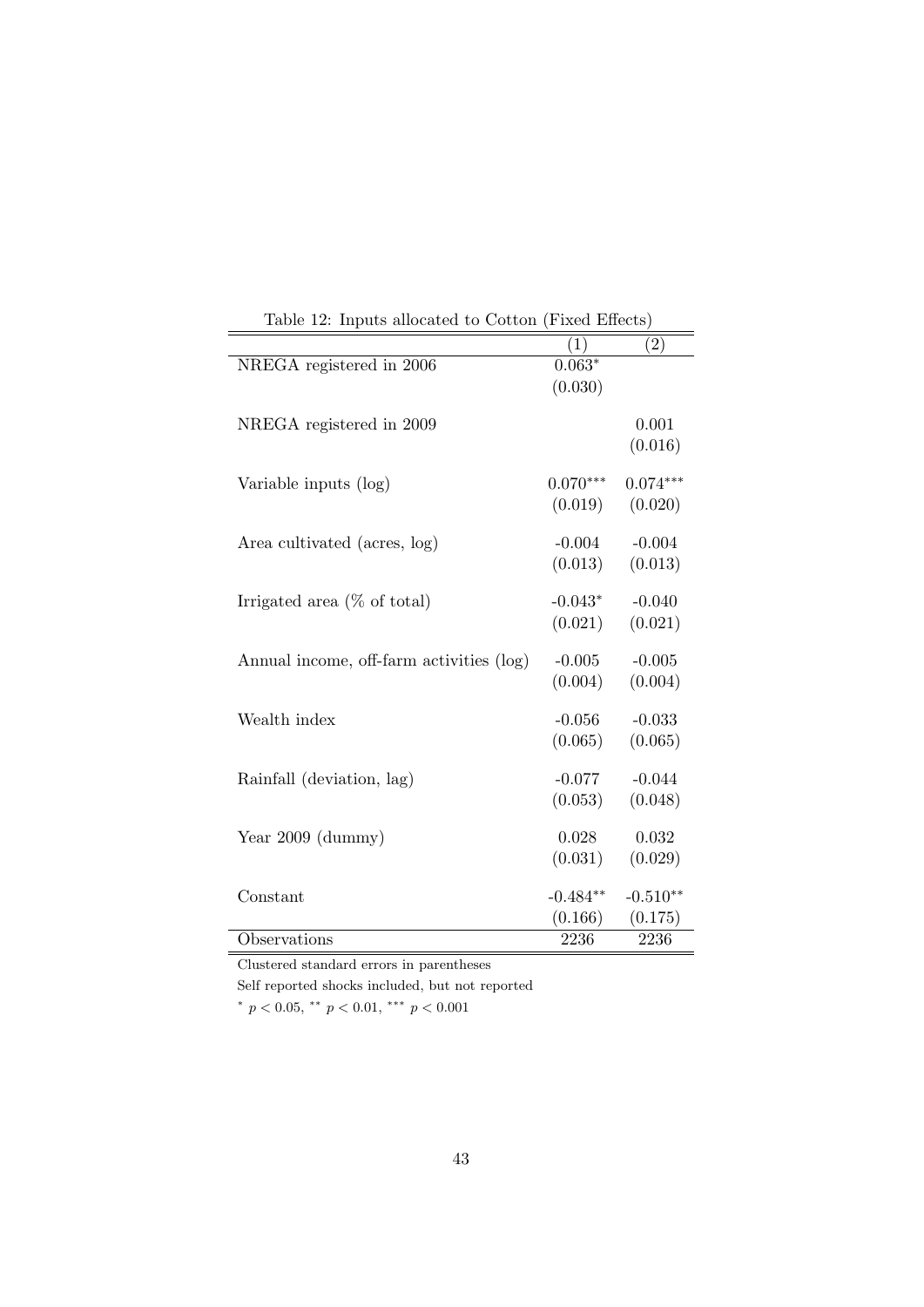| Lable 12. Hiputs allocated to Cotton (Fixed Effects) |            |                   |
|------------------------------------------------------|------------|-------------------|
|                                                      | (1)        | $\left( 2\right)$ |
| NREGA registered in 2006                             | $0.063*$   |                   |
|                                                      | (0.030)    |                   |
| NREGA registered in 2009                             |            | 0.001             |
|                                                      |            | (0.016)           |
| Variable inputs (log)                                | $0.070***$ | $0.074***$        |
|                                                      | (0.019)    | (0.020)           |
| Area cultivated (acres, log)                         | $-0.004$   | $-0.004$          |
|                                                      | (0.013)    | (0.013)           |
| Irrigated area $(\%$ of total)                       | $-0.043*$  | $-0.040$          |
|                                                      | (0.021)    | (0.021)           |
| Annual income, off-farm activities (log)             | $-0.005$   | $-0.005$          |
|                                                      | (0.004)    | (0.004)           |
| Wealth index                                         | $-0.056$   | $-0.033$          |
|                                                      | (0.065)    | (0.065)           |
| Rainfall (deviation, lag)                            | $-0.077$   | $-0.044$          |
|                                                      | (0.053)    | (0.048)           |
| Year $2009$ (dummy)                                  | 0.028      | 0.032             |
|                                                      | (0.031)    | (0.029)           |
| Constant                                             | $-0.484**$ | $-0.510**$        |
|                                                      | (0.166)    | (0.175)           |
| Observations                                         | 2236       | 2236              |

Table 12: Inputs allocated to Cotton (Fixed Effects)

Self reported shocks included, but not reported

\*  $p < 0.05$ , \*\*  $p < 0.01$ , \*\*\*  $p < 0.001$